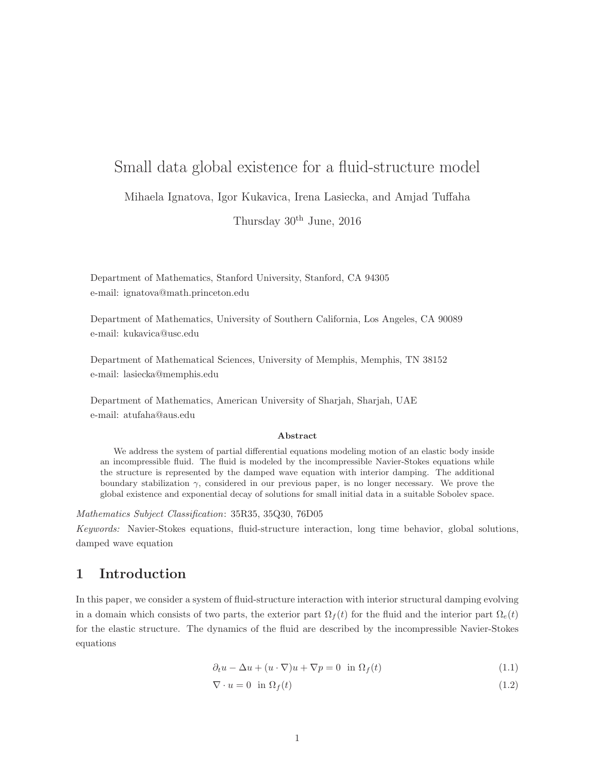# Small data global existence for a fluid-structure model

Mihaela Ignatova, Igor Kukavica, Irena Lasiecka, and Amjad Tuffaha

Thursday 30th June, 2016

Department of Mathematics, Stanford University, Stanford, CA 94305 e-mail: ignatova@math.princeton.edu

Department of Mathematics, University of Southern California, Los Angeles, CA 90089 e-mail: kukavica@usc.edu

Department of Mathematical Sciences, University of Memphis, Memphis, TN 38152 e-mail: lasiecka@memphis.edu

Department of Mathematics, American University of Sharjah, Sharjah, UAE e-mail: atufaha@aus.edu

#### Abstract

We address the system of partial differential equations modeling motion of an elastic body inside an incompressible fluid. The fluid is modeled by the incompressible Navier-Stokes equations while the structure is represented by the damped wave equation with interior damping. The additional boundary stabilization  $\gamma$ , considered in our previous paper, is no longer necessary. We prove the global existence and exponential decay of solutions for small initial data in a suitable Sobolev space.

Mathematics Subject Classification: 35R35, 35Q30, 76D05

Keywords: Navier-Stokes equations, fluid-structure interaction, long time behavior, global solutions, damped wave equation

### 1 Introduction

In this paper, we consider a system of fluid-structure interaction with interior structural damping evolving in a domain which consists of two parts, the exterior part  $\Omega_f(t)$  for the fluid and the interior part  $\Omega_e(t)$ for the elastic structure. The dynamics of the fluid are described by the incompressible Navier-Stokes equations

$$
\partial_t u - \Delta u + (u \cdot \nabla)u + \nabla p = 0 \quad \text{in } \Omega_f(t) \tag{1.1}
$$

$$
\nabla \cdot u = 0 \quad \text{in } \Omega_f(t) \tag{1.2}
$$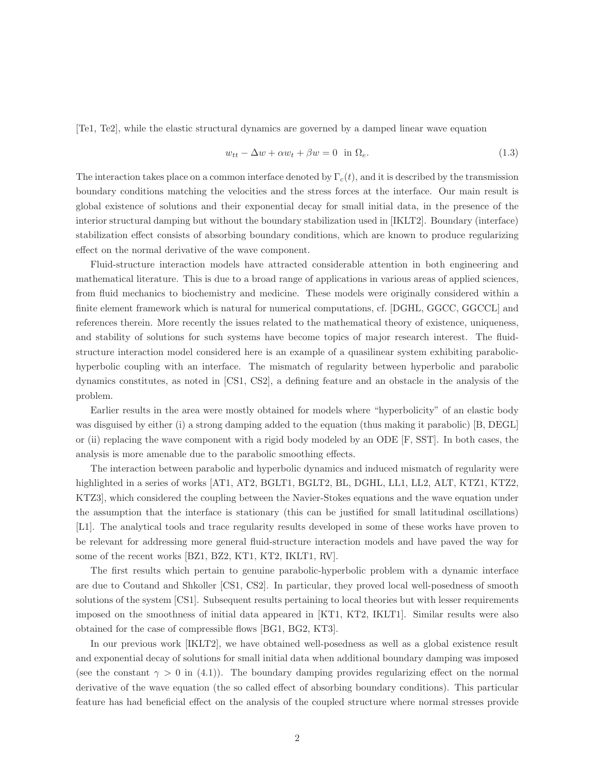[Te1, Te2], while the elastic structural dynamics are governed by a damped linear wave equation

$$
w_{tt} - \Delta w + \alpha w_t + \beta w = 0 \quad \text{in } \Omega_e. \tag{1.3}
$$

The interaction takes place on a common interface denoted by  $\Gamma_c(t)$ , and it is described by the transmission boundary conditions matching the velocities and the stress forces at the interface. Our main result is global existence of solutions and their exponential decay for small initial data, in the presence of the interior structural damping but without the boundary stabilization used in [IKLT2]. Boundary (interface) stabilization effect consists of absorbing boundary conditions, which are known to produce regularizing effect on the normal derivative of the wave component.

Fluid-structure interaction models have attracted considerable attention in both engineering and mathematical literature. This is due to a broad range of applications in various areas of applied sciences, from fluid mechanics to biochemistry and medicine. These models were originally considered within a finite element framework which is natural for numerical computations, cf. [DGHL, GGCC, GGCCL] and references therein. More recently the issues related to the mathematical theory of existence, uniqueness, and stability of solutions for such systems have become topics of major research interest. The fluidstructure interaction model considered here is an example of a quasilinear system exhibiting parabolichyperbolic coupling with an interface. The mismatch of regularity between hyperbolic and parabolic dynamics constitutes, as noted in [CS1, CS2], a defining feature and an obstacle in the analysis of the problem.

Earlier results in the area were mostly obtained for models where "hyperbolicity" of an elastic body was disguised by either (i) a strong damping added to the equation (thus making it parabolic) [B, DEGL] or (ii) replacing the wave component with a rigid body modeled by an ODE [F, SST]. In both cases, the analysis is more amenable due to the parabolic smoothing effects.

The interaction between parabolic and hyperbolic dynamics and induced mismatch of regularity were highlighted in a series of works [AT1, AT2, BGLT1, BGLT2, BL, DGHL, LL1, LL2, ALT, KTZ1, KTZ2, KTZ3], which considered the coupling between the Navier-Stokes equations and the wave equation under the assumption that the interface is stationary (this can be justified for small latitudinal oscillations) [L1]. The analytical tools and trace regularity results developed in some of these works have proven to be relevant for addressing more general fluid-structure interaction models and have paved the way for some of the recent works [BZ1, BZ2, KT1, KT2, IKLT1, RV].

The first results which pertain to genuine parabolic-hyperbolic problem with a dynamic interface are due to Coutand and Shkoller [CS1, CS2]. In particular, they proved local well-posedness of smooth solutions of the system [CS1]. Subsequent results pertaining to local theories but with lesser requirements imposed on the smoothness of initial data appeared in [KT1, KT2, IKLT1]. Similar results were also obtained for the case of compressible flows [BG1, BG2, KT3].

In our previous work [IKLT2], we have obtained well-posedness as well as a global existence result and exponential decay of solutions for small initial data when additional boundary damping was imposed (see the constant  $\gamma > 0$  in (4.1)). The boundary damping provides regularizing effect on the normal derivative of the wave equation (the so called effect of absorbing boundary conditions). This particular feature has had beneficial effect on the analysis of the coupled structure where normal stresses provide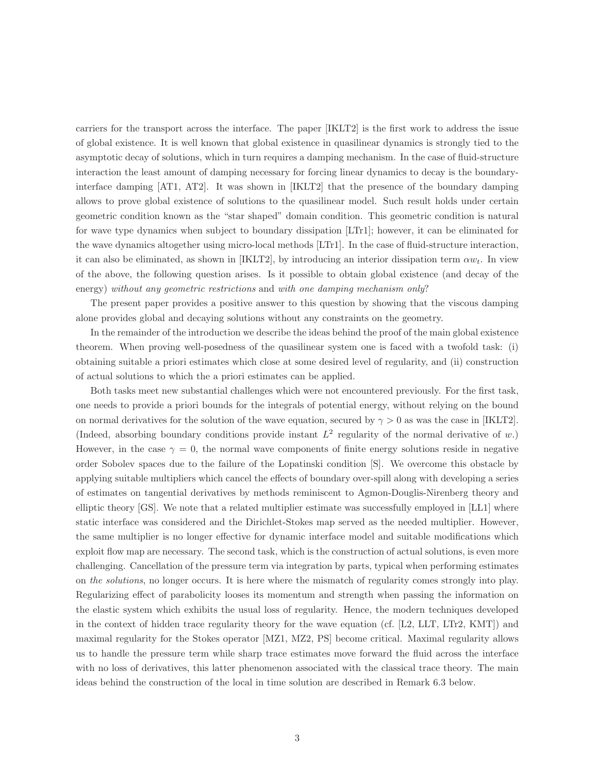carriers for the transport across the interface. The paper [IKLT2] is the first work to address the issue of global existence. It is well known that global existence in quasilinear dynamics is strongly tied to the asymptotic decay of solutions, which in turn requires a damping mechanism. In the case of fluid-structure interaction the least amount of damping necessary for forcing linear dynamics to decay is the boundaryinterface damping [AT1, AT2]. It was shown in [IKLT2] that the presence of the boundary damping allows to prove global existence of solutions to the quasilinear model. Such result holds under certain geometric condition known as the "star shaped" domain condition. This geometric condition is natural for wave type dynamics when subject to boundary dissipation [LTr1]; however, it can be eliminated for the wave dynamics altogether using micro-local methods [LTr1]. In the case of fluid-structure interaction, it can also be eliminated, as shown in [IKLT2], by introducing an interior dissipation term  $\alpha w_t$ . In view of the above, the following question arises. Is it possible to obtain global existence (and decay of the energy) without any geometric restrictions and with one damping mechanism only?

The present paper provides a positive answer to this question by showing that the viscous damping alone provides global and decaying solutions without any constraints on the geometry.

In the remainder of the introduction we describe the ideas behind the proof of the main global existence theorem. When proving well-posedness of the quasilinear system one is faced with a twofold task: (i) obtaining suitable a priori estimates which close at some desired level of regularity, and (ii) construction of actual solutions to which the a priori estimates can be applied.

Both tasks meet new substantial challenges which were not encountered previously. For the first task, one needs to provide a priori bounds for the integrals of potential energy, without relying on the bound on normal derivatives for the solution of the wave equation, secured by  $\gamma > 0$  as was the case in [IKLT2]. (Indeed, absorbing boundary conditions provide instant  $L^2$  regularity of the normal derivative of w.) However, in the case  $\gamma = 0$ , the normal wave components of finite energy solutions reside in negative order Sobolev spaces due to the failure of the Lopatinski condition [S]. We overcome this obstacle by applying suitable multipliers which cancel the effects of boundary over-spill along with developing a series of estimates on tangential derivatives by methods reminiscent to Agmon-Douglis-Nirenberg theory and elliptic theory [GS]. We note that a related multiplier estimate was successfully employed in [LL1] where static interface was considered and the Dirichlet-Stokes map served as the needed multiplier. However, the same multiplier is no longer effective for dynamic interface model and suitable modifications which exploit flow map are necessary. The second task, which is the construction of actual solutions, is even more challenging. Cancellation of the pressure term via integration by parts, typical when performing estimates on the solutions, no longer occurs. It is here where the mismatch of regularity comes strongly into play. Regularizing effect of parabolicity looses its momentum and strength when passing the information on the elastic system which exhibits the usual loss of regularity. Hence, the modern techniques developed in the context of hidden trace regularity theory for the wave equation (cf. [L2, LLT, LTr2, KMT]) and maximal regularity for the Stokes operator [MZ1, MZ2, PS] become critical. Maximal regularity allows us to handle the pressure term while sharp trace estimates move forward the fluid across the interface with no loss of derivatives, this latter phenomenon associated with the classical trace theory. The main ideas behind the construction of the local in time solution are described in Remark 6.3 below.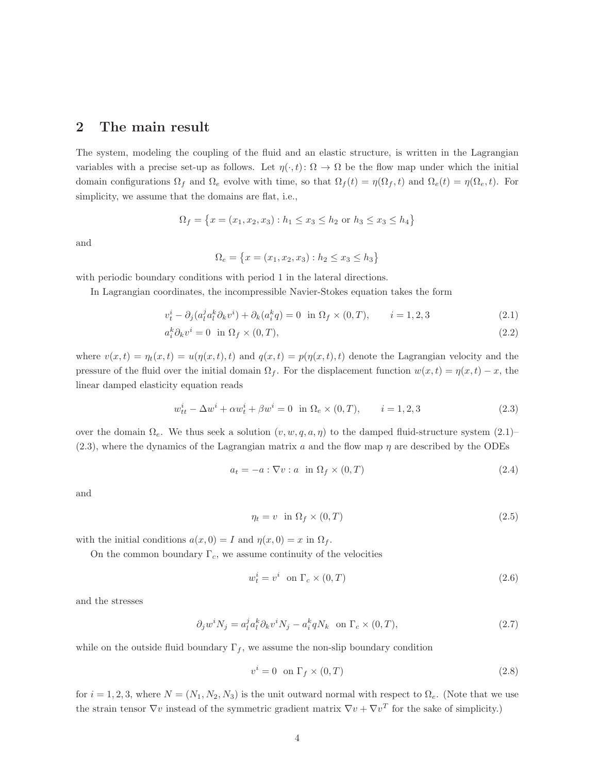### 2 The main result

The system, modeling the coupling of the fluid and an elastic structure, is written in the Lagrangian variables with a precise set-up as follows. Let  $\eta(\cdot,t): \Omega \to \Omega$  be the flow map under which the initial domain configurations  $\Omega_f$  and  $\Omega_e$  evolve with time, so that  $\Omega_f(t) = \eta(\Omega_f, t)$  and  $\Omega_e(t) = \eta(\Omega_e, t)$ . For simplicity, we assume that the domains are flat, i.e.,

$$
\Omega_f = \{ x = (x_1, x_2, x_3) : h_1 \le x_3 \le h_2 \text{ or } h_3 \le x_3 \le h_4 \}
$$

and

$$
\Omega_e = \{ x = (x_1, x_2, x_3) : h_2 \le x_3 \le h_3 \}
$$

with periodic boundary conditions with period 1 in the lateral directions.

In Lagrangian coordinates, the incompressible Navier-Stokes equation takes the form

$$
v_t^i - \partial_j (a_l^j a_l^k \partial_k v^i) + \partial_k (a_i^k q) = 0 \quad \text{in } \Omega_f \times (0, T), \qquad i = 1, 2, 3 \tag{2.1}
$$

$$
a_i^k \partial_k v^i = 0 \quad \text{in } \Omega_f \times (0, T), \tag{2.2}
$$

where  $v(x,t) = \eta_t(x,t) = u(\eta(x,t),t)$  and  $q(x,t) = p(\eta(x,t),t)$  denote the Lagrangian velocity and the pressure of the fluid over the initial domain  $\Omega_f$ . For the displacement function  $w(x, t) = \eta(x, t) - x$ , the linear damped elasticity equation reads

$$
w_{tt}^{i} - \Delta w^{i} + \alpha w_{t}^{i} + \beta w^{i} = 0 \text{ in } \Omega_e \times (0, T), \qquad i = 1, 2, 3
$$
 (2.3)

over the domain  $\Omega_e$ . We thus seek a solution  $(v, w, q, a, \eta)$  to the damped fluid-structure system  $(2.1)$ –  $(2.3)$ , where the dynamics of the Lagrangian matrix a and the flow map  $\eta$  are described by the ODEs

$$
a_t = -a : \nabla v : a \quad \text{in } \Omega_f \times (0, T) \tag{2.4}
$$

and

$$
\eta_t = v \quad \text{in} \ \Omega_f \times (0, T) \tag{2.5}
$$

with the initial conditions  $a(x, 0) = I$  and  $\eta(x, 0) = x$  in  $\Omega_f$ .

On the common boundary  $\Gamma_c$ , we assume continuity of the velocities

$$
w_t^i = v^i \quad \text{on } \Gamma_c \times (0, T) \tag{2.6}
$$

and the stresses

$$
\partial_j w^i N_j = a_i^j a_i^k \partial_k v^i N_j - a_i^k q N_k \quad \text{on } \Gamma_c \times (0, T), \tag{2.7}
$$

while on the outside fluid boundary  $\Gamma_f$ , we assume the non-slip boundary condition

$$
v^i = 0 \quad \text{on } \Gamma_f \times (0, T) \tag{2.8}
$$

for  $i = 1, 2, 3$ , where  $N = (N_1, N_2, N_3)$  is the unit outward normal with respect to  $\Omega_e$ . (Note that we use the strain tensor  $\nabla v$  instead of the symmetric gradient matrix  $\nabla v + \nabla v^T$  for the sake of simplicity.)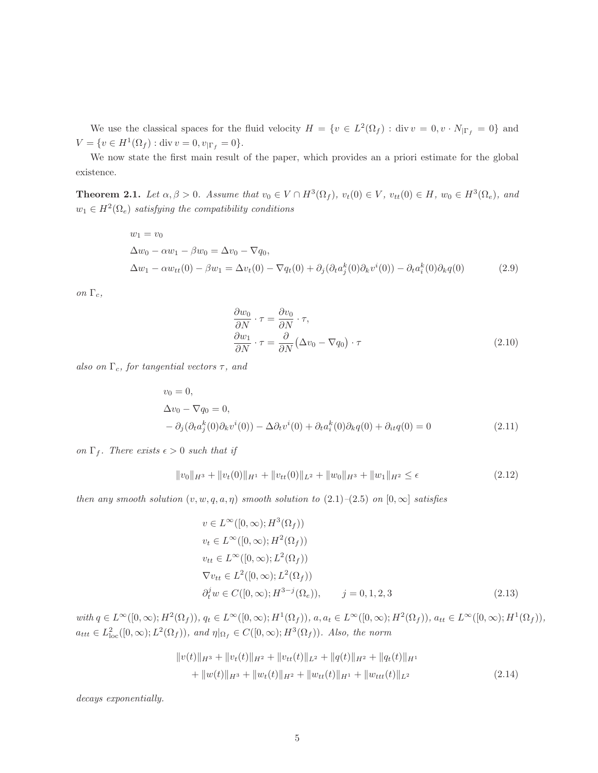We use the classical spaces for the fluid velocity  $H = \{v \in L^2(\Omega_f) : \text{div } v = 0, v \cdot N_{|\Gamma_f} = 0\}$  and  $V = \{v \in H^1(\Omega_f) : \text{div } v = 0, v_{|\Gamma_f} = 0\}.$ 

We now state the first main result of the paper, which provides an a priori estimate for the global existence.

**Theorem 2.1.** Let  $\alpha, \beta > 0$ . Assume that  $v_0 \in V \cap H^3(\Omega_f)$ ,  $v_t(0) \in V$ ,  $v_{tt}(0) \in H$ ,  $w_0 \in H^3(\Omega_e)$ , and  $w_1 \in H^2(\Omega_e)$  satisfying the compatibility conditions

$$
w_1 = v_0
$$
  
\n
$$
\Delta w_0 - \alpha w_1 - \beta w_0 = \Delta v_0 - \nabla q_0,
$$
  
\n
$$
\Delta w_1 - \alpha w_{tt}(0) - \beta w_1 = \Delta v_t(0) - \nabla q_t(0) + \partial_j(\partial_t a_j^k(0)\partial_k v^i(0)) - \partial_t a_i^k(0)\partial_k q(0)
$$
\n(2.9)

on Γ<sub>c</sub>,

$$
\frac{\partial w_0}{\partial N} \cdot \tau = \frac{\partial v_0}{\partial N} \cdot \tau,
$$
\n
$$
\frac{\partial w_1}{\partial N} \cdot \tau = \frac{\partial}{\partial N} (\Delta v_0 - \nabla q_0) \cdot \tau
$$
\n(2.10)

also on  $\Gamma_c$ , for tangential vectors  $\tau$ , and

$$
v_0 = 0,
$$
  
\n
$$
\Delta v_0 - \nabla q_0 = 0,
$$
  
\n
$$
- \partial_j (\partial_t a_j^k(0) \partial_k v^i(0)) - \Delta \partial_t v^i(0) + \partial_t a_i^k(0) \partial_k q(0) + \partial_{it} q(0) = 0
$$
\n(2.11)

on  $\Gamma_f$ . There exists  $\epsilon > 0$  such that if

$$
||v_0||_{H^3} + ||v_t(0)||_{H^1} + ||v_{tt}(0)||_{L^2} + ||w_0||_{H^3} + ||w_1||_{H^2} \le \epsilon
$$
\n(2.12)

then any smooth solution  $(v, w, q, a, \eta)$  smooth solution to  $(2.1)$ – $(2.5)$  on  $[0, \infty]$  satisfies

$$
v \in L^{\infty}([0, \infty); H^{3}(\Omega_{f}))
$$
  
\n
$$
v_{t} \in L^{\infty}([0, \infty); H^{2}(\Omega_{f}))
$$
  
\n
$$
v_{tt} \in L^{\infty}([0, \infty); L^{2}(\Omega_{f}))
$$
  
\n
$$
\nabla v_{tt} \in L^{2}([0, \infty); L^{2}(\Omega_{f}))
$$
  
\n
$$
\partial_{t}^{j} w \in C([0, \infty); H^{3-j}(\Omega_{e})), \qquad j = 0, 1, 2, 3
$$
\n(2.13)

with  $q \in L^{\infty}([0,\infty); H^2(\Omega_f))$ ,  $q_t \in L^{\infty}([0,\infty); H^1(\Omega_f))$ ,  $a, a_t \in L^{\infty}([0,\infty); H^2(\Omega_f))$ ,  $a_{tt} \in L^{\infty}([0,\infty); H^1(\Omega_f))$ ,  $a_{ttt} \in L^2_{loc}([0,\infty); L^2(\Omega_f))$ , and  $\eta|_{\Omega_f} \in C([0,\infty); H^3(\Omega_f))$ . Also, the norm

$$
||v(t)||_{H^3} + ||v_t(t)||_{H^2} + ||v_{tt}(t)||_{L^2} + ||q(t)||_{H^2} + ||q_t(t)||_{H^1}
$$
  
+ 
$$
||w(t)||_{H^3} + ||w_t(t)||_{H^2} + ||w_{tt}(t)||_{H^1} + ||w_{tt}(t)||_{L^2}
$$
 (2.14)

decays exponentially.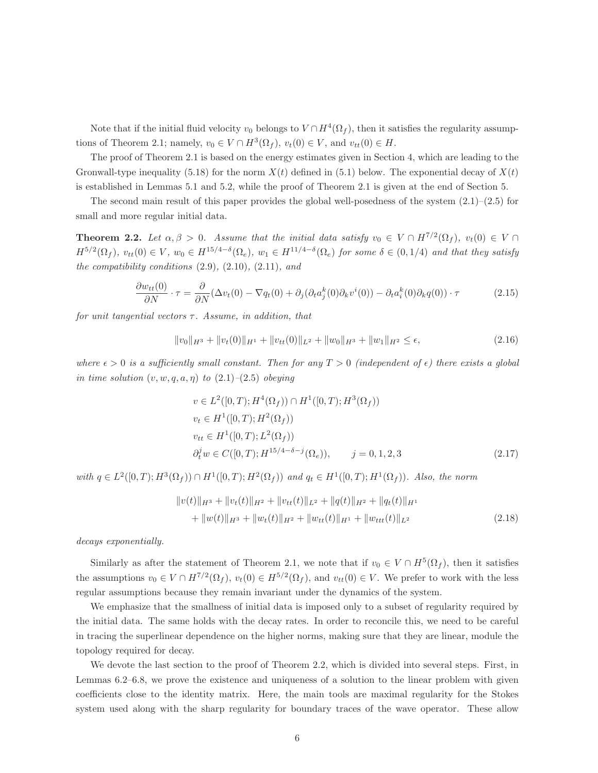Note that if the initial fluid velocity  $v_0$  belongs to  $V \cap H^4(\Omega_f)$ , then it satisfies the regularity assumptions of Theorem 2.1; namely,  $v_0 \in V \cap H^3(\Omega_f)$ ,  $v_t(0) \in V$ , and  $v_{tt}(0) \in H$ .

The proof of Theorem 2.1 is based on the energy estimates given in Section 4, which are leading to the Gronwall-type inequality (5.18) for the norm  $X(t)$  defined in (5.1) below. The exponential decay of  $X(t)$ is established in Lemmas 5.1 and 5.2, while the proof of Theorem 2.1 is given at the end of Section 5.

The second main result of this paper provides the global well-posedness of the system  $(2.1)$ – $(2.5)$  for small and more regular initial data.

**Theorem 2.2.** Let  $\alpha, \beta > 0$ . Assume that the initial data satisfy  $v_0 \in V \cap H^{7/2}(\Omega_f)$ ,  $v_t(0) \in V \cap$  $H^{5/2}(\Omega_f)$ ,  $v_{tt}(0) \in V$ ,  $w_0 \in H^{15/4-\delta}(\Omega_e)$ ,  $w_1 \in H^{11/4-\delta}(\Omega_e)$  for some  $\delta \in (0,1/4)$  and that they satisfy the compatibility conditions  $(2.9)$ ,  $(2.10)$ ,  $(2.11)$ , and

$$
\frac{\partial w_{tt}(0)}{\partial N} \cdot \tau = \frac{\partial}{\partial N} (\Delta v_t(0) - \nabla q_t(0) + \partial_j (\partial_t a_j^k(0) \partial_k v^i(0)) - \partial_t a_i^k(0) \partial_k q(0)) \cdot \tau \tag{2.15}
$$

for unit tangential vectors  $\tau$ . Assume, in addition, that

$$
||v_0||_{H^3} + ||v_t(0)||_{H^1} + ||v_{tt}(0)||_{L^2} + ||w_0||_{H^3} + ||w_1||_{H^2} \le \epsilon,
$$
\n(2.16)

where  $\epsilon > 0$  is a sufficiently small constant. Then for any  $T > 0$  (independent of  $\epsilon$ ) there exists a global in time solution  $(v, w, q, a, \eta)$  to  $(2.1)$ – $(2.5)$  obeying

$$
v \in L^{2}([0, T); H^{4}(\Omega_{f})) \cap H^{1}([0, T); H^{3}(\Omega_{f}))
$$
  
\n
$$
v_{t} \in H^{1}([0, T); H^{2}(\Omega_{f}))
$$
  
\n
$$
v_{tt} \in H^{1}([0, T); L^{2}(\Omega_{f}))
$$
  
\n
$$
\partial_{t}^{j} w \in C([0, T); H^{15/4 - \delta - j}(\Omega_{e})), \qquad j = 0, 1, 2, 3
$$
\n(2.17)

with  $q \in L^2([0,T); H^3(\Omega_f)) \cap H^1([0,T); H^2(\Omega_f))$  and  $q_t \in H^1([0,T); H^1(\Omega_f))$ . Also, the norm

$$
||v(t)||_{H^3} + ||v_t(t)||_{H^2} + ||v_{tt}(t)||_{L^2} + ||q(t)||_{H^2} + ||q_t(t)||_{H^1}
$$
  
+ 
$$
||w(t)||_{H^3} + ||w_t(t)||_{H^2} + ||w_{tt}(t)||_{H^1} + ||w_{tt}(t)||_{L^2}
$$
 (2.18)

decays exponentially.

Similarly as after the statement of Theorem 2.1, we note that if  $v_0 \in V \cap H^5(\Omega_f)$ , then it satisfies the assumptions  $v_0 \in V \cap H^{7/2}(\Omega_f)$ ,  $v_t(0) \in H^{5/2}(\Omega_f)$ , and  $v_{tt}(0) \in V$ . We prefer to work with the less regular assumptions because they remain invariant under the dynamics of the system.

We emphasize that the smallness of initial data is imposed only to a subset of regularity required by the initial data. The same holds with the decay rates. In order to reconcile this, we need to be careful in tracing the superlinear dependence on the higher norms, making sure that they are linear, module the topology required for decay.

We devote the last section to the proof of Theorem 2.2, which is divided into several steps. First, in Lemmas 6.2–6.8, we prove the existence and uniqueness of a solution to the linear problem with given coefficients close to the identity matrix. Here, the main tools are maximal regularity for the Stokes system used along with the sharp regularity for boundary traces of the wave operator. These allow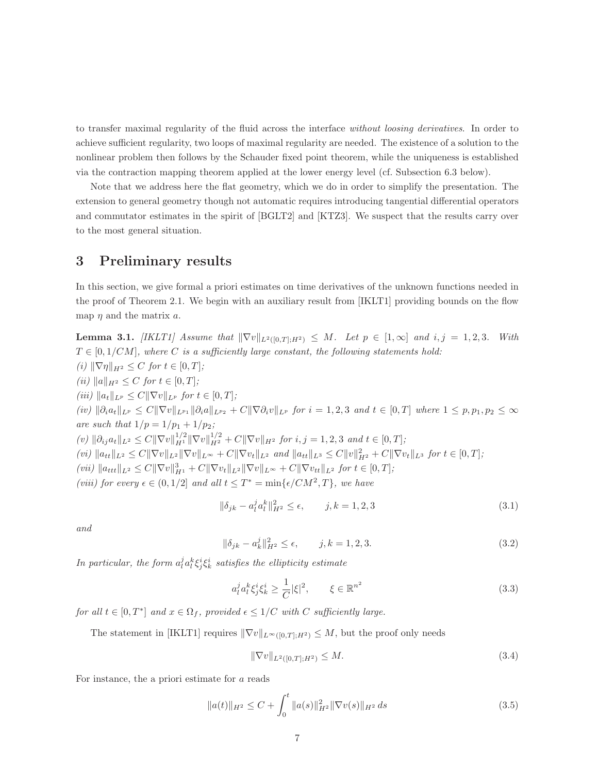to transfer maximal regularity of the fluid across the interface without loosing derivatives. In order to achieve sufficient regularity, two loops of maximal regularity are needed. The existence of a solution to the nonlinear problem then follows by the Schauder fixed point theorem, while the uniqueness is established via the contraction mapping theorem applied at the lower energy level (cf. Subsection 6.3 below).

Note that we address here the flat geometry, which we do in order to simplify the presentation. The extension to general geometry though not automatic requires introducing tangential differential operators and commutator estimates in the spirit of [BGLT2] and [KTZ3]. We suspect that the results carry over to the most general situation.

### 3 Preliminary results

In this section, we give formal a priori estimates on time derivatives of the unknown functions needed in the proof of Theorem 2.1. We begin with an auxiliary result from [IKLT1] providing bounds on the flow map  $\eta$  and the matrix  $a$ .

**Lemma 3.1.** [IKLT1] Assume that  $\|\nabla v\|_{L^2([0,T];H^2)} \leq M$ . Let  $p \in [1,\infty]$  and  $i, j = 1, 2, 3$ . With  $T \in [0, 1/CM]$ , where C is a sufficiently large constant, the following statements hold: (i)  $\|\nabla \eta\|_{H^2} \leq C$  for  $t \in [0, T]$ ; (ii)  $||a||_{H^2} \leq C$  for  $t \in [0, T]$ ; (iii)  $||a_t||_{L^p} \leq C||\nabla v||_{L^p}$  for  $t \in [0, T]$ ;  $(iv)$   $||\partial_i a_t||_{L^p} \leq C||\nabla v||_{L^{p_1}}||\partial_i a||_{L^{p_2}} + C||\nabla \partial_i v||_{L^p}$  for  $i = 1, 2, 3$  and  $t \in [0, T]$  where  $1 \leq p, p_1, p_2 \leq \infty$ are such that  $1/p = 1/p_1 + 1/p_2$ ;  $(v)$   $\|\partial_{ij}a_t\|_{L^2} \leq C \|\nabla v\|_{H^1}^{1/2} \|\nabla v\|_{H^2}^{1/2} + C \|\nabla v\|_{H^2}$  for  $i, j = 1, 2, 3$  and  $t \in [0, T]$ ;  $(vi) \|a_{tt}\|_{L^2} \leq C \|\nabla v\|_{L^2} \|\nabla v\|_{L^\infty} + C \|\nabla v_t\|_{L^2}$  and  $\|a_{tt}\|_{L^3} \leq C \|v\|_{H^2}^2 + C \|\nabla v_t\|_{L^3}$  for  $t \in [0, T]$ ; (vii)  $||a_{ttt}||_{L^2} \leq C||\nabla v||_{H^1}^3 + C||\nabla v_t||_{L^2}||\nabla v||_{L^\infty} + C||\nabla v_{tt}||_{L^2}$  for  $t \in [0, T]$ ; (viii) for every  $\epsilon \in (0,1/2]$  and all  $t \leq T^* = \min\{\epsilon/CM^2, T\}$ , we have

$$
\|\delta_{jk} - a_l^j a_l^k\|_{H^2}^2 \le \epsilon, \qquad j, k = 1, 2, 3
$$
\n(3.1)

and

$$
\|\delta_{jk} - a_k^j\|_{H^2}^2 \le \epsilon, \qquad j, k = 1, 2, 3. \tag{3.2}
$$

In particular, the form  $a_l^j a_l^k \xi_j^i \xi_k^i$  satisfies the ellipticity estimate

$$
a_l^j a_l^k \xi_j^i \xi_k^i \ge \frac{1}{C} |\xi|^2, \qquad \xi \in \mathbb{R}^{n^2}
$$
\n(3.3)

for all  $t \in [0, T^*]$  and  $x \in \Omega_f$ , provided  $\epsilon \leq 1/C$  with C sufficiently large.

The statement in [IKLT1] requires  $\|\nabla v\|_{L^{\infty}([0,T];H^2)} \leq M$ , but the proof only needs

$$
\|\nabla v\|_{L^2([0,T];H^2)} \le M. \tag{3.4}
$$

For instance, the a priori estimate for a reads

$$
||a(t)||_{H^2} \le C + \int_0^t ||a(s)||_{H^2}^2 ||\nabla v(s)||_{H^2} ds
$$
\n(3.5)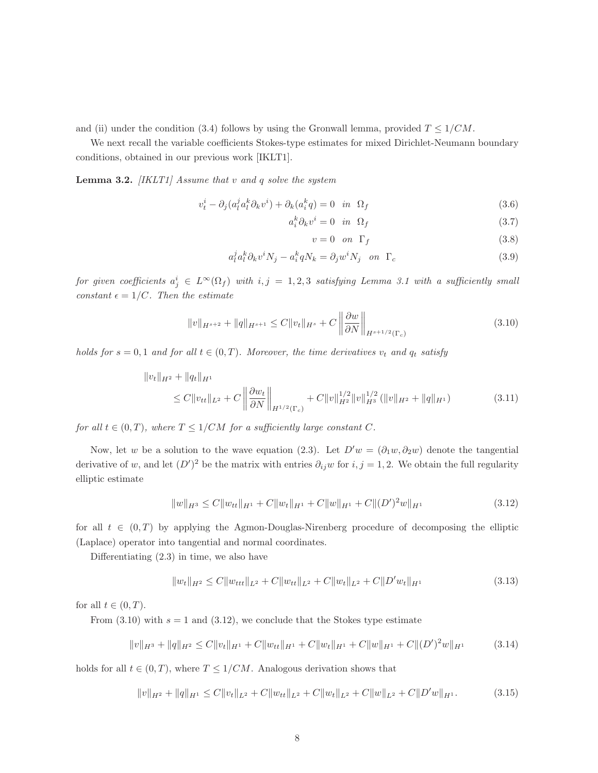and (ii) under the condition (3.4) follows by using the Gronwall lemma, provided  $T \leq 1/CM$ .

We next recall the variable coefficients Stokes-type estimates for mixed Dirichlet-Neumann boundary conditions, obtained in our previous work [IKLT1].

**Lemma 3.2.** *[IKLT1] Assume that v and q solve the system* 

$$
v_t^i - \partial_j (a_l^j a_l^k \partial_k v^i) + \partial_k (a_i^k q) = 0 \quad \text{in} \quad \Omega_f \tag{3.6}
$$

$$
a_i^k \partial_k v^i = 0 \quad \text{in} \quad \Omega_f \tag{3.7}
$$

$$
v = 0 \quad on \quad \Gamma_f \tag{3.8}
$$

$$
a_l^j a_l^k \partial_k v^i N_j - a_i^k q N_k = \partial_j w^i N_j \quad \text{on } \Gamma_c \tag{3.9}
$$

for given coefficients  $a_j^i \in L^{\infty}(\Omega_f)$  with  $i, j = 1, 2, 3$  satisfying Lemma 3.1 with a sufficiently small constant  $\epsilon = 1/C$ . Then the estimate

$$
||v||_{H^{s+2}} + ||q||_{H^{s+1}} \le C||v_t||_{H^s} + C \left\|\frac{\partial w}{\partial N}\right\|_{H^{s+1/2}(\Gamma_c)}\tag{3.10}
$$

holds for  $s = 0, 1$  and for all  $t \in (0, T)$ . Moreover, the time derivatives  $v_t$  and  $q_t$  satisfy

$$
||v_t||_{H^2} + ||q_t||_{H^1}
$$
  
\n
$$
\leq C||v_{tt}||_{L^2} + C \left\| \frac{\partial w_t}{\partial N} \right\|_{H^{1/2}(\Gamma_c)} + C||v||_{H^2}^{1/2} ||v||_{H^3}^{1/2} (||v||_{H^2} + ||q||_{H^1})
$$
\n(3.11)

for all  $t \in (0, T)$ , where  $T \leq 1/CM$  for a sufficiently large constant C.

Now, let w be a solution to the wave equation (2.3). Let  $D'w = (\partial_1 w, \partial_2 w)$  denote the tangential derivative of w, and let  $(D')^2$  be the matrix with entries  $\partial_{ij}w$  for  $i, j = 1, 2$ . We obtain the full regularity elliptic estimate

$$
||w||_{H^3} \leq C||w_{tt}||_{H^1} + C||w_t||_{H^1} + C||w||_{H^1} + C||(D')^2w||_{H^1}
$$
\n(3.12)

for all  $t \in (0,T)$  by applying the Agmon-Douglas-Nirenberg procedure of decomposing the elliptic (Laplace) operator into tangential and normal coordinates.

Differentiating (2.3) in time, we also have

$$
||w_t||_{H^2} \le C||w_{ttt}||_{L^2} + C||w_{tt}||_{L^2} + C||w_t||_{L^2} + C||D'w_t||_{H^1}
$$
\n(3.13)

for all  $t \in (0, T)$ .

From  $(3.10)$  with  $s = 1$  and  $(3.12)$ , we conclude that the Stokes type estimate

$$
||v||_{H^3} + ||q||_{H^2} \leq C||v_t||_{H^1} + C||w_{tt}||_{H^1} + C||w_t||_{H^1} + C||w||_{H^1} + C||(D')^2w||_{H^1}
$$
 (3.14)

holds for all  $t \in (0, T)$ , where  $T \leq 1/CM$ . Analogous derivation shows that

$$
||v||_{H^2} + ||q||_{H^1} \le C||v_t||_{L^2} + C||w_{tt}||_{L^2} + C||w_t||_{L^2} + C||w||_{L^2} + C||D'w||_{H^1}.
$$
 (3.15)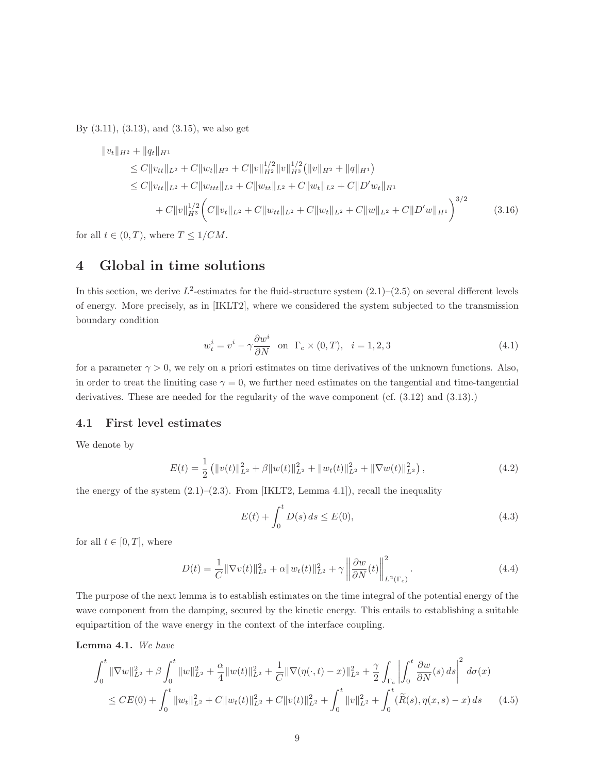By (3.11), (3.13), and (3.15), we also get

$$
\|v_t\|_{H^2} + \|q_t\|_{H^1}
$$
  
\n
$$
\leq C \|v_{tt}\|_{L^2} + C \|w_t\|_{H^2} + C \|v\|_{H^2}^{1/2} \|v\|_{H^3}^{1/2} (||v||_{H^2} + ||q||_{H^1})
$$
  
\n
$$
\leq C \|v_{tt}\|_{L^2} + C \|w_{ttt}\|_{L^2} + C \|w_{tt}\|_{L^2} + C \|w_t\|_{L^2} + C \|D'w_t\|_{H^1}
$$
  
\n
$$
+ C \|v\|_{H^3}^{1/2} \left( C \|v_t\|_{L^2} + C \|w_{tt}\|_{L^2} + C \|w_t\|_{L^2} + C \|w\|_{L^2} + C \|D'w\|_{H^1} \right)^{3/2}
$$
\n(3.16)

for all  $t \in (0, T)$ , where  $T \leq 1/CM$ .

### 4 Global in time solutions

In this section, we derive  $L^2$ -estimates for the fluid-structure system  $(2.1)$ – $(2.5)$  on several different levels of energy. More precisely, as in [IKLT2], where we considered the system subjected to the transmission boundary condition

$$
w_t^i = v^i - \gamma \frac{\partial w^i}{\partial N} \quad \text{on} \quad \Gamma_c \times (0, T), \quad i = 1, 2, 3 \tag{4.1}
$$

for a parameter  $\gamma > 0$ , we rely on a priori estimates on time derivatives of the unknown functions. Also, in order to treat the limiting case  $\gamma = 0$ , we further need estimates on the tangential and time-tangential derivatives. These are needed for the regularity of the wave component (cf.  $(3.12)$  and  $(3.13)$ .)

#### 4.1 First level estimates

We denote by

$$
E(t) = \frac{1}{2} \left( \|v(t)\|_{L^2}^2 + \beta \|w(t)\|_{L^2}^2 + \|w_t(t)\|_{L^2}^2 + \|\nabla w(t)\|_{L^2}^2 \right),\tag{4.2}
$$

the energy of the system  $(2.1)$ – $(2.3)$ . From [IKLT2, Lemma 4.1]), recall the inequality

$$
E(t) + \int_0^t D(s) \, ds \le E(0),\tag{4.3}
$$

for all  $t \in [0, T]$ , where

$$
D(t) = \frac{1}{C} \|\nabla v(t)\|_{L^2}^2 + \alpha \|w_t(t)\|_{L^2}^2 + \gamma \left\| \frac{\partial w}{\partial N}(t) \right\|_{L^2(\Gamma_c)}^2.
$$
 (4.4)

The purpose of the next lemma is to establish estimates on the time integral of the potential energy of the wave component from the damping, secured by the kinetic energy. This entails to establishing a suitable equipartition of the wave energy in the context of the interface coupling.

Lemma 4.1. We have

$$
\int_0^t \|\nabla w\|_{L^2}^2 + \beta \int_0^t \|w\|_{L^2}^2 + \frac{\alpha}{4} \|w(t)\|_{L^2}^2 + \frac{1}{C} \|\nabla(\eta(\cdot, t) - x)\|_{L^2}^2 + \frac{\gamma}{2} \int_{\Gamma_c} \left| \int_0^t \frac{\partial w}{\partial N}(s) ds \right|^2 d\sigma(x)
$$
  
\n
$$
\leq CE(0) + \int_0^t \|w_t\|_{L^2}^2 + C \|w_t(t)\|_{L^2}^2 + C \|v(t)\|_{L^2}^2 + \int_0^t \|v\|_{L^2}^2 + \int_0^t (\widetilde{R}(s), \eta(x, s) - x) ds \qquad (4.5)
$$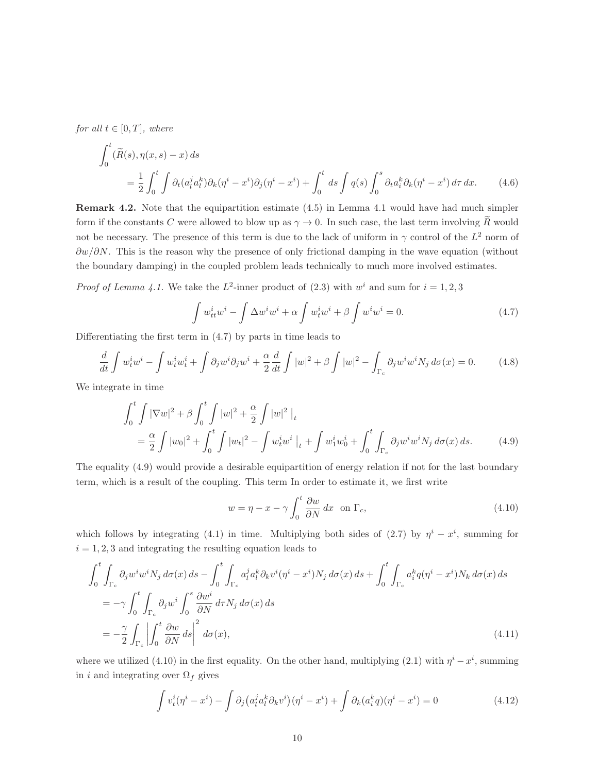for all  $t \in [0, T]$ , where

$$
\int_0^t (\widetilde{R}(s), \eta(x, s) - x) ds
$$
\n
$$
= \frac{1}{2} \int_0^t \int \partial_t (a_t^j a_t^k) \partial_k (\eta^i - x^i) \partial_j (\eta^i - x^i) + \int_0^t ds \int q(s) \int_0^s \partial_t a_t^k \partial_k (\eta^i - x^i) d\tau dx. \tag{4.6}
$$

Remark 4.2. Note that the equipartition estimate (4.5) in Lemma 4.1 would have had much simpler form if the constants C were allowed to blow up as  $\gamma \to 0$ . In such case, the last term involving  $\tilde{R}$  would not be necessary. The presence of this term is due to the lack of uniform in  $\gamma$  control of the  $L^2$  norm of  $\partial w/\partial N$ . This is the reason why the presence of only frictional damping in the wave equation (without the boundary damping) in the coupled problem leads technically to much more involved estimates.

*Proof of Lemma 4.1.* We take the  $L^2$ -inner product of (2.3) with  $w^i$  and sum for  $i = 1, 2, 3$ 

$$
\int w_{tt}^{i}w^{i} - \int \Delta w^{i}w^{i} + \alpha \int w_{t}^{i}w^{i} + \beta \int w^{i}w^{i} = 0.
$$
\n(4.7)

Differentiating the first term in (4.7) by parts in time leads to

$$
\frac{d}{dt}\int w_t^i w^i - \int w_t^i w_t^i + \int \partial_j w^i \partial_j w^i + \frac{\alpha}{2} \frac{d}{dt} \int |w|^2 + \beta \int |w|^2 - \int_{\Gamma_c} \partial_j w^i w^i N_j d\sigma(x) = 0.
$$
 (4.8)

We integrate in time

$$
\int_{0}^{t} \int |\nabla w|^{2} + \beta \int_{0}^{t} \int |w|^{2} + \frac{\alpha}{2} \int |w|^{2} \Big|_{t}
$$
  
=  $\frac{\alpha}{2} \int |w_{0}|^{2} + \int_{0}^{t} \int |w_{t}|^{2} - \int w_{t}^{i}w^{i} \Big|_{t} + \int w_{1}^{i}w_{0}^{i} + \int_{0}^{t} \int_{\Gamma_{c}} \partial_{j}w^{i}w^{i}N_{j} d\sigma(x) ds.$  (4.9)

The equality (4.9) would provide a desirable equipartition of energy relation if not for the last boundary term, which is a result of the coupling. This term In order to estimate it, we first write

$$
w = \eta - x - \gamma \int_0^t \frac{\partial w}{\partial N} dx \quad \text{on } \Gamma_c,
$$
\n(4.10)

which follows by integrating (4.1) in time. Multiplying both sides of (2.7) by  $\eta^{i} - x^{i}$ , summing for  $i = 1, 2, 3$  and integrating the resulting equation leads to

$$
\int_{0}^{t} \int_{\Gamma_c} \partial_j w^i w^i N_j d\sigma(x) ds - \int_{0}^{t} \int_{\Gamma_c} a_l^j a_l^k \partial_k v^i (\eta^i - x^i) N_j d\sigma(x) ds + \int_{0}^{t} \int_{\Gamma_c} a_i^k q (\eta^i - x^i) N_k d\sigma(x) ds
$$
  
\n
$$
= -\gamma \int_{0}^{t} \int_{\Gamma_c} \partial_j w^i \int_{0}^{s} \frac{\partial w^i}{\partial N} d\tau N_j d\sigma(x) ds
$$
  
\n
$$
= -\frac{\gamma}{2} \int_{\Gamma_c} \left| \int_{0}^{t} \frac{\partial w}{\partial N} ds \right|^2 d\sigma(x),
$$
\n(4.11)

where we utilized (4.10) in the first equality. On the other hand, multiplying (2.1) with  $\eta^{i} - x^{i}$ , summing in i and integrating over  $\Omega_f$  gives

$$
\int v_t^i(\eta^i - x^i) - \int \partial_j (a_l^j a_l^k \partial_k v^i)(\eta^i - x^i) + \int \partial_k (a_i^k q)(\eta^i - x^i) = 0 \tag{4.12}
$$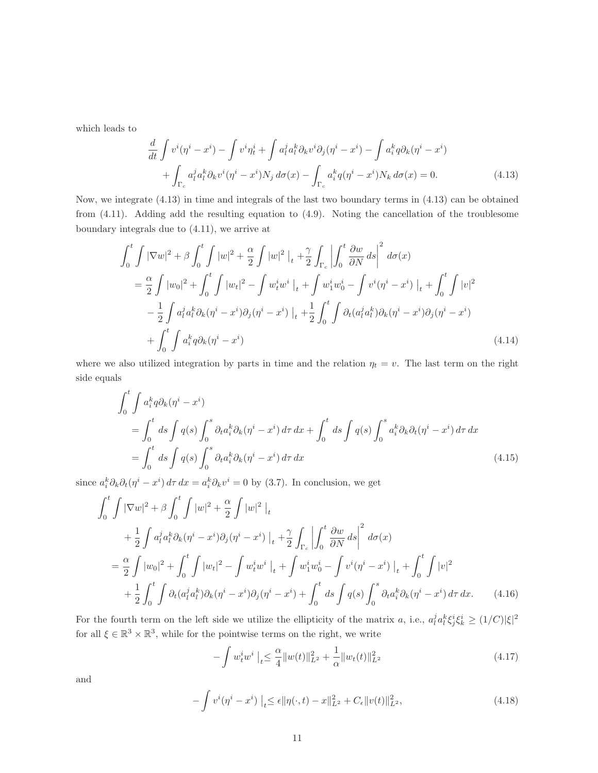which leads to

$$
\frac{d}{dt} \int v^i(\eta^i - x^i) - \int v^i \eta_t^i + \int a_l^j a_l^k \partial_k v^i \partial_j (\eta^i - x^i) - \int a_i^k q \partial_k (\eta^i - x^i) \n+ \int_{\Gamma_c} a_l^j a_l^k \partial_k v^i (\eta^i - x^i) N_j d\sigma(x) - \int_{\Gamma_c} a_i^k q (\eta^i - x^i) N_k d\sigma(x) = 0.
$$
\n(4.13)

Now, we integrate (4.13) in time and integrals of the last two boundary terms in (4.13) can be obtained from (4.11). Adding add the resulting equation to (4.9). Noting the cancellation of the troublesome boundary integrals due to (4.11), we arrive at

$$
\int_{0}^{t} \int |\nabla w|^{2} + \beta \int_{0}^{t} \int |w|^{2} + \frac{\alpha}{2} \int |w|^{2} \Big|_{t} + \frac{\gamma}{2} \int_{\Gamma_{c}} \Big| \int_{0}^{t} \frac{\partial w}{\partial N} ds \Big|^{2} d\sigma(x)
$$
  
\n
$$
= \frac{\alpha}{2} \int |w_{0}|^{2} + \int_{0}^{t} \int |w_{t}|^{2} - \int w_{t}^{i} w^{i} \Big|_{t} + \int w_{1}^{i} w_{0}^{i} - \int v^{i} (\eta^{i} - x^{i}) \Big|_{t} + \int_{0}^{t} \int |v|^{2}
$$
  
\n
$$
- \frac{1}{2} \int a_{l}^{j} a_{l}^{k} \partial_{k} (\eta^{i} - x^{i}) \partial_{j} (\eta^{i} - x^{i}) \Big|_{t} + \frac{1}{2} \int_{0}^{t} \int \partial_{t} (a_{l}^{j} a_{l}^{k}) \partial_{k} (\eta^{i} - x^{i}) \partial_{j} (\eta^{i} - x^{i})
$$
  
\n
$$
+ \int_{0}^{t} \int a_{i}^{k} q \partial_{k} (\eta^{i} - x^{i}) \qquad (4.14)
$$

where we also utilized integration by parts in time and the relation  $\eta_t = v$ . The last term on the right side equals

$$
\int_0^t \int a_i^k q \partial_k (\eta^i - x^i)
$$
  
= 
$$
\int_0^t ds \int q(s) \int_0^s \partial_t a_i^k \partial_k (\eta^i - x^i) d\tau dx + \int_0^t ds \int q(s) \int_0^s a_i^k \partial_k \partial_t (\eta^i - x^i) d\tau dx
$$
  
= 
$$
\int_0^t ds \int q(s) \int_0^s \partial_t a_i^k \partial_k (\eta^i - x^i) d\tau dx
$$
 (4.15)

since  $a_i^k \partial_k \partial_t (\eta^i - x^i) d\tau dx = a_i^k \partial_k v^i = 0$  by (3.7). In conclusion, we get

$$
\int_{0}^{t} \int |\nabla w|^{2} + \beta \int_{0}^{t} \int |w|^{2} + \frac{\alpha}{2} \int |w|^{2} \Big|_{t}^{2}
$$
  
+ 
$$
\frac{1}{2} \int a_{i}^{j} a_{i}^{k} \partial_{k} (\eta^{i} - x^{i}) \partial_{j} (\eta^{i} - x^{i}) \Big|_{t}^{2} + \frac{\gamma}{2} \int_{\Gamma_{c}} \left| \int_{0}^{t} \frac{\partial w}{\partial N} ds \right|^{2} d\sigma(x)
$$
  
= 
$$
\frac{\alpha}{2} \int |w_{0}|^{2} + \int_{0}^{t} \int |w_{t}|^{2} - \int w_{t}^{i} w^{i} \Big|_{t}^{2} + \int w_{1}^{i} w_{0}^{i} - \int v^{i} (\eta^{i} - x^{i}) \Big|_{t}^{2} + \int_{0}^{t} \int |v|^{2}
$$
  
+ 
$$
\frac{1}{2} \int_{0}^{t} \int \partial_{t} (a_{i}^{j} a_{i}^{k}) \partial_{k} (\eta^{i} - x^{i}) \partial_{j} (\eta^{i} - x^{i}) + \int_{0}^{t} ds \int q(s) \int_{0}^{s} \partial_{t} a_{i}^{k} \partial_{k} (\eta^{i} - x^{i}) d\tau dx.
$$
 (4.16)

For the fourth term on the left side we utilize the ellipticity of the matrix a, i.e.,  $a_l^j a_l^k \xi_j^i \xi_k^i \geq (1/C)|\xi|^2$ for all  $\xi \in \mathbb{R}^3 \times \mathbb{R}^3$ , while for the pointwise terms on the right, we write

$$
-\int w_t^i w^i \big|_{t} \le \frac{\alpha}{4} \|w(t)\|_{L^2}^2 + \frac{1}{\alpha} \|w_t(t)\|_{L^2}^2 \tag{4.17}
$$

and

$$
-\int v^{i}(\eta^{i} - x^{i}) \mid_{t} \leq \epsilon \|\eta(\cdot, t) - x\|_{L^{2}}^{2} + C_{\epsilon} \|v(t)\|_{L^{2}}^{2},
$$
\n(4.18)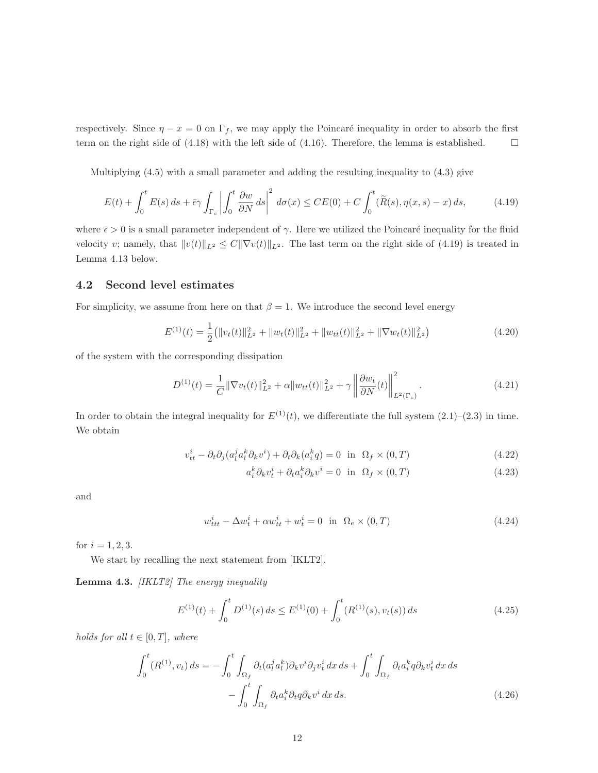respectively. Since  $\eta - x = 0$  on  $\Gamma_f$ , we may apply the Poincaré inequality in order to absorb the first term on the right side of  $(4.18)$  with the left side of  $(4.16)$ . Therefore, the lemma is established.

Multiplying (4.5) with a small parameter and adding the resulting inequality to (4.3) give

$$
E(t) + \int_0^t E(s) \, ds + \bar{\epsilon} \gamma \int_{\Gamma_c} \left| \int_0^t \frac{\partial w}{\partial N} \, ds \right|^2 \, d\sigma(x) \le CE(0) + C \int_0^t (\tilde{R}(s), \eta(x, s) - x) \, ds,\tag{4.19}
$$

where  $\bar{\epsilon} > 0$  is a small parameter independent of  $\gamma$ . Here we utilized the Poincaré inequality for the fluid velocity v; namely, that  $||v(t)||_{L^2} \leq C||\nabla v(t)||_{L^2}$ . The last term on the right side of (4.19) is treated in Lemma 4.13 below.

#### 4.2 Second level estimates

For simplicity, we assume from here on that  $\beta = 1$ . We introduce the second level energy

$$
E^{(1)}(t) = \frac{1}{2} (||v_t(t)||_{L^2}^2 + ||w_t(t)||_{L^2}^2 + ||w_{tt}(t)||_{L^2}^2 + ||\nabla w_t(t)||_{L^2}^2)
$$
\n(4.20)

of the system with the corresponding dissipation

$$
D^{(1)}(t) = \frac{1}{C} \|\nabla v_t(t)\|_{L^2}^2 + \alpha \|w_{tt}(t)\|_{L^2}^2 + \gamma \left\| \frac{\partial w_t}{\partial N}(t) \right\|_{L^2(\Gamma_c)}^2.
$$
 (4.21)

In order to obtain the integral inequality for  $E^{(1)}(t)$ , we differentiate the full system  $(2.1)$ – $(2.3)$  in time. We obtain

$$
v_{tt}^{i} - \partial_{t} \partial_{j} (a_{l}^{j} a_{l}^{k} \partial_{k} v^{i}) + \partial_{t} \partial_{k} (a_{i}^{k} q) = 0 \text{ in } \Omega_{f} \times (0, T)
$$
\n(4.22)

$$
a_i^k \partial_k v_t^i + \partial_t a_i^k \partial_k v^i = 0 \quad \text{in} \quad \Omega_f \times (0, T) \tag{4.23}
$$

and

$$
w_{ttt}^i - \Delta w_t^i + \alpha w_{tt}^i + w_t^i = 0 \quad \text{in} \quad \Omega_e \times (0, T) \tag{4.24}
$$

for  $i = 1, 2, 3$ .

We start by recalling the next statement from [IKLT2].

Lemma 4.3. [IKLT2] The energy inequality

$$
E^{(1)}(t) + \int_0^t D^{(1)}(s) \, ds \le E^{(1)}(0) + \int_0^t (R^{(1)}(s), v_t(s)) \, ds \tag{4.25}
$$

holds for all  $t \in [0, T]$ , where

$$
\int_0^t (R^{(1)}, v_t) ds = -\int_0^t \int_{\Omega_f} \partial_t (a_l^j a_l^k) \partial_k v^i \partial_j v_t^i dx ds + \int_0^t \int_{\Omega_f} \partial_t a_i^k q \partial_k v_t^i dx ds \n- \int_0^t \int_{\Omega_f} \partial_t a_i^k \partial_t q \partial_k v^i dx ds.
$$
\n(4.26)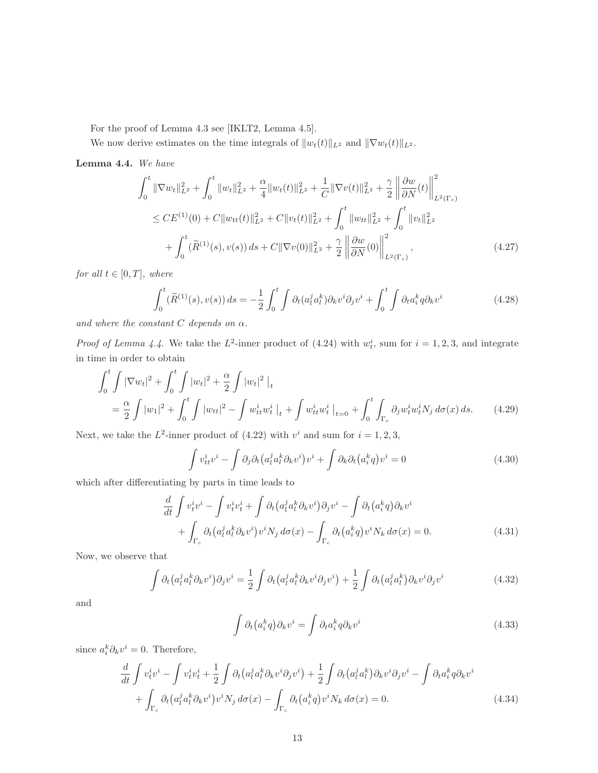For the proof of Lemma 4.3 see [IKLT2, Lemma 4.5].

We now derive estimates on the time integrals of  $||w_t(t)||_{L^2}$  and  $||\nabla w_t(t)||_{L^2}$ .

Lemma 4.4. We have

$$
\int_{0}^{t} \|\nabla w_{t}\|_{L^{2}}^{2} + \int_{0}^{t} \|w_{t}\|_{L^{2}}^{2} + \frac{\alpha}{4} \|w_{t}(t)\|_{L^{2}}^{2} + \frac{1}{C} \|\nabla v(t)\|_{L^{2}}^{2} + \frac{\gamma}{2} \left\| \frac{\partial w}{\partial N}(t) \right\|_{L^{2}(\Gamma_{c})}^{2}
$$
\n
$$
\leq CE^{(1)}(0) + C \|w_{tt}(t)\|_{L^{2}}^{2} + C \|v_{t}(t)\|_{L^{2}}^{2} + \int_{0}^{t} \|w_{tt}\|_{L^{2}}^{2} + \int_{0}^{t} \|v_{t}\|_{L^{2}}^{2}
$$
\n
$$
+ \int_{0}^{t} (\widetilde{R}^{(1)}(s), v(s)) ds + C \|\nabla v(0)\|_{L^{2}}^{2} + \frac{\gamma}{2} \left\| \frac{\partial w}{\partial N}(0) \right\|_{L^{2}(\Gamma_{c})}^{2}, \qquad (4.27)
$$

for all  $t \in [0, T]$ , where

$$
\int_0^t (\widetilde{R}^{(1)}(s), v(s)) ds = -\frac{1}{2} \int_0^t \int \partial_t (a_l^j a_l^k) \partial_k v^i \partial_j v^i + \int_0^t \int \partial_t a_l^k q \partial_k v^i \tag{4.28}
$$

and where the constant  $C$  depends on  $\alpha$ .

*Proof of Lemma 4.4.* We take the  $L^2$ -inner product of (4.24) with  $w_t^i$ , sum for  $i = 1, 2, 3$ , and integrate in time in order to obtain

$$
\int_0^t \int |\nabla w_t|^2 + \int_0^t \int |w_t|^2 + \frac{\alpha}{2} \int |w_t|^2 \Big|_t
$$
  
=  $\frac{\alpha}{2} \int |w_1|^2 + \int_0^t \int |w_{tt}|^2 - \int w_{tt}^i w_t^i \Big|_t + \int w_{tt}^i w_t^i \Big|_{t=0} + \int_0^t \int_{\Gamma_c} \partial_j w_t^i w_t^i N_j d\sigma(x) ds.$  (4.29)

Next, we take the  $L^2$ -inner product of  $(4.22)$  with  $v^i$  and sum for  $i = 1, 2, 3$ ,

$$
\int v_{tt}^{i} v^{i} - \int \partial_{j} \partial_{t} (a_{l}^{j} a_{l}^{k} \partial_{k} v^{i}) v^{i} + \int \partial_{k} \partial_{t} (a_{i}^{k} q) v^{i} = 0
$$
\n(4.30)

which after differentiating by parts in time leads to

$$
\frac{d}{dt} \int v_t^i v^i - \int v_t^i v_t^i + \int \partial_t (a_t^j a_t^k \partial_k v^i) \partial_j v^i - \int \partial_t (a_t^k q) \partial_k v^i \n+ \int_{\Gamma_c} \partial_t (a_t^j a_t^k \partial_k v^i) v^i N_j d\sigma(x) - \int_{\Gamma_c} \partial_t (a_t^k q) v^i N_k d\sigma(x) = 0.
$$
\n(4.31)

Now, we observe that

$$
\int \partial_t \left( a_l^j a_l^k \partial_k v^i \right) \partial_j v^i = \frac{1}{2} \int \partial_t \left( a_l^j a_l^k \partial_k v^i \partial_j v^i \right) + \frac{1}{2} \int \partial_t \left( a_l^j a_l^k \right) \partial_k v^i \partial_j v^i \tag{4.32}
$$

and

$$
\int \partial_t (a_i^k q) \partial_k v^i = \int \partial_t a_i^k q \partial_k v^i
$$
\n(4.33)

since  $a_i^k \partial_k v^i = 0$ . Therefore,

$$
\frac{d}{dt} \int v_t^i v^i - \int v_t^i v_t^i + \frac{1}{2} \int \partial_t (a_l^j a_l^k \partial_k v^i \partial_j v^i) + \frac{1}{2} \int \partial_t (a_l^j a_l^k) \partial_k v^i \partial_j v^i - \int \partial_t a_i^k q \partial_k v^i
$$
\n
$$
+ \int_{\Gamma_c} \partial_t (a_l^j a_l^k \partial_k v^i) v^i N_j d\sigma(x) - \int_{\Gamma_c} \partial_t (a_i^k q) v^i N_k d\sigma(x) = 0.
$$
\n(4.34)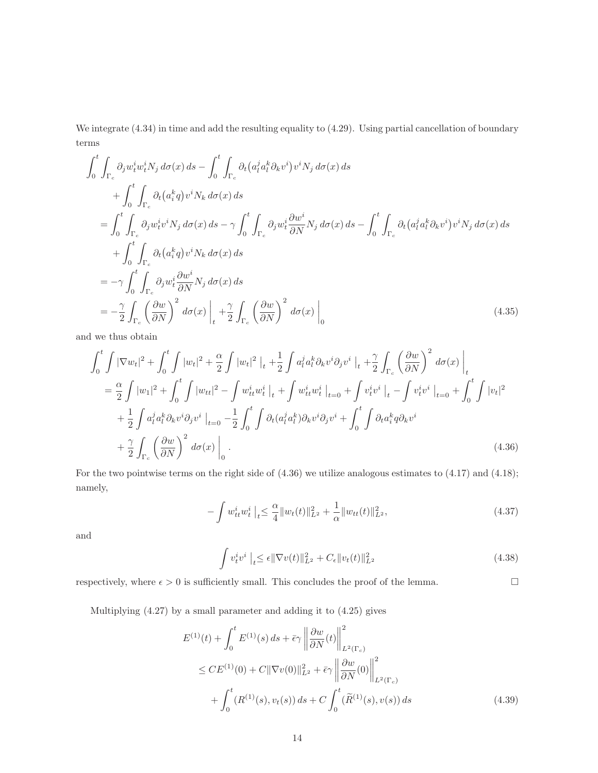We integrate  $(4.34)$  in time and add the resulting equality to  $(4.29)$ . Using partial cancellation of boundary terms

$$
\int_{0}^{t} \int_{\Gamma_{c}} \partial_{j} w_{t}^{i} w_{t}^{i} N_{j} d\sigma(x) ds - \int_{0}^{t} \int_{\Gamma_{c}} \partial_{t} (a_{t}^{j} a_{t}^{k} \partial_{k} v^{i}) v^{i} N_{j} d\sigma(x) ds \n+ \int_{0}^{t} \int_{\Gamma_{c}} \partial_{t} (a_{t}^{k} q) v^{i} N_{k} d\sigma(x) ds \n= \int_{0}^{t} \int_{\Gamma_{c}} \partial_{j} w_{t}^{i} v^{i} N_{j} d\sigma(x) ds - \gamma \int_{0}^{t} \int_{\Gamma_{c}} \partial_{j} w_{t}^{i} \frac{\partial w^{i}}{\partial N} N_{j} d\sigma(x) ds - \int_{0}^{t} \int_{\Gamma_{c}} \partial_{t} (a_{t}^{j} a_{t}^{k} \partial_{k} v^{i}) v^{i} N_{j} d\sigma(x) ds \n+ \int_{0}^{t} \int_{\Gamma_{c}} \partial_{t} (a_{t}^{k} q) v^{i} N_{k} d\sigma(x) ds \n= -\gamma \int_{0}^{t} \int_{\Gamma_{c}} \partial_{j} w_{t}^{i} \frac{\partial w^{i}}{\partial N} N_{j} d\sigma(x) ds \n= -\frac{\gamma}{2} \int_{\Gamma_{c}} \left(\frac{\partial w}{\partial N}\right)^{2} d\sigma(x) \Big|_{t} + \frac{\gamma}{2} \int_{\Gamma_{c}} \left(\frac{\partial w}{\partial N}\right)^{2} d\sigma(x) \Big|_{0}
$$
\n(4.35)

and we thus obtain

$$
\int_{0}^{t} \int |\nabla w_{t}|^{2} + \int_{0}^{t} \int |w_{t}|^{2} + \frac{\alpha}{2} \int |w_{t}|^{2} \Big|_{t} + \frac{1}{2} \int a_{t}^{j} a_{t}^{k} \partial_{k} v^{i} \partial_{j} v^{i} \Big|_{t} + \frac{\gamma}{2} \int_{\Gamma_{c}} \left(\frac{\partial w}{\partial N}\right)^{2} d\sigma(x) \Big|_{t}
$$
  
\n
$$
= \frac{\alpha}{2} \int |w_{1}|^{2} + \int_{0}^{t} \int |w_{tt}|^{2} - \int w_{tt}^{i} w_{t}^{i} \Big|_{t} + \int w_{tt}^{i} w_{t}^{i} \Big|_{t=0} + \int v_{t}^{i} v^{i} \Big|_{t} - \int v_{t}^{i} v^{i} \Big|_{t=0} + \int_{0}^{t} \int |v_{t}|^{2}
$$
  
\n
$$
+ \frac{1}{2} \int a_{t}^{j} a_{t}^{k} \partial_{k} v^{i} \partial_{j} v^{i} \Big|_{t=0} - \frac{1}{2} \int_{0}^{t} \int \partial_{t} (a_{t}^{j} a_{t}^{k}) \partial_{k} v^{i} \partial_{j} v^{i} + \int_{0}^{t} \int \partial_{t} a_{t}^{k} q \partial_{k} v^{i}
$$
  
\n
$$
+ \frac{\gamma}{2} \int_{\Gamma_{c}} \left(\frac{\partial w}{\partial N}\right)^{2} d\sigma(x) \Big|_{0} .
$$
\n(4.36)

For the two pointwise terms on the right side of (4.36) we utilize analogous estimates to (4.17) and (4.18); namely,

$$
-\int w_{tt}^{i} w_{t}^{i} \mid_{t} \leq \frac{\alpha}{4} \|w_{t}(t)\|_{L^{2}}^{2} + \frac{1}{\alpha} \|w_{tt}(t)\|_{L^{2}}^{2}, \tag{4.37}
$$

and

$$
\int v_t^i v^i \Big|_{t} \le \epsilon \|\nabla v(t)\|_{L^2}^2 + C_{\epsilon} \|v_t(t)\|_{L^2}^2 \tag{4.38}
$$

respectively, where  $\epsilon > 0$  is sufficiently small. This concludes the proof of the lemma.

Multiplying (4.27) by a small parameter and adding it to (4.25) gives

$$
E^{(1)}(t) + \int_0^t E^{(1)}(s) ds + \bar{\epsilon}\gamma \left\| \frac{\partial w}{\partial N}(t) \right\|_{L^2(\Gamma_c)}^2
$$
  
\n
$$
\leq C E^{(1)}(0) + C \|\nabla v(0)\|_{L^2}^2 + \bar{\epsilon}\gamma \left\| \frac{\partial w}{\partial N}(0) \right\|_{L^2(\Gamma_c)}^2
$$
  
\n
$$
+ \int_0^t (R^{(1)}(s), v_t(s)) ds + C \int_0^t (\tilde{R}^{(1)}(s), v(s)) ds
$$
\n(4.39)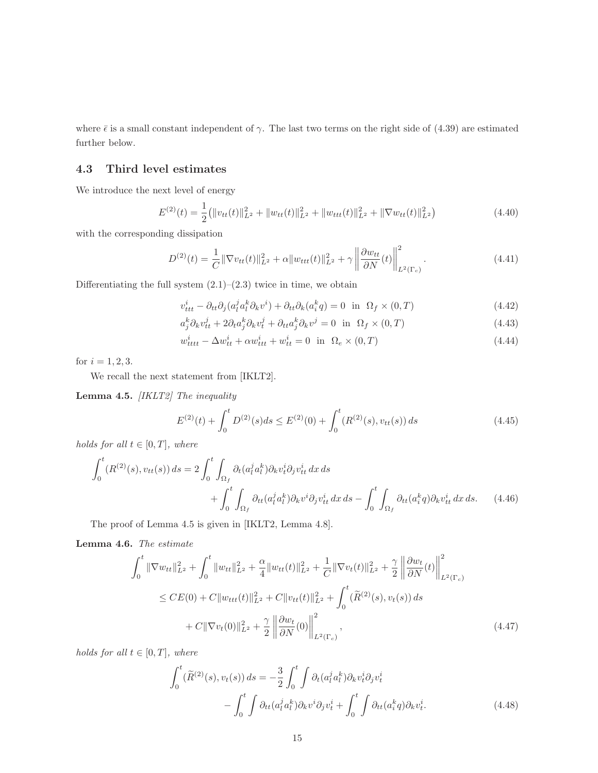where  $\bar{\epsilon}$  is a small constant independent of  $\gamma$ . The last two terms on the right side of (4.39) are estimated further below.

#### 4.3 Third level estimates

We introduce the next level of energy

$$
E^{(2)}(t) = \frac{1}{2} (||v_{tt}(t)||_{L^2}^2 + ||w_{tt}(t)||_{L^2}^2 + ||w_{tt}(t)||_{L^2}^2 + ||\nabla w_{tt}(t)||_{L^2}^2)
$$
\n(4.40)

with the corresponding dissipation

$$
D^{(2)}(t) = \frac{1}{C} \|\nabla v_{tt}(t)\|_{L^2}^2 + \alpha \|w_{ttt}(t)\|_{L^2}^2 + \gamma \left\|\frac{\partial w_{tt}}{\partial N}(t)\right\|_{L^2(\Gamma_c)}^2.
$$
 (4.41)

Differentiating the full system  $(2.1)$ – $(2.3)$  twice in time, we obtain

$$
v_{ttt}^{i} - \partial_{tt} \partial_j (a_l^j a_l^k \partial_k v^i) + \partial_{tt} \partial_k (a_i^k q) = 0 \text{ in } \Omega_f \times (0, T)
$$
\n(4.42)

$$
a_j^k \partial_k v_{tt}^j + 2 \partial_t a_j^k \partial_k v_t^j + \partial_{tt} a_j^k \partial_k v^j = 0 \quad \text{in} \quad \Omega_f \times (0, T) \tag{4.43}
$$

$$
w_{tttt}^i - \Delta w_{tt}^i + \alpha w_{ttt}^i + w_{tt}^i = 0 \quad \text{in} \quad \Omega_e \times (0, T) \tag{4.44}
$$

for  $i = 1, 2, 3$ .

We recall the next statement from [IKLT2].

Lemma 4.5. [IKLT2] The inequality

$$
E^{(2)}(t) + \int_0^t D^{(2)}(s)ds \le E^{(2)}(0) + \int_0^t (R^{(2)}(s), v_{tt}(s))ds
$$
\n(4.45)

holds for all  $t \in [0, T]$ , where

$$
\int_0^t (R^{(2)}(s), v_{tt}(s)) ds = 2 \int_0^t \int_{\Omega_f} \partial_t (a_l^j a_l^k) \partial_k v_t^i \partial_j v_{tt}^i dx ds + \int_0^t \int_{\Omega_f} \partial_{tt} (a_l^j a_l^k) \partial_k v^i \partial_j v_{tt}^i dx ds - \int_0^t \int_{\Omega_f} \partial_{tt} (a_i^k q) \partial_k v_{tt}^i dx ds.
$$
 (4.46)

The proof of Lemma 4.5 is given in [IKLT2, Lemma 4.8].

Lemma 4.6. The estimate

$$
\int_{0}^{t} \|\nabla w_{tt}\|_{L^{2}}^{2} + \int_{0}^{t} \|w_{tt}\|_{L^{2}}^{2} + \frac{\alpha}{4} \|w_{tt}(t)\|_{L^{2}}^{2} + \frac{1}{C} \|\nabla v_{t}(t)\|_{L^{2}}^{2} + \frac{\gamma}{2} \left\| \frac{\partial w_{t}}{\partial N}(t) \right\|_{L^{2}(\Gamma_{c})}^{2}
$$
\n
$$
\leq CE(0) + C \|w_{ttt}(t)\|_{L^{2}}^{2} + C \|v_{tt}(t)\|_{L^{2}}^{2} + \int_{0}^{t} (\widetilde{R}^{(2)}(s), v_{t}(s)) ds
$$
\n
$$
+ C \|\nabla v_{t}(0)\|_{L^{2}}^{2} + \frac{\gamma}{2} \left\| \frac{\partial w_{t}}{\partial N}(0) \right\|_{L^{2}(\Gamma_{c})}^{2}, \qquad (4.47)
$$

holds for all  $t \in [0, T]$ , where

$$
\int_0^t (\widetilde{R}^{(2)}(s), v_t(s)) ds = -\frac{3}{2} \int_0^t \int \partial_t (a_l^j a_l^k) \partial_k v_t^i \partial_j v_t^i
$$

$$
- \int_0^t \int \partial_{tt} (a_l^j a_l^k) \partial_k v^i \partial_j v_t^i + \int_0^t \int \partial_{tt} (a_i^k q) \partial_k v_t^i. \tag{4.48}
$$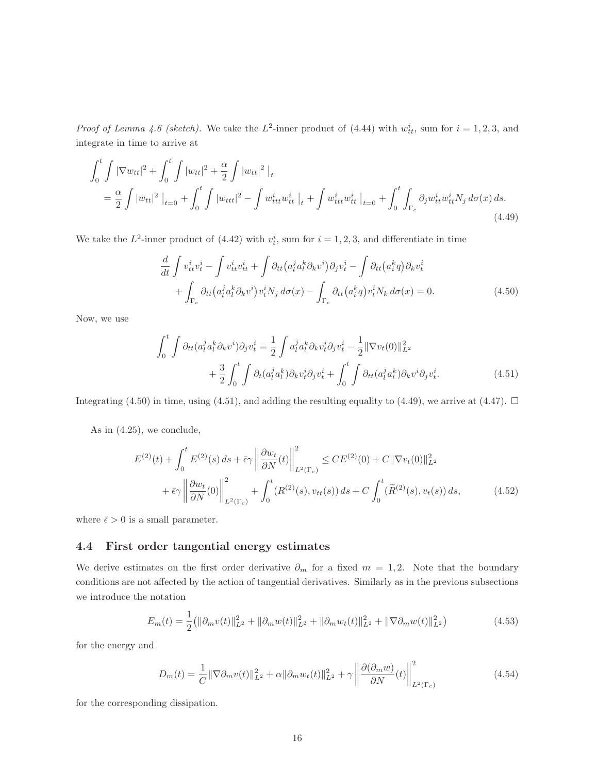*Proof of Lemma 4.6 (sketch)*. We take the  $L^2$ -inner product of (4.44) with  $w_{tt}^i$ , sum for  $i = 1, 2, 3$ , and integrate in time to arrive at

$$
\int_{0}^{t} \int |\nabla w_{tt}|^{2} + \int_{0}^{t} \int |w_{tt}|^{2} + \frac{\alpha}{2} \int |w_{tt}|^{2} \Big|_{t} \n= \frac{\alpha}{2} \int |w_{tt}|^{2} \Big|_{t=0} + \int_{0}^{t} \int |w_{ttt}|^{2} - \int w_{ttt}^{i} w_{tt}^{i} \Big|_{t} + \int w_{ttt}^{i} w_{tt}^{i} \Big|_{t=0} + \int_{0}^{t} \int_{\Gamma_{c}} \partial_{j} w_{tt}^{i} w_{tt}^{i} N_{j} d\sigma(x) ds.
$$
\n(4.49)

We take the  $L^2$ -inner product of (4.42) with  $v_t^i$ , sum for  $i = 1, 2, 3$ , and differentiate in time

$$
\frac{d}{dt} \int v_{tt}^{i} v_t^{i} - \int v_{tt}^{i} v_{tt}^{i} + \int \partial_{tt} (a_l^{j} a_l^{k} \partial_k v^{i}) \partial_j v_t^{i} - \int \partial_{tt} (a_i^{k} q) \partial_k v_t^{i} \n+ \int_{\Gamma_c} \partial_{tt} (a_l^{j} a_l^{k} \partial_k v^{i}) v_t^{i} N_j d\sigma(x) - \int_{\Gamma_c} \partial_{tt} (a_i^{k} q) v_t^{i} N_k d\sigma(x) = 0.
$$
\n(4.50)

Now, we use

$$
\int_0^t \int \partial_{tt} (a_l^j a_l^k \partial_k v^i) \partial_j v_t^i = \frac{1}{2} \int a_l^j a_l^k \partial_k v_t^i \partial_j v_t^i - \frac{1}{2} ||\nabla v_t(0)||_{L^2}^2 + \frac{3}{2} \int_0^t \int \partial_t (a_l^j a_l^k) \partial_k v_t^i \partial_j v_t^i + \int_0^t \int \partial_{tt} (a_l^j a_l^k) \partial_k v^i \partial_j v_t^i.
$$
(4.51)

Integrating (4.50) in time, using (4.51), and adding the resulting equality to (4.49), we arrive at (4.47).  $\Box$ 

As in (4.25), we conclude,

$$
E^{(2)}(t) + \int_0^t E^{(2)}(s) ds + \bar{\epsilon}\gamma \left\| \frac{\partial w_t}{\partial N}(t) \right\|_{L^2(\Gamma_c)}^2 \le CE^{(2)}(0) + C \|\nabla v_t(0)\|_{L^2}^2 + \bar{\epsilon}\gamma \left\| \frac{\partial w_t}{\partial N}(0) \right\|_{L^2(\Gamma_c)}^2 + \int_0^t (R^{(2)}(s), v_{tt}(s)) ds + C \int_0^t (\tilde{R}^{(2)}(s), v_t(s)) ds, \tag{4.52}
$$

where  $\bar{\epsilon} > 0$  is a small parameter.

#### 4.4 First order tangential energy estimates

We derive estimates on the first order derivative  $\partial_m$  for a fixed  $m = 1, 2$ . Note that the boundary conditions are not affected by the action of tangential derivatives. Similarly as in the previous subsections we introduce the notation

$$
E_m(t) = \frac{1}{2} (||\partial_m v(t)||_{L^2}^2 + ||\partial_m w(t)||_{L^2}^2 + ||\partial_m w_t(t)||_{L^2}^2 + ||\nabla \partial_m w(t)||_{L^2}^2)
$$
(4.53)

for the energy and

$$
D_m(t) = \frac{1}{C} \|\nabla \partial_m v(t)\|_{L^2}^2 + \alpha \|\partial_m w_t(t)\|_{L^2}^2 + \gamma \left\| \frac{\partial (\partial_m w)}{\partial N}(t) \right\|_{L^2(\Gamma_c)}^2
$$
(4.54)

for the corresponding dissipation.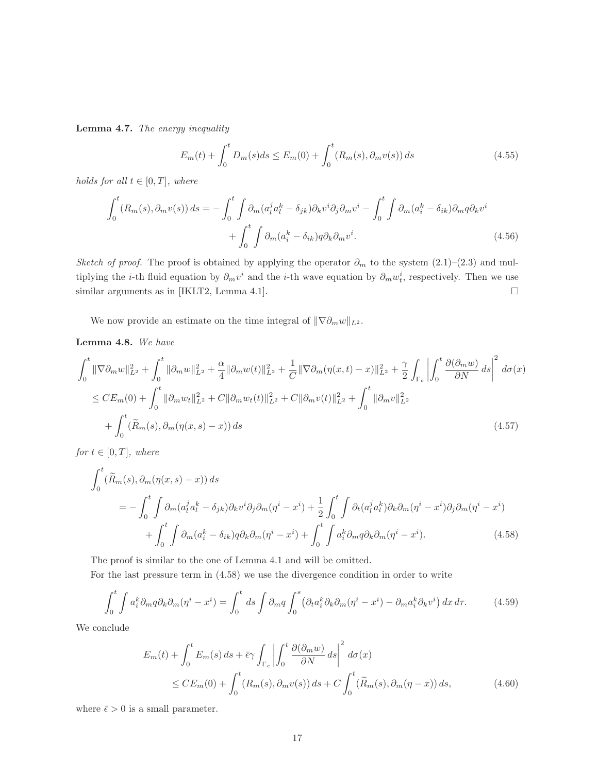Lemma 4.7. The energy inequality

$$
E_m(t) + \int_0^t D_m(s)ds \le E_m(0) + \int_0^t (R_m(s), \partial_m v(s)) ds \tag{4.55}
$$

holds for all  $t \in [0, T]$ , where

$$
\int_0^t (R_m(s), \partial_m v(s)) ds = -\int_0^t \int \partial_m (a_l^j a_l^k - \delta_{jk}) \partial_k v^i \partial_j \partial_m v^i - \int_0^t \int \partial_m (a_i^k - \delta_{ik}) \partial_m q \partial_k v^i
$$

$$
+ \int_0^t \int \partial_m (a_i^k - \delta_{ik}) q \partial_k \partial_m v^i.
$$
(4.56)

Sketch of proof. The proof is obtained by applying the operator  $\partial_m$  to the system (2.1)–(2.3) and multiplying the *i*-th fluid equation by  $\partial_m v^i$  and the *i*-th wave equation by  $\partial_m w^i_t$ , respectively. Then we use similar arguments as in [IKLT2, Lemma 4.1].

We now provide an estimate on the time integral of  $\|\nabla \partial_m w\|_{L^2}$ .

Lemma 4.8. We have

$$
\int_{0}^{t} \|\nabla \partial_{m} w\|_{L^{2}}^{2} + \int_{0}^{t} \|\partial_{m} w\|_{L^{2}}^{2} + \frac{\alpha}{4} \|\partial_{m} w(t)\|_{L^{2}}^{2} + \frac{1}{C} \|\nabla \partial_{m} (\eta(x,t) - x)\|_{L^{2}}^{2} + \frac{\gamma}{2} \int_{\Gamma_{c}} \left| \int_{0}^{t} \frac{\partial(\partial_{m} w)}{\partial N} ds \right|^{2} d\sigma(x)
$$
  
\n
$$
\leq C E_{m}(0) + \int_{0}^{t} \|\partial_{m} w_{t}\|_{L^{2}}^{2} + C \|\partial_{m} w_{t}(t)\|_{L^{2}}^{2} + C \|\partial_{m} v(t)\|_{L^{2}}^{2} + \int_{0}^{t} \|\partial_{m} v\|_{L^{2}}^{2}
$$
  
\n
$$
+ \int_{0}^{t} (\widetilde{R}_{m}(s), \partial_{m} (\eta(x,s) - x)) ds
$$
\n(4.57)

for  $t \in [0, T]$ , where

$$
\int_{0}^{t} (\widetilde{R}_{m}(s), \partial_{m}(\eta(x, s) - x)) ds
$$
\n
$$
= -\int_{0}^{t} \int \partial_{m} (a_{l}^{j} a_{l}^{k} - \delta_{jk}) \partial_{k} v^{i} \partial_{j} \partial_{m} (\eta^{i} - x^{i}) + \frac{1}{2} \int_{0}^{t} \int \partial_{t} (a_{l}^{j} a_{l}^{k}) \partial_{k} \partial_{m} (\eta^{i} - x^{i}) \partial_{j} \partial_{m} (\eta^{i} - x^{i})
$$
\n
$$
+ \int_{0}^{t} \int \partial_{m} (a_{i}^{k} - \delta_{ik}) q \partial_{k} \partial_{m} (\eta^{i} - x^{i}) + \int_{0}^{t} \int a_{i}^{k} \partial_{m} q \partial_{k} \partial_{m} (\eta^{i} - x^{i}). \qquad (4.58)
$$

The proof is similar to the one of Lemma 4.1 and will be omitted.

For the last pressure term in (4.58) we use the divergence condition in order to write

$$
\int_0^t \int a_i^k \partial_m q \partial_k \partial_m (\eta^i - x^i) = \int_0^t ds \int \partial_m q \int_0^s \left( \partial_t a_i^k \partial_k \partial_m (\eta^i - x^i) - \partial_m a_i^k \partial_k v^i \right) dx d\tau.
$$
 (4.59)

We conclude

$$
E_m(t) + \int_0^t E_m(s) ds + \bar{\epsilon} \gamma \int_{\Gamma_c} \left| \int_0^t \frac{\partial(\partial_m w)}{\partial N} ds \right|^2 d\sigma(x)
$$
  
\$\leq C E\_m(0) + \int\_0^t (R\_m(s), \partial\_m v(s)) ds + C \int\_0^t (\widetilde{R}\_m(s), \partial\_m(\eta - x)) ds\$, \qquad (4.60)\$

where  $\bar{\epsilon} > 0$  is a small parameter.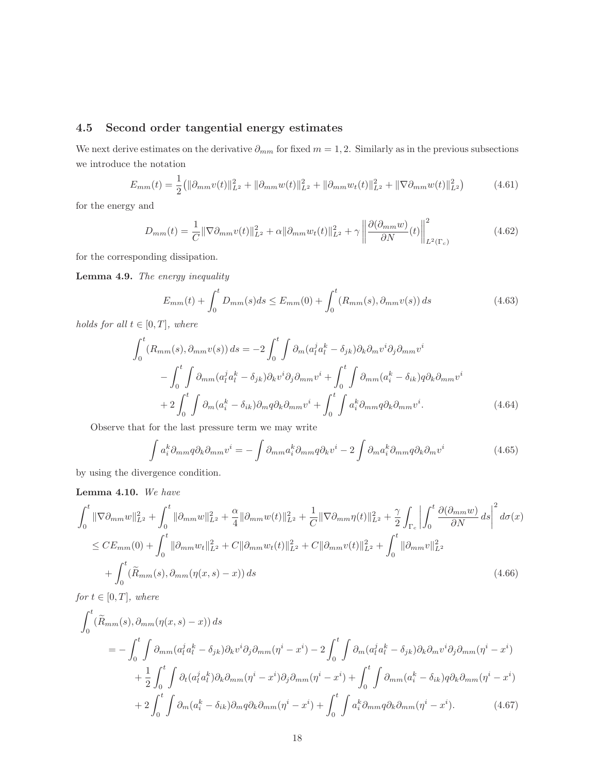### 4.5 Second order tangential energy estimates

We next derive estimates on the derivative  $\partial_{mm}$  for fixed  $m = 1, 2$ . Similarly as in the previous subsections we introduce the notation

$$
E_{mm}(t) = \frac{1}{2} (||\partial_{mm}v(t)||_{L^2}^2 + ||\partial_{mm}w(t)||_{L^2}^2 + ||\partial_{mm}w_t(t)||_{L^2}^2 + ||\nabla \partial_{mm}w(t)||_{L^2}^2)
$$
(4.61)

for the energy and

$$
D_{mm}(t) = \frac{1}{C} \|\nabla \partial_{mm} v(t)\|_{L^2}^2 + \alpha \|\partial_{mm} w_t(t)\|_{L^2}^2 + \gamma \left\| \frac{\partial (\partial_{mm} w)}{\partial N}(t) \right\|_{L^2(\Gamma_c)}^2 \tag{4.62}
$$

for the corresponding dissipation.

Lemma 4.9. The energy inequality

$$
E_{mm}(t) + \int_0^t D_{mm}(s)ds \le E_{mm}(0) + \int_0^t (R_{mm}(s), \partial_{mm}v(s))ds \tag{4.63}
$$

holds for all  $t \in [0, T]$ , where

$$
\int_{0}^{t} (R_{mm}(s), \partial_{mm}v(s)) ds = -2 \int_{0}^{t} \int \partial_{m}(a_{l}^{j} a_{l}^{k} - \delta_{jk}) \partial_{k} \partial_{m}v^{i} \partial_{j} \partial_{mm}v^{i}
$$

$$
- \int_{0}^{t} \int \partial_{mm}(a_{l}^{j} a_{l}^{k} - \delta_{jk}) \partial_{k}v^{i} \partial_{j} \partial_{mm}v^{i} + \int_{0}^{t} \int \partial_{mm}(a_{i}^{k} - \delta_{ik}) q \partial_{k} \partial_{mm}v^{i}
$$

$$
+ 2 \int_{0}^{t} \int \partial_{m}(a_{i}^{k} - \delta_{ik}) \partial_{m}q \partial_{k} \partial_{mm}v^{i} + \int_{0}^{t} \int a_{i}^{k} \partial_{mm}q \partial_{k} \partial_{mm}v^{i}.
$$
(4.64)

Observe that for the last pressure term we may write

$$
\int a_i^k \partial_{mm} q \partial_k \partial_{mm} v^i = -\int \partial_{mm} a_i^k \partial_{mm} q \partial_k v^i - 2 \int \partial_m a_i^k \partial_{mm} q \partial_k \partial_m v^i \tag{4.65}
$$

by using the divergence condition.

#### Lemma 4.10. We have

$$
\int_{0}^{t} \|\nabla \partial_{mm} w\|_{L^{2}}^{2} + \int_{0}^{t} \|\partial_{mm} w\|_{L^{2}}^{2} + \frac{\alpha}{4} \|\partial_{mm} w(t)\|_{L^{2}}^{2} + \frac{1}{C} \|\nabla \partial_{mm} \eta(t)\|_{L^{2}}^{2} + \frac{\gamma}{2} \int_{\Gamma_{c}} \left| \int_{0}^{t} \frac{\partial(\partial_{mm} w)}{\partial N} ds \right|^{2} d\sigma(x)
$$
  
\n
$$
\leq CE_{mm}(0) + \int_{0}^{t} \|\partial_{mm} w_{t}\|_{L^{2}}^{2} + C \|\partial_{mm} w_{t}(t)\|_{L^{2}}^{2} + C \|\partial_{mm} v(t)\|_{L^{2}}^{2} + \int_{0}^{t} \|\partial_{mm} v\|_{L^{2}}^{2}
$$
  
\n
$$
+ \int_{0}^{t} (\widetilde{R}_{mm}(s), \partial_{mm} (\eta(x, s) - x)) ds
$$
\n(4.66)

 $for t \in [0, T],$  where

$$
\int_{0}^{t} (\widetilde{R}_{mm}(s), \partial_{mm}(\eta(x, s) - x)) ds
$$
\n
$$
= -\int_{0}^{t} \int \partial_{mm} (a_{l}^{j} a_{l}^{k} - \delta_{jk}) \partial_{k} v^{i} \partial_{j} \partial_{mm} (\eta^{i} - x^{i}) - 2 \int_{0}^{t} \int \partial_{m} (a_{l}^{j} a_{l}^{k} - \delta_{jk}) \partial_{k} \partial_{m} v^{i} \partial_{j} \partial_{mm} (\eta^{i} - x^{i})
$$
\n
$$
+ \frac{1}{2} \int_{0}^{t} \int \partial_{t} (a_{l}^{j} a_{l}^{k}) \partial_{k} \partial_{mm} (\eta^{i} - x^{i}) \partial_{j} \partial_{mm} (\eta^{i} - x^{i}) + \int_{0}^{t} \int \partial_{mm} (a_{i}^{k} - \delta_{ik}) q \partial_{k} \partial_{mm} (\eta^{i} - x^{i})
$$
\n
$$
+ 2 \int_{0}^{t} \int \partial_{m} (a_{i}^{k} - \delta_{ik}) \partial_{m} q \partial_{k} \partial_{mm} (\eta^{i} - x^{i}) + \int_{0}^{t} \int a_{i}^{k} \partial_{mm} q \partial_{k} \partial_{mm} (\eta^{i} - x^{i}). \qquad (4.67)
$$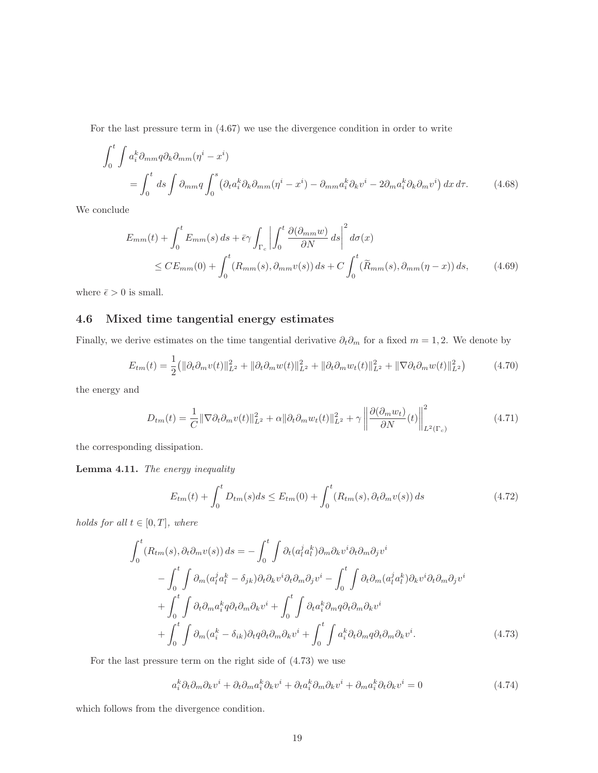For the last pressure term in (4.67) we use the divergence condition in order to write

$$
\int_{0}^{t} \int a_{i}^{k} \partial_{mm} q \partial_{k} \partial_{mm} (\eta^{i} - x^{i})
$$
\n
$$
= \int_{0}^{t} ds \int \partial_{mm} q \int_{0}^{s} \left( \partial_{t} a_{i}^{k} \partial_{k} \partial_{mm} (\eta^{i} - x^{i}) - \partial_{mm} a_{i}^{k} \partial_{k} v^{i} - 2 \partial_{m} a_{i}^{k} \partial_{k} \partial_{m} v^{i} \right) dx d\tau.
$$
\n(4.68)

We conclude

$$
E_{mm}(t) + \int_0^t E_{mm}(s) ds + \bar{\epsilon}\gamma \int_{\Gamma_c} \left| \int_0^t \frac{\partial(\partial_{mm} w)}{\partial N} ds \right|^2 d\sigma(x)
$$
  
\$\leq C E\_{mm}(0) + \int\_0^t (R\_{mm}(s), \partial\_{mm} v(s)) ds + C \int\_0^t (\widetilde{R}\_{mm}(s), \partial\_{mm}(\eta - x)) ds\$, (4.69)

where  $\bar{\epsilon} > 0$  is small.

### 4.6 Mixed time tangential energy estimates

Finally, we derive estimates on the time tangential derivative  $\partial_t \partial_m$  for a fixed  $m = 1, 2$ . We denote by

$$
E_{tm}(t) = \frac{1}{2} (||\partial_t \partial_m v(t)||_{L^2}^2 + ||\partial_t \partial_m w(t)||_{L^2}^2 + ||\partial_t \partial_m w_t(t)||_{L^2}^2 + ||\nabla \partial_t \partial_m w(t)||_{L^2}^2)
$$
(4.70)

the energy and

$$
D_{tm}(t) = \frac{1}{C} \|\nabla \partial_t \partial_m v(t)\|_{L^2}^2 + \alpha \|\partial_t \partial_m w_t(t)\|_{L^2}^2 + \gamma \left\| \frac{\partial (\partial_m w_t)}{\partial N}(t) \right\|_{L^2(\Gamma_c)}^2
$$
(4.71)

the corresponding dissipation.

Lemma 4.11. The energy inequality

$$
E_{tm}(t) + \int_0^t D_{tm}(s)ds \le E_{tm}(0) + \int_0^t (R_{tm}(s), \partial_t \partial_m v(s)) ds \qquad (4.72)
$$

holds for all  $t \in [0, T]$ , where

$$
\int_{0}^{t} (R_{tm}(s), \partial_{t} \partial_{m} v(s)) ds = -\int_{0}^{t} \int \partial_{t} (a_{l}^{j} a_{l}^{k}) \partial_{m} \partial_{k} v^{i} \partial_{t} \partial_{m} \partial_{j} v^{i} \n- \int_{0}^{t} \int \partial_{m} (a_{l}^{j} a_{l}^{k} - \delta_{jk}) \partial_{t} \partial_{k} v^{i} \partial_{t} \partial_{m} \partial_{j} v^{i} - \int_{0}^{t} \int \partial_{t} \partial_{m} (a_{l}^{j} a_{l}^{k}) \partial_{k} v^{i} \partial_{t} \partial_{m} \partial_{j} v^{i} \n+ \int_{0}^{t} \int \partial_{t} \partial_{m} a_{i}^{k} q \partial_{t} \partial_{m} \partial_{k} v^{i} + \int_{0}^{t} \int \partial_{t} a_{i}^{k} \partial_{m} q \partial_{t} \partial_{m} \partial_{k} v^{i} \n+ \int_{0}^{t} \int \partial_{m} (a_{i}^{k} - \delta_{ik}) \partial_{t} q \partial_{t} \partial_{m} \partial_{k} v^{i} + \int_{0}^{t} \int a_{i}^{k} \partial_{t} \partial_{m} q \partial_{t} \partial_{m} \partial_{k} v^{i}.
$$
\n(4.73)

For the last pressure term on the right side of (4.73) we use

$$
a_i^k \partial_t \partial_m \partial_k v^i + \partial_t \partial_m a_i^k \partial_k v^i + \partial_t a_i^k \partial_m \partial_k v^i + \partial_m a_i^k \partial_t \partial_k v^i = 0 \tag{4.74}
$$

which follows from the divergence condition.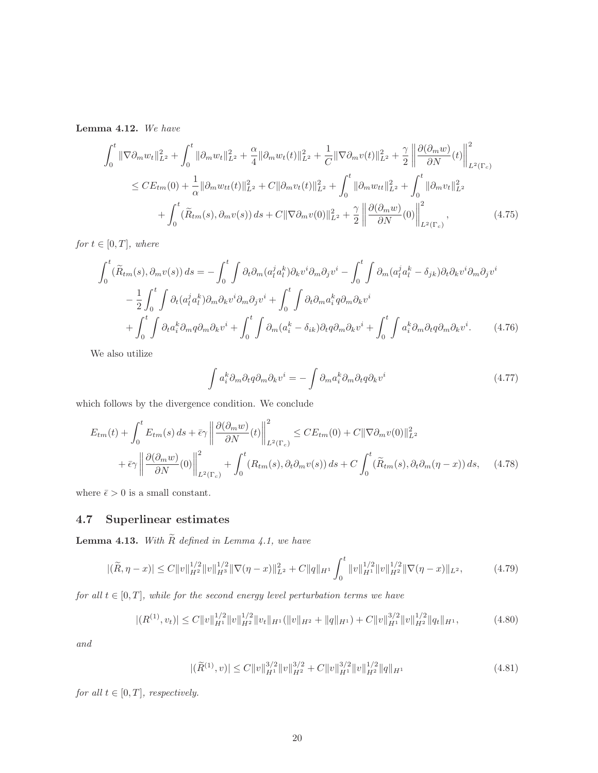Lemma 4.12. We have

$$
\int_{0}^{t} \|\nabla \partial_{m} w_{t}\|_{L^{2}}^{2} + \int_{0}^{t} \|\partial_{m} w_{t}\|_{L^{2}}^{2} + \frac{\alpha}{4} \|\partial_{m} w_{t}(t)\|_{L^{2}}^{2} + \frac{1}{C} \|\nabla \partial_{m} v(t)\|_{L^{2}}^{2} + \frac{\gamma}{2} \left\| \frac{\partial(\partial_{m} w)}{\partial N}(t) \right\|_{L^{2}(\Gamma_{c})}^{2}
$$
\n
$$
\leq CE_{tm}(0) + \frac{1}{\alpha} \|\partial_{m} w_{tt}(t)\|_{L^{2}}^{2} + C \|\partial_{m} v_{t}(t)\|_{L^{2}}^{2} + \int_{0}^{t} \|\partial_{m} w_{tt}\|_{L^{2}}^{2} + \int_{0}^{t} \|\partial_{m} v_{t}\|_{L^{2}}^{2}
$$
\n
$$
+ \int_{0}^{t} (\widetilde{R}_{tm}(s), \partial_{m} v(s)) ds + C \|\nabla \partial_{m} v(0)\|_{L^{2}}^{2} + \frac{\gamma}{2} \left\| \frac{\partial(\partial_{m} w)}{\partial N}(0) \right\|_{L^{2}(\Gamma_{c})}^{2}, \tag{4.75}
$$

for  $t \in [0, T]$ , where

$$
\int_{0}^{t} (\widetilde{R}_{tm}(s), \partial_{m}v(s)) ds = -\int_{0}^{t} \int \partial_{t} \partial_{m} (a_{l}^{j} a_{l}^{k}) \partial_{k}v^{i} \partial_{m} \partial_{j}v^{i} - \int_{0}^{t} \int \partial_{m} (a_{l}^{j} a_{l}^{k} - \delta_{jk}) \partial_{t} \partial_{k}v^{i} \partial_{m} \partial_{j}v^{i}
$$

$$
- \frac{1}{2} \int_{0}^{t} \int \partial_{t} (a_{l}^{j} a_{l}^{k}) \partial_{m} \partial_{k}v^{i} \partial_{m} \partial_{j}v^{i} + \int_{0}^{t} \int \partial_{t} \partial_{m} a_{i}^{k} q \partial_{m} \partial_{k}v^{i}
$$

$$
+ \int_{0}^{t} \int \partial_{t} a_{i}^{k} \partial_{m} q \partial_{m} \partial_{k}v^{i} + \int_{0}^{t} \int \partial_{m} (a_{i}^{k} - \delta_{ik}) \partial_{t} q \partial_{m} \partial_{k}v^{i} + \int_{0}^{t} \int a_{i}^{k} \partial_{m} \partial_{t} q \partial_{m} \partial_{k}v^{i}. \qquad (4.76)
$$

We also utilize

$$
\int a_i^k \partial_m \partial_t q \partial_m \partial_k v^i = -\int \partial_m a_i^k \partial_m \partial_t q \partial_k v^i \tag{4.77}
$$

which follows by the divergence condition. We conclude

$$
E_{tm}(t) + \int_0^t E_{tm}(s) ds + \bar{\epsilon}\gamma \left\| \frac{\partial(\partial_m w)}{\partial N}(t) \right\|_{L^2(\Gamma_c)}^2 \leq CE_{tm}(0) + C \|\nabla \partial_m v(0)\|_{L^2}^2 + \bar{\epsilon}\gamma \left\| \frac{\partial(\partial_m w)}{\partial N}(0) \right\|_{L^2(\Gamma_c)}^2 + \int_0^t (R_{tm}(s), \partial_t \partial_m v(s)) ds + C \int_0^t (\widetilde{R}_{tm}(s), \partial_t \partial_m (\eta - x)) ds, \quad (4.78)
$$

where  $\bar{\epsilon}>0$  is a small constant.

### 4.7 Superlinear estimates

Lemma 4.13. With  $\widetilde{R}$  defined in Lemma 4.1, we have

$$
|(\widetilde{R}, \eta - x)| \le C \|v\|_{H^2}^{1/2} \|v\|_{H^3}^{1/2} \|\nabla(\eta - x)\|_{L^2}^2 + C \|q\|_{H^1} \int_0^t \|v\|_{H^1}^{1/2} \|v\|_{H^2}^{1/2} \|\nabla(\eta - x)\|_{L^2}, \tag{4.79}
$$

for all  $t \in [0, T]$ , while for the second energy level perturbation terms we have

$$
|(R^{(1)}, v_t)| \le C \|v\|_{H^1}^{1/2} \|v\|_{H^2}^{1/2} \|v_t\|_{H^1} (\|v\|_{H^2} + \|q\|_{H^1}) + C \|v\|_{H^1}^{3/2} \|v\|_{H^2}^{1/2} \|q_t\|_{H^1},
$$
\n(4.80)

and

$$
|(\widetilde{R}^{(1)}, v)| \le C \|v\|_{H^1}^{3/2} \|v\|_{H^2}^{3/2} + C \|v\|_{H^1}^{3/2} \|v\|_{H^2}^{1/2} \|q\|_{H^1}
$$
\n(4.81)

for all  $t \in [0, T]$ , respectively.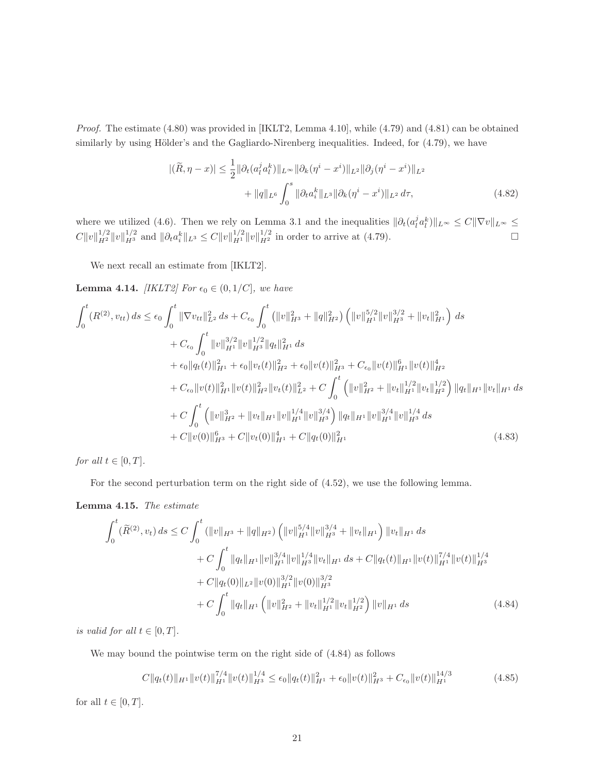Proof. The estimate (4.80) was provided in [IKLT2, Lemma 4.10], while (4.79) and (4.81) can be obtained similarly by using Hölder's and the Gagliardo-Nirenberg inequalities. Indeed, for  $(4.79)$ , we have

$$
|(\widetilde{R}, \eta - x)| \le \frac{1}{2} \|\partial_t (a_l^j a_l^k)\|_{L^\infty} \|\partial_k (\eta^i - x^i)\|_{L^2} \|\partial_j (\eta^i - x^i)\|_{L^2} + \|q\|_{L^6} \int_0^s \|\partial_t a_i^k\|_{L^3} \|\partial_k (\eta^i - x^i)\|_{L^2} d\tau,
$$
(4.82)

where we utilized (4.6). Then we rely on Lemma 3.1 and the inequalities  $\|\partial_t(a_i^j a_l^k)\|_{L^\infty} \leq C\|\nabla v\|_{L^\infty} \leq$  $C||v||_{H^2}^{1/2}||v||_{H^3}^{1/2}$  and  $||\partial_t a_i^k||_{L^3} \leq C||v||_{H^1}^{1/2}||v||_{H^2}^{1/2}$  in order to arrive at (4.79).

We next recall an estimate from [IKLT2].

**Lemma 4.14.** [IKLT2] For  $\epsilon_0 \in (0, 1/C]$ , we have

$$
\int_{0}^{t} (R^{(2)}, v_{tt}) ds \leq \epsilon_{0} \int_{0}^{t} \|\nabla v_{tt}\|_{L^{2}}^{2} ds + C_{\epsilon_{0}} \int_{0}^{t} \left( \|v\|_{H^{3}}^{2} + \|q\|_{H^{2}}^{2} \right) \left( \|v\|_{H^{1}}^{5/2} \|v\|_{H^{3}}^{3/2} + \|v_{t}\|_{H^{1}}^{2} \right) ds \n+ C_{\epsilon_{0}} \int_{0}^{t} \|v\|_{H^{1}}^{3/2} \|v\|_{H^{3}}^{1/2} \|q_{t}\|_{H^{1}}^{2} ds \n+ \epsilon_{0} \|q_{t}(t)\|_{H^{1}}^{2} + \epsilon_{0} \|v_{t}(t)\|_{H^{2}}^{2} + \epsilon_{0} \|v(t)\|_{H^{3}}^{2} + C_{\epsilon_{0}} \|v(t)\|_{H^{1}}^{6} \|v(t)\|_{H^{2}}^{4} \n+ C_{\epsilon_{0}} \|v(t)\|_{H^{1}}^{2} \|v(t)\|_{H^{2}}^{2} \|v_{t}(t)\|_{L^{2}}^{2} + C \int_{0}^{t} \left( \|v\|_{H^{2}}^{2} + \|v_{t}\|_{H^{1}}^{1/2} \|v_{t}\|_{H^{2}}^{1/2} \right) \|q_{t}\|_{H^{1}} \|v_{t}\|_{H^{1}} ds \n+ C \int_{0}^{t} \left( \|v\|_{H^{2}}^{3} + \|v_{t}\|_{H^{1}} \|v\|_{H^{1}}^{3/4} \|v\|_{H^{3}}^{3/4} \right) \|q_{t}\|_{H^{1}} \|v\|_{H^{1}}^{3/4} \|v\|_{H^{3}}^{1/4} ds \n+ C \|v(0)\|_{H^{3}}^{6} + C \|v_{t}(0)\|_{H^{1}}^{4} + C \|q_{t}(0)\|_{H^{1}}^{2}
$$
\n(4.83)

for all  $t \in [0, T]$ .

For the second perturbation term on the right side of (4.52), we use the following lemma.

Lemma 4.15. The estimate

$$
\int_{0}^{t} (\widetilde{R}^{(2)}, v_{t}) ds \le C \int_{0}^{t} (||v||_{H^{3}} + ||q||_{H^{2}}) (||v||_{H^{1}}^{5/4} ||v||_{H^{3}}^{3/4} + ||v_{t}||_{H^{1}}) ||v_{t}||_{H^{1}} ds \n+ C \int_{0}^{t} ||q_{t}||_{H^{1}} ||v||_{H^{1}}^{3/4} ||v||_{H^{3}}^{1/4} ||v_{t}||_{H^{1}} ds + C ||q_{t}(t)||_{H^{1}} ||v(t)||_{H^{1}}^{7/4} ||v(t)||_{H^{3}}^{1/4} \n+ C ||q_{t}(0)||_{L^{2}} ||v(0)||_{H^{1}}^{3/2} ||v(0)||_{H^{3}}^{3/2} \n+ C \int_{0}^{t} ||q_{t}||_{H^{1}} (||v||_{H^{2}}^{2} + ||v_{t}||_{H^{1}}^{1/2} ||v_{t}||_{H^{2}}^{1/2}) ||v||_{H^{1}} ds
$$
\n(4.84)

is valid for all  $t \in [0, T]$ .

We may bound the pointwise term on the right side of (4.84) as follows

$$
C||q_t(t)||_{H^1}||v(t)||_{H^1}^{\frac{7}{4}}||v(t)||_{H^3}^{\frac{1}{4}} \leq \epsilon_0||q_t(t)||_{H^1}^2 + \epsilon_0||v(t)||_{H^3}^{\frac{2}{4}} + C_{\epsilon_0}||v(t)||_{H^1}^{\frac{14}{3}} \tag{4.85}
$$

for all  $t \in [0, T]$ .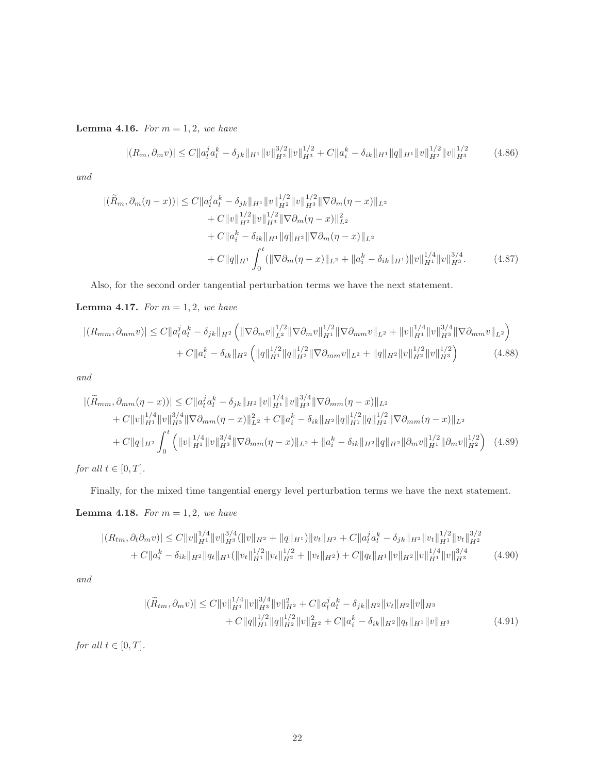**Lemma 4.16.** For  $m = 1, 2$ , we have

$$
|(R_m, \partial_m v)| \le C \|a_l^j a_l^k - \delta_{jk} \|_{H^1} \|v\|_{H^2}^{3/2} \|v\|_{H^3}^{1/2} + C \|a_i^k - \delta_{ik} \|_{H^1} \|q\|_{H^1} \|v\|_{H^2}^{1/2} \|v\|_{H^3}^{1/2}
$$
(4.86)

and

$$
|(\widetilde{R}_m, \partial_m(\eta - x))| \le C \|a_l^j a_l^k - \delta_{jk} \|H^1 \|v\|_{H^2}^{1/2} \|v\|_{H^3}^{1/2} \|\nabla \partial_m(\eta - x)\|_{L^2}
$$
  
+  $C \|v\|_{H^2}^{1/2} \|v\|_{H^3}^{1/2} \|\nabla \partial_m(\eta - x)\|_{L^2}^2$   
+  $C \|a_l^k - \delta_{ik} \|H^1 \|q\|_{H^2} \|\nabla \partial_m(\eta - x)\|_{L^2}$   
+  $C \|q\|_{H^1} \int_0^t ( \|\nabla \partial_m(\eta - x)\|_{L^2} + \|a_l^k - \delta_{ik} \|H^1) \|v\|_{H^1}^{1/4} \|v\|_{H^3}^{3/4}.$  (4.87)

Also, for the second order tangential perturbation terms we have the next statement.

**Lemma 4.17.** For  $m = 1, 2$ , we have

$$
|(R_{mm},\partial_{mm}v)| \leq C \|a_l^j a_l^k - \delta_{jk}\|_{H^2} \left( \|\nabla \partial_m v\|_{L^2}^{1/2} \|\nabla \partial_m v\|_{H^1}^{1/2} \|\nabla \partial_{mm} v\|_{L^2} + \|v\|_{H^1}^{1/4} \|v\|_{H^3}^{3/4} \|\nabla \partial_{mm} v\|_{L^2} \right) + C \|a_i^k - \delta_{ik}\|_{H^2} \left( \|q\|_{H^1}^{1/2} \|q\|_{H^2}^{1/2} \|\nabla \partial_{mm} v\|_{L^2} + \|q\|_{H^2} \|v\|_{H^2}^{1/2} \|v\|_{H^3}^{1/2} \right)
$$
(4.88)

and

$$
\left| (\widetilde{R}_{mm}, \partial_{mm}(\eta - x)) \right| \leq C \| a_l^j a_l^k - \delta_{jk} \|_{H^2} \| v \|_{H^1}^{1/4} \| v \|_{H^3}^{3/4} \| \nabla \partial_{mm}(\eta - x) \|_{L^2} \n+ C \| v \|_{H^1}^{1/4} \| v \|_{H^3}^{3/4} \| \nabla \partial_{mm}(\eta - x) \|_{L^2}^2 + C \| a_l^k - \delta_{ik} \|_{H^2} \| q \|_{H^1}^{1/2} \| q \|_{H^2}^{1/2} \| \nabla \partial_{mm}(\eta - x) \|_{L^2} \n+ C \| q \|_{H^2} \int_0^t \left( \| v \|_{H^1}^{1/4} \| v \|_{H^3}^{3/4} \| \nabla \partial_{mm}(\eta - x) \|_{L^2} + \| a_i^k - \delta_{ik} \|_{H^2} \| q \|_{H^2} \| \partial_m v \|_{H^1}^{1/2} \| \partial_m v \|_{H^2}^{1/2} \right) (4.89)
$$

for all  $t \in [0, T]$ .

Finally, for the mixed time tangential energy level perturbation terms we have the next statement.

**Lemma 4.18.** For  $m = 1, 2$ , we have

$$
|(R_{tm},\partial_t\partial_m v)| \le C \|v\|_{H^1}^{1/4} \|v\|_{H^3}^{3/4} (\|v\|_{H^2} + \|q\|_{H^1}) \|v_t\|_{H^2} + C \|a_l^j a_l^k - \delta_{jk}\|_{H^2} \|v_t\|_{H^1}^{1/2} \|v_t\|_{H^2}^{3/2} + C \|a_i^k - \delta_{ik}\|_{H^2} \|q_t\|_{H^1} (\|v_t\|_{H^1}^{1/2} \|v_t\|_{H^2}^{1/2} + \|v_t\|_{H^2}) + C \|q_t\|_{H^1} \|v\|_{H^2} \|v\|_{H^1}^{1/4} \|v\|_{H^3}^{3/4}
$$
(4.90)

and

$$
|(\widetilde{R}_{tm}, \partial_m v)| \le C \|v\|_{H^1}^{1/4} \|v\|_{H^3}^{3/4} \|v\|_{H^2}^2 + C \|a_l^j a_l^k - \delta_{jk}\|_{H^2} \|v_t\|_{H^2} \|v\|_{H^3} + C \|q\|_{H^1}^{1/2} \|q\|_{H^2}^{1/2} \|v\|_{H^2}^2 + C \|a_i^k - \delta_{ik}\|_{H^2} \|q_t\|_{H^1} \|v\|_{H^3}
$$
(4.91)

for all  $t \in [0, T]$ .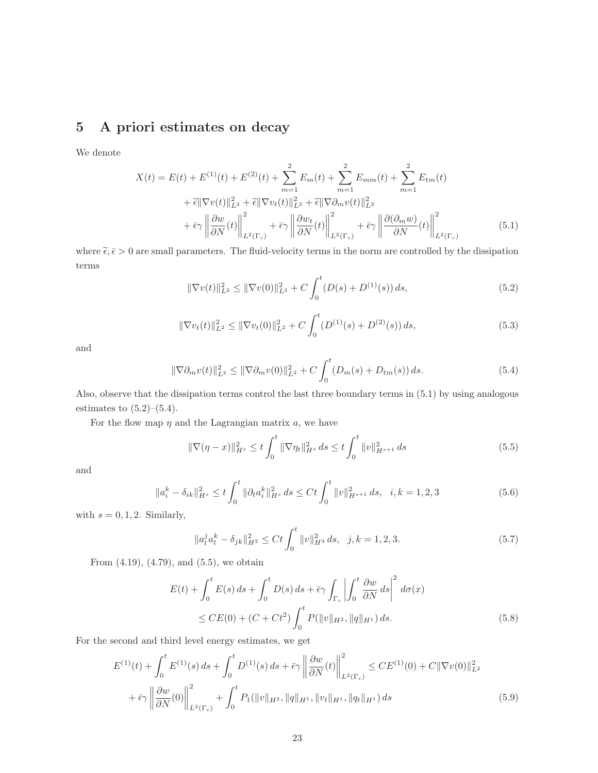## 5 A priori estimates on decay

We denote

$$
X(t) = E(t) + E^{(1)}(t) + E^{(2)}(t) + \sum_{m=1}^{2} E_m(t) + \sum_{m=1}^{2} E_{mm}(t) + \sum_{m=1}^{2} E_{tm}(t)
$$
  
+  $\tilde{\epsilon} || \nabla v(t)||_{L^2}^2 + \tilde{\epsilon} || \nabla v_t(t)||_{L^2}^2 + \tilde{\epsilon} || \nabla \partial_m v(t)||_{L^2}^2$   
+  $\tilde{\epsilon} \gamma \left\| \frac{\partial w}{\partial N}(t) \right\|_{L^2(\Gamma_c)}^2 + \tilde{\epsilon} \gamma \left\| \frac{\partial w_t}{\partial N}(t) \right\|_{L^2(\Gamma_c)}^2 + \tilde{\epsilon} \gamma \left\| \frac{\partial (\partial_m w)}{\partial N}(t) \right\|_{L^2(\Gamma_c)}^2$ (5.1)

where  $\tilde{\epsilon}, \bar{\epsilon} > 0$  are small parameters. The fluid-velocity terms in the norm are controlled by the dissipation terms

$$
\|\nabla v(t)\|_{L^2}^2 \le \|\nabla v(0)\|_{L^2}^2 + C \int_0^t (D(s) + D^{(1)}(s)) ds,
$$
\n(5.2)

$$
\|\nabla v_t(t)\|_{L^2}^2 \le \|\nabla v_t(0)\|_{L^2}^2 + C \int_0^t (D^{(1)}(s) + D^{(2)}(s)) ds,
$$
\n(5.3)

and

$$
\|\nabla \partial_m v(t)\|_{L^2}^2 \le \|\nabla \partial_m v(0)\|_{L^2}^2 + C \int_0^t (D_m(s) + D_{tm}(s)) ds.
$$
\n(5.4)

Also, observe that the dissipation terms control the last three boundary terms in (5.1) by using analogous estimates to  $(5.2)$ – $(5.4)$ .

For the flow map  $\eta$  and the Lagrangian matrix  $a$ , we have

$$
\|\nabla(\eta - x)\|_{H^s}^2 \le t \int_0^t \|\nabla \eta_t\|_{H^s}^2 ds \le t \int_0^t \|v\|_{H^{s+1}}^2 ds \tag{5.5}
$$

and

$$
\|a_i^k - \delta_{ik}\|_{H^s}^2 \le t \int_0^t \|\partial_t a_i^k\|_{H^s}^2 ds \le Ct \int_0^t \|v\|_{H^{s+1}}^2 ds, \quad i, k = 1, 2, 3
$$
 (5.6)

with  $s = 0, 1, 2$ . Similarly,

$$
\|a_l^j a_l^k - \delta_{jk}\|_{H^2}^2 \le Ct \int_0^t \|v\|_{H^3}^2 ds, \quad j, k = 1, 2, 3. \tag{5.7}
$$

From (4.19), (4.79), and (5.5), we obtain

$$
E(t) + \int_0^t E(s) \, ds + \int_0^t D(s) \, ds + \bar{\epsilon} \gamma \int_{\Gamma_c} \left| \int_0^t \frac{\partial w}{\partial N} \, ds \right|^2 \, d\sigma(x)
$$
  
\$\leq C E(0) + (C + Ct^2) \int\_0^t P(\|v\|\_{H^2}, \|q\|\_{H^1}) \, ds. \tag{5.8}

For the second and third level energy estimates, we get

$$
E^{(1)}(t) + \int_0^t E^{(1)}(s) ds + \int_0^t D^{(1)}(s) ds + \bar{\epsilon}\gamma \left\| \frac{\partial w}{\partial N}(t) \right\|_{L^2(\Gamma_c)}^2 \le CE^{(1)}(0) + C \|\nabla v(0)\|_{L^2}^2 + \bar{\epsilon}\gamma \left\| \frac{\partial w}{\partial N}(0) \right\|_{L^2(\Gamma_c)}^2 + \int_0^t P_1(\|v\|_{H^2}, \|q\|_{H^1}, \|v_t\|_{H^1}, \|q_t\|_{H^1}) ds \tag{5.9}
$$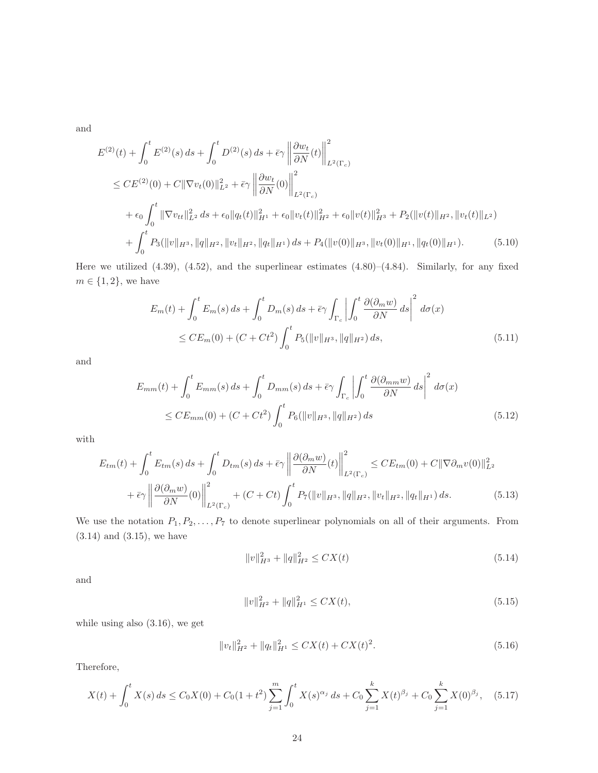and

$$
E^{(2)}(t) + \int_{0}^{t} E^{(2)}(s) ds + \int_{0}^{t} D^{(2)}(s) ds + \bar{\epsilon}\gamma \left\| \frac{\partial w_{t}}{\partial N}(t) \right\|_{L^{2}(\Gamma_{c})}^{2}
$$
  
\n
$$
\leq CE^{(2)}(0) + C \|\nabla v_{t}(0)\|_{L^{2}}^{2} + \bar{\epsilon}\gamma \left\| \frac{\partial w_{t}}{\partial N}(0) \right\|_{L^{2}(\Gamma_{c})}^{2}
$$
  
\n
$$
+ \epsilon_{0} \int_{0}^{t} \|\nabla v_{tt}\|_{L^{2}}^{2} ds + \epsilon_{0} \|q_{t}(t)\|_{H^{1}}^{2} + \epsilon_{0} \|v_{t}(t)\|_{H^{2}}^{2} + \epsilon_{0} \|v(t)\|_{H^{3}}^{2} + P_{2}(\|v(t)\|_{H^{2}}, \|v_{t}(t)\|_{L^{2}})
$$
  
\n
$$
+ \int_{0}^{t} P_{3}(\|v\|_{H^{3}}, \|q\|_{H^{2}}, \|v_{t}\|_{H^{2}}, \|q_{t}\|_{H^{1}}) ds + P_{4}(\|v(0)\|_{H^{3}}, \|v_{t}(0)\|_{H^{1}}, \|q_{t}(0)\|_{H^{1}}). \tag{5.10}
$$

Here we utilized (4.39), (4.52), and the superlinear estimates (4.80)–(4.84). Similarly, for any fixed  $m \in \{1, 2\}$ , we have

$$
E_m(t) + \int_0^t E_m(s) \, ds + \int_0^t D_m(s) \, ds + \bar{\epsilon} \gamma \int_{\Gamma_c} \left| \int_0^t \frac{\partial(\partial_m w)}{\partial N} \, ds \right|^2 \, d\sigma(x)
$$
  
\$\leq C E\_m(0) + (C + Ct^2) \int\_0^t P\_5(\|v\|\_{H^3}, \|q\|\_{H^2}) \, ds\$, \tag{5.11}

and

$$
E_{mm}(t) + \int_0^t E_{mm}(s) \, ds + \int_0^t D_{mm}(s) \, ds + \bar{\epsilon} \gamma \int_{\Gamma_c} \left| \int_0^t \frac{\partial(\partial_{mm} w)}{\partial N} \, ds \right|^2 \, d\sigma(x)
$$
  

$$
\leq C E_{mm}(0) + (C + Ct^2) \int_0^t P_6(\|v\|_{H^3}, \|q\|_{H^2}) \, ds \tag{5.12}
$$

with

$$
E_{tm}(t) + \int_0^t E_{tm}(s) ds + \int_0^t D_{tm}(s) ds + \bar{\epsilon} \gamma \left\| \frac{\partial(\partial_m w)}{\partial N}(t) \right\|_{L^2(\Gamma_c)}^2 \leq CE_{tm}(0) + C \|\nabla \partial_m v(0)\|_{L^2}^2 + \bar{\epsilon} \gamma \left\| \frac{\partial(\partial_m w)}{\partial N}(0) \right\|_{L^2(\Gamma_c)}^2 + (C + Ct) \int_0^t P_7(\|v\|_{H^3}, \|q\|_{H^2}, \|v_t\|_{H^2}, \|q_t\|_{H^1}) ds. \tag{5.13}
$$

We use the notation  $P_1, P_2, \ldots, P_7$  to denote superlinear polynomials on all of their arguments. From (3.14) and (3.15), we have

$$
||v||_{H^3}^2 + ||q||_{H^2}^2 \le CX(t)
$$
\n(5.14)

and

$$
||v||_{H^2}^2 + ||q||_{H^1}^2 \le CX(t),\tag{5.15}
$$

while using also (3.16), we get

$$
||v_t||_{H^2}^2 + ||q_t||_{H^1}^2 \leq CX(t) + CX(t)^2.
$$
\n(5.16)

Therefore,

$$
X(t) + \int_0^t X(s) ds \le C_0 X(0) + C_0 (1 + t^2) \sum_{j=1}^m \int_0^t X(s)^{\alpha_j} ds + C_0 \sum_{j=1}^k X(t)^{\beta_j} + C_0 \sum_{j=1}^k X(0)^{\beta_j}, \quad (5.17)
$$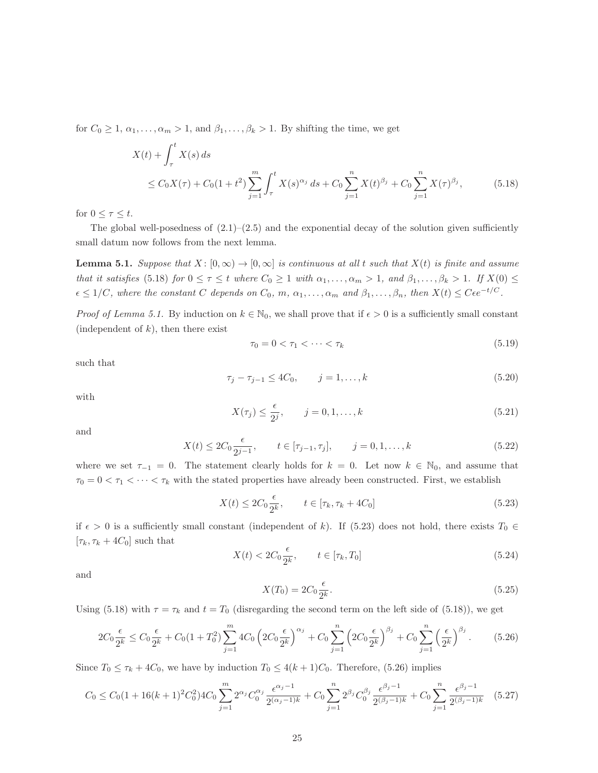for  $C_0 \geq 1, \alpha_1, \ldots, \alpha_m > 1$ , and  $\beta_1, \ldots, \beta_k > 1$ . By shifting the time, we get

$$
X(t) + \int_{\tau}^{t} X(s) ds
$$
  
\n
$$
\leq C_0 X(\tau) + C_0 (1 + t^2) \sum_{j=1}^{m} \int_{\tau}^{t} X(s)^{\alpha_j} ds + C_0 \sum_{j=1}^{n} X(t)^{\beta_j} + C_0 \sum_{j=1}^{n} X(\tau)^{\beta_j},
$$
\n(5.18)

for  $0 \leq \tau \leq t$ .

The global well-posedness of  $(2.1)$ – $(2.5)$  and the exponential decay of the solution given sufficiently small datum now follows from the next lemma.

**Lemma 5.1.** Suppose that  $X : [0, \infty) \to [0, \infty]$  is continuous at all t such that  $X(t)$  is finite and assume that it satisfies (5.18) for  $0 \leq \tau \leq t$  where  $C_0 \geq 1$  with  $\alpha_1, \ldots, \alpha_m > 1$ , and  $\beta_1, \ldots, \beta_k > 1$ . If  $X(0) \leq$  $\epsilon \leq 1/C$ , where the constant C depends on  $C_0$ ,  $m$ ,  $\alpha_1, \ldots, \alpha_m$  and  $\beta_1, \ldots, \beta_n$ , then  $X(t) \leq C \epsilon e^{-t/C}$ .

*Proof of Lemma 5.1.* By induction on  $k \in \mathbb{N}_0$ , we shall prove that if  $\epsilon > 0$  is a sufficiently small constant (independent of  $k$ ), then there exist

$$
\tau_0 = 0 < \tau_1 < \dots < \tau_k \tag{5.19}
$$

such that

$$
\tau_j - \tau_{j-1} \le 4C_0, \qquad j = 1, \dots, k \tag{5.20}
$$

with

$$
X(\tau_j) \le \frac{\epsilon}{2^j}, \qquad j = 0, 1, \dots, k \tag{5.21}
$$

and

$$
X(t) \le 2C_0 \frac{\epsilon}{2^{j-1}}, \qquad t \in [\tau_{j-1}, \tau_j], \qquad j = 0, 1, \dots, k
$$
 (5.22)

where we set  $\tau_{-1} = 0$ . The statement clearly holds for  $k = 0$ . Let now  $k \in \mathbb{N}_0$ , and assume that  $\tau_0 = 0 < \tau_1 < \cdots < \tau_k$  with the stated properties have already been constructed. First, we establish

$$
X(t) \le 2C_0 \frac{\epsilon}{2^k}, \qquad t \in [\tau_k, \tau_k + 4C_0]
$$
\n
$$
(5.23)
$$

if  $\epsilon > 0$  is a sufficiently small constant (independent of k). If (5.23) does not hold, there exists  $T_0 \in$  $[\tau_k, \tau_k + 4C_0]$  such that

$$
X(t) < 2C_0 \frac{\epsilon}{2^k}, \qquad t \in [\tau_k, T_0] \tag{5.24}
$$

and

$$
X(T_0) = 2C_0 \frac{\epsilon}{2^k}.
$$
\n(5.25)

Using (5.18) with  $\tau = \tau_k$  and  $t = T_0$  (disregarding the second term on the left side of (5.18)), we get

$$
2C_0 \frac{\epsilon}{2^k} \le C_0 \frac{\epsilon}{2^k} + C_0 (1 + T_0^2) \sum_{j=1}^m 4C_0 \left( 2C_0 \frac{\epsilon}{2^k} \right)^{\alpha_j} + C_0 \sum_{j=1}^n \left( 2C_0 \frac{\epsilon}{2^k} \right)^{\beta_j} + C_0 \sum_{j=1}^n \left( \frac{\epsilon}{2^k} \right)^{\beta_j}.
$$
 (5.26)

Since  $T_0 \le \tau_k + 4C_0$ , we have by induction  $T_0 \le 4(k+1)C_0$ . Therefore, (5.26) implies

$$
C_0 \le C_0 \left(1 + 16(k+1)^2 C_0^2\right) 4C_0 \sum_{j=1}^m 2^{\alpha_j} C_0^{\alpha_j} \frac{\epsilon^{\alpha_j - 1}}{2^{(\alpha_j - 1)k}} + C_0 \sum_{j=1}^n 2^{\beta_j} C_0^{\beta_j} \frac{\epsilon^{\beta_j - 1}}{2^{(\beta_j - 1)k}} + C_0 \sum_{j=1}^n \frac{\epsilon^{\beta_j - 1}}{2^{(\beta_j - 1)k}} \tag{5.27}
$$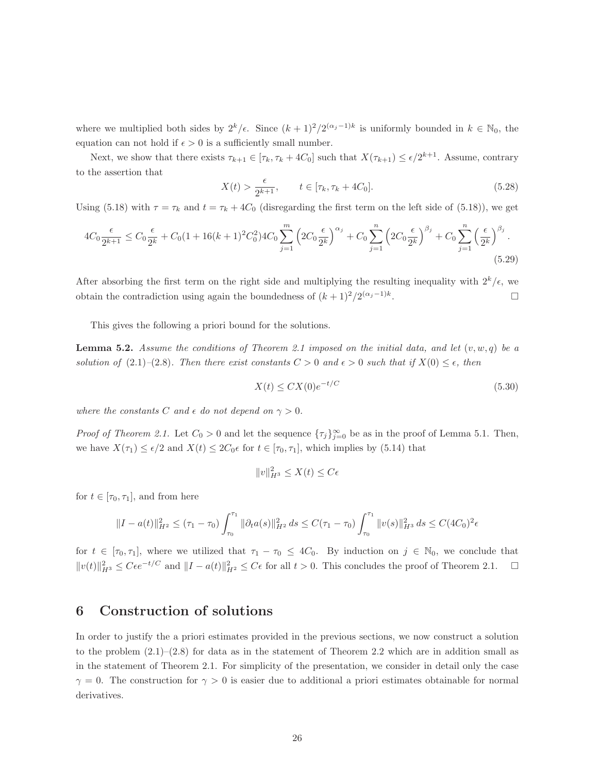where we multiplied both sides by  $2^k/\epsilon$ . Since  $(k+1)^2/2^{(\alpha_j-1)k}$  is uniformly bounded in  $k \in \mathbb{N}_0$ , the equation can not hold if  $\epsilon > 0$  is a sufficiently small number.

Next, we show that there exists  $\tau_{k+1} \in [\tau_k, \tau_k + 4C_0]$  such that  $X(\tau_{k+1}) \leq \epsilon/2^{k+1}$ . Assume, contrary to the assertion that

$$
X(t) > \frac{\epsilon}{2^{k+1}}, \qquad t \in [\tau_k, \tau_k + 4C_0].
$$
\n(5.28)

Using (5.18) with  $\tau = \tau_k$  and  $t = \tau_k + 4C_0$  (disregarding the first term on the left side of (5.18)), we get

$$
4C_0 \frac{\epsilon}{2^{k+1}} \le C_0 \frac{\epsilon}{2^k} + C_0 (1 + 16(k+1)^2 C_0^2) 4C_0 \sum_{j=1}^m \left( 2C_0 \frac{\epsilon}{2^k} \right)^{\alpha_j} + C_0 \sum_{j=1}^n \left( 2C_0 \frac{\epsilon}{2^k} \right)^{\beta_j} + C_0 \sum_{j=1}^n \left( \frac{\epsilon}{2^k} \right)^{\beta_j} .
$$
\n(5.29)

After absorbing the first term on the right side and multiplying the resulting inequality with  $2^k/\epsilon$ , we obtain the contradiction using again the boundedness of  $(k+1)^2/2^{(\alpha_j-1)k}$ . — Первый процесс в получине и продательно производите в собстановки производите в собстановки и производите<br>В собстановки производите в собстановки производите в собстановки производите в собстановки производите на про

This gives the following a priori bound for the solutions.

**Lemma 5.2.** Assume the conditions of Theorem 2.1 imposed on the initial data, and let  $(v, w, q)$  be a solution of (2.1)–(2.8). Then there exist constants  $C > 0$  and  $\epsilon > 0$  such that if  $X(0) \leq \epsilon$ , then

$$
X(t) \le CX(0)e^{-t/C} \tag{5.30}
$$

where the constants C and  $\epsilon$  do not depend on  $\gamma > 0$ .

*Proof of Theorem 2.1.* Let  $C_0 > 0$  and let the sequence  $\{\tau_j\}_{j=0}^{\infty}$  be as in the proof of Lemma 5.1. Then, we have  $X(\tau_1) \leq \epsilon/2$  and  $X(t) \leq 2C_0\epsilon$  for  $t \in [\tau_0, \tau_1]$ , which implies by (5.14) that

$$
||v||_{H^3}^2 \le X(t) \le C\epsilon
$$

for  $t \in [\tau_0, \tau_1]$ , and from here

$$
||I - a(t)||_{H^2}^2 \leq (\tau_1 - \tau_0) \int_{\tau_0}^{\tau_1} ||\partial_t a(s)||_{H^2}^2 ds \leq C(\tau_1 - \tau_0) \int_{\tau_0}^{\tau_1} ||v(s)||_{H^3}^2 ds \leq C(4C_0)^2 \epsilon
$$

for  $t \in [\tau_0, \tau_1]$ , where we utilized that  $\tau_1 - \tau_0 \leq 4C_0$ . By induction on  $j \in \mathbb{N}_0$ , we conclude that  $||v(t)||_{H^3}^2 \leq C\epsilon e^{-t/C}$  and  $||I - a(t)||_{H^2}^2 \leq C\epsilon$  for all  $t > 0$ . This concludes the proof of Theorem 2.1.  $\square$ 

### 6 Construction of solutions

In order to justify the a priori estimates provided in the previous sections, we now construct a solution to the problem  $(2.1)$ – $(2.8)$  for data as in the statement of Theorem 2.2 which are in addition small as in the statement of Theorem 2.1. For simplicity of the presentation, we consider in detail only the case  $\gamma = 0$ . The construction for  $\gamma > 0$  is easier due to additional a priori estimates obtainable for normal derivatives.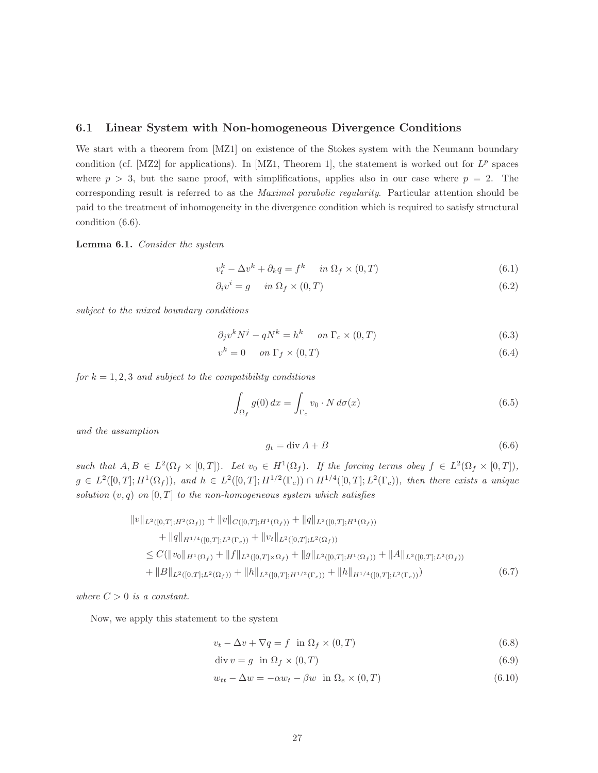#### 6.1 Linear System with Non-homogeneous Divergence Conditions

We start with a theorem from [MZ1] on existence of the Stokes system with the Neumann boundary condition (cf. [MZ2] for applications). In [MZ1, Theorem 1], the statement is worked out for  $L^p$  spaces where  $p > 3$ , but the same proof, with simplifications, applies also in our case where  $p = 2$ . The corresponding result is referred to as the Maximal parabolic regularity. Particular attention should be paid to the treatment of inhomogeneity in the divergence condition which is required to satisfy structural condition (6.6).

Lemma 6.1. Consider the system

$$
v_t^k - \Delta v^k + \partial_k q = f^k \quad in \ \Omega_f \times (0, T) \tag{6.1}
$$

$$
\partial_i v^i = g \quad in \ \Omega_f \times (0, T) \tag{6.2}
$$

subject to the mixed boundary conditions

$$
\partial_j v^k N^j - qN^k = h^k \quad on \ \Gamma_c \times (0, T) \tag{6.3}
$$

$$
v^k = 0 \quad on \ \Gamma_f \times (0, T) \tag{6.4}
$$

for  $k = 1, 2, 3$  and subject to the compatibility conditions

$$
\int_{\Omega_f} g(0) dx = \int_{\Gamma_c} v_0 \cdot N d\sigma(x)
$$
\n(6.5)

and the assumption

$$
g_t = \operatorname{div} A + B \tag{6.6}
$$

such that  $A, B \in L^2(\Omega_f \times [0,T])$ . Let  $v_0 \in H^1(\Omega_f)$ . If the forcing terms obey  $f \in L^2(\Omega_f \times [0,T])$ ,  $g \in L^2([0,T];H^1(\Omega_f))$ , and  $h \in L^2([0,T];H^{1/2}(\Gamma_c)) \cap H^{1/4}([0,T];L^2(\Gamma_c))$ , then there exists a unique solution  $(v, q)$  on  $[0, T]$  to the non-homogeneous system which satisfies

$$
||v||_{L^{2}([0,T];H^{2}(\Omega_{f}))} + ||v||_{C([0,T];H^{1}(\Omega_{f}))} + ||q||_{L^{2}([0,T];H^{1}(\Omega_{f}))}
$$
  
+ 
$$
||q||_{H^{1/4}([0,T];L^{2}(\Gamma_{c}))} + ||v_{t}||_{L^{2}([0,T];L^{2}(\Omega_{f}))}
$$
  

$$
\leq C(||v_{0}||_{H^{1}(\Omega_{f})} + ||f||_{L^{2}([0,T]\times\Omega_{f})} + ||g||_{L^{2}([0,T];H^{1}(\Omega_{f}))} + ||A||_{L^{2}([0,T];L^{2}(\Omega_{f}))}
$$
  
+ 
$$
||B||_{L^{2}([0,T];L^{2}(\Omega_{f}))} + ||h||_{L^{2}([0,T];H^{1/2}(\Gamma_{c}))} + ||h||_{H^{1/4}([0,T];L^{2}(\Gamma_{c}))})
$$
 (6.7)

where  $C > 0$  is a constant.

Now, we apply this statement to the system

$$
v_t - \Delta v + \nabla q = f \quad \text{in } \Omega_f \times (0, T) \tag{6.8}
$$

$$
\operatorname{div} v = g \quad \text{in } \Omega_f \times (0, T) \tag{6.9}
$$

$$
w_{tt} - \Delta w = -\alpha w_t - \beta w \quad \text{in } \Omega_e \times (0, T) \tag{6.10}
$$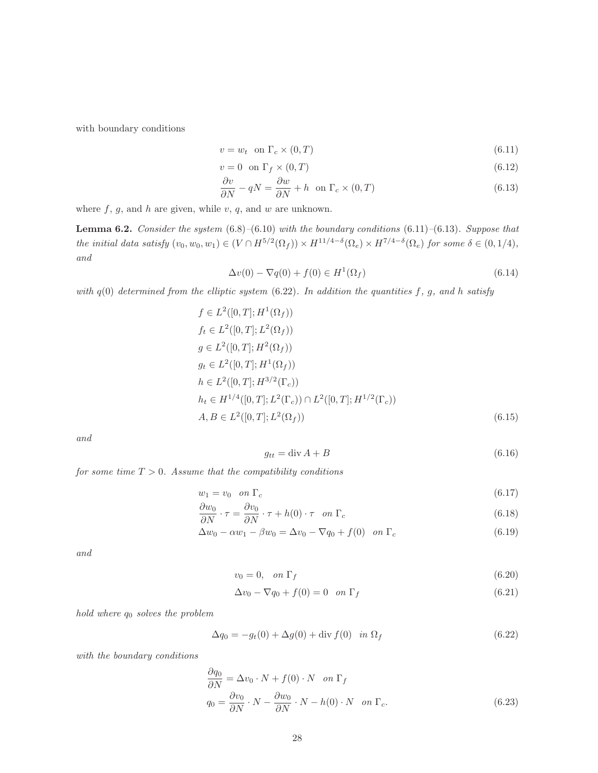with boundary conditions

$$
v = w_t \quad \text{on } \Gamma_c \times (0, T) \tag{6.11}
$$

$$
v = 0 \quad \text{on } \Gamma_f \times (0, T) \tag{6.12}
$$

$$
\frac{\partial v}{\partial N} - qN = \frac{\partial w}{\partial N} + h \quad \text{on } \Gamma_c \times (0, T) \tag{6.13}
$$

where  $f, g$ , and  $h$  are given, while  $v, q$ , and  $w$  are unknown.

**Lemma 6.2.** Consider the system  $(6.8)$ – $(6.10)$  with the boundary conditions  $(6.11)$ – $(6.13)$ . Suppose that the initial data satisfy  $(v_0, w_0, w_1) \in (V \cap H^{5/2}(\Omega_f)) \times H^{11/4-\delta}(\Omega_e) \times H^{7/4-\delta}(\Omega_e)$  for some  $\delta \in (0, 1/4)$ , and

$$
\Delta v(0) - \nabla q(0) + f(0) \in H^1(\Omega_f)
$$
\n
$$
(6.14)
$$

with  $q(0)$  determined from the elliptic system  $(6.22)$ . In addition the quantities f, g, and h satisfy

$$
f \in L^{2}([0, T]; H^{1}(\Omega_{f}))
$$
  
\n
$$
f_{t} \in L^{2}([0, T]; L^{2}(\Omega_{f}))
$$
  
\n
$$
g \in L^{2}([0, T]; H^{2}(\Omega_{f}))
$$
  
\n
$$
g_{t} \in L^{2}([0, T]; H^{1}(\Omega_{f}))
$$
  
\n
$$
h \in L^{2}([0, T]; H^{3/2}(\Gamma_{c}))
$$
  
\n
$$
h_{t} \in H^{1/4}([0, T]; L^{2}(\Gamma_{c})) \cap L^{2}([0, T]; H^{1/2}(\Gamma_{c}))
$$
  
\n
$$
A, B \in L^{2}([0, T]; L^{2}(\Omega_{f}))
$$
\n(6.15)

and

$$
g_{tt} = \text{div}\,A + B\tag{6.16}
$$

for some time  $T > 0$ . Assume that the compatibility conditions

$$
w_1 = v_0 \quad on \ \Gamma_c \tag{6.17}
$$

$$
\frac{\partial w_0}{\partial N} \cdot \tau = \frac{\partial v_0}{\partial N} \cdot \tau + h(0) \cdot \tau \quad on \ \Gamma_c \tag{6.18}
$$

$$
\Delta w_0 - \alpha w_1 - \beta w_0 = \Delta v_0 - \nabla q_0 + f(0) \quad \text{on } \Gamma_c \tag{6.19}
$$

and

$$
v_0 = 0, \quad on \ \Gamma_f \tag{6.20}
$$

$$
\Delta v_0 - \nabla q_0 + f(0) = 0 \quad on \ \Gamma_f \tag{6.21}
$$

hold where  $q_0$  solves the problem

$$
\Delta q_0 = -g_t(0) + \Delta g(0) + \text{div } f(0) \quad \text{in } \Omega_f \tag{6.22}
$$

with the boundary conditions

$$
\frac{\partial q_0}{\partial N} = \Delta v_0 \cdot N + f(0) \cdot N \quad on \ \Gamma_f
$$
  
\n
$$
q_0 = \frac{\partial v_0}{\partial N} \cdot N - \frac{\partial w_0}{\partial N} \cdot N - h(0) \cdot N \quad on \ \Gamma_c.
$$
\n(6.23)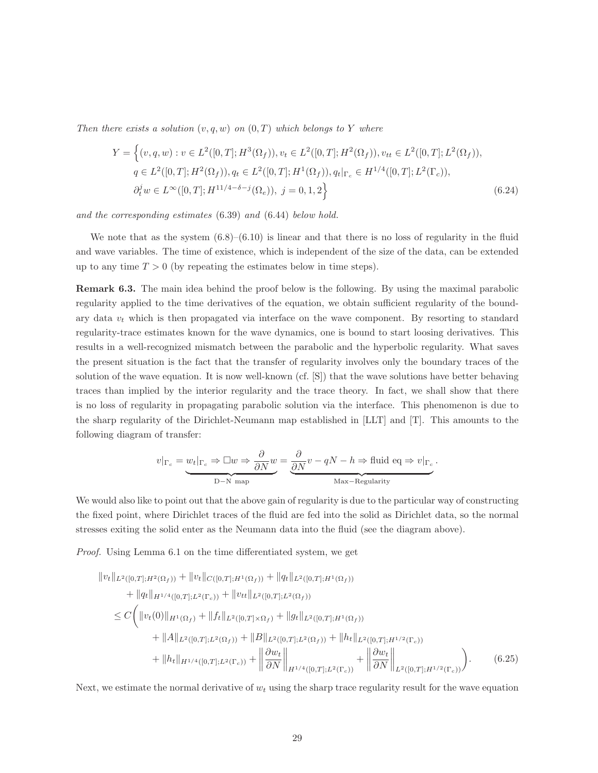Then there exists a solution  $(v, q, w)$  on  $(0, T)$  which belongs to Y where

$$
Y = \left\{ (v, q, w) : v \in L^2([0, T]; H^3(\Omega_f)), v_t \in L^2([0, T]; H^2(\Omega_f)), v_{tt} \in L^2([0, T]; L^2(\Omega_f)), q \in L^2([0, T]; H^2(\Omega_f)), q_t \in L^2([0, T]; H^1(\Omega_f)), q_t|_{\Gamma_c} \in H^{1/4}([0, T]; L^2(\Gamma_c)), \partial_t^j w \in L^\infty([0, T]; H^{11/4 - \delta - j}(\Omega_e)), j = 0, 1, 2 \right\}
$$
(6.24)

and the corresponding estimates (6.39) and (6.44) below hold.

We note that as the system  $(6.8)$ – $(6.10)$  is linear and that there is no loss of regularity in the fluid and wave variables. The time of existence, which is independent of the size of the data, can be extended up to any time  $T > 0$  (by repeating the estimates below in time steps).

Remark 6.3. The main idea behind the proof below is the following. By using the maximal parabolic regularity applied to the time derivatives of the equation, we obtain sufficient regularity of the boundary data  $v_t$  which is then propagated via interface on the wave component. By resorting to standard regularity-trace estimates known for the wave dynamics, one is bound to start loosing derivatives. This results in a well-recognized mismatch between the parabolic and the hyperbolic regularity. What saves the present situation is the fact that the transfer of regularity involves only the boundary traces of the solution of the wave equation. It is now well-known (cf. [S]) that the wave solutions have better behaving traces than implied by the interior regularity and the trace theory. In fact, we shall show that there is no loss of regularity in propagating parabolic solution via the interface. This phenomenon is due to the sharp regularity of the Dirichlet-Neumann map established in [LLT] and [T]. This amounts to the following diagram of transfer:

$$
v|_{\Gamma_c} = \underbrace{w_t|_{\Gamma_c} \Rightarrow \Box w \Rightarrow \frac{\partial}{\partial N}w}_{\text{D-N map}} = \underbrace{\frac{\partial}{\partial N}v - qN - h \Rightarrow \text{fluid eq} \Rightarrow v|_{\Gamma_c}}_{\text{Max-Regularity}}.
$$

We would also like to point out that the above gain of regularity is due to the particular way of constructing the fixed point, where Dirichlet traces of the fluid are fed into the solid as Dirichlet data, so the normal stresses exiting the solid enter as the Neumann data into the fluid (see the diagram above).

Proof. Using Lemma 6.1 on the time differentiated system, we get

$$
||v_t||_{L^2([0,T];H^2(\Omega_f))} + ||v_t||_{C([0,T];H^1(\Omega_f))} + ||q_t||_{L^2([0,T];H^1(\Omega_f))}
$$
  
+ 
$$
||q_t||_{H^{1/4}([0,T];L^2(\Gamma_c))} + ||v_{tt}||_{L^2([0,T];L^2(\Omega_f))}
$$
  

$$
\leq C \Biggl( ||v_t(0)||_{H^1(\Omega_f)} + ||f_t||_{L^2([0,T];\Omega_f)} + ||g_t||_{L^2([0,T];H^1(\Omega_f))}
$$
  
+ 
$$
||A||_{L^2([0,T];L^2(\Omega_f))} + ||B||_{L^2([0,T];L^2(\Omega_f))} + ||h_t||_{L^2([0,T];H^{1/2}(\Gamma_c))}
$$
  
+ 
$$
||h_t||_{H^{1/4}([0,T];L^2(\Gamma_c))} + ||\frac{\partial w_t}{\partial N}||_{H^{1/4}([0,T];L^2(\Gamma_c))} + ||\frac{\partial w_t}{\partial N}||_{L^2([0,T];H^{1/2}(\Gamma_c))} \Biggr).
$$
 (6.25)

Next, we estimate the normal derivative of  $w_t$  using the sharp trace regularity result for the wave equation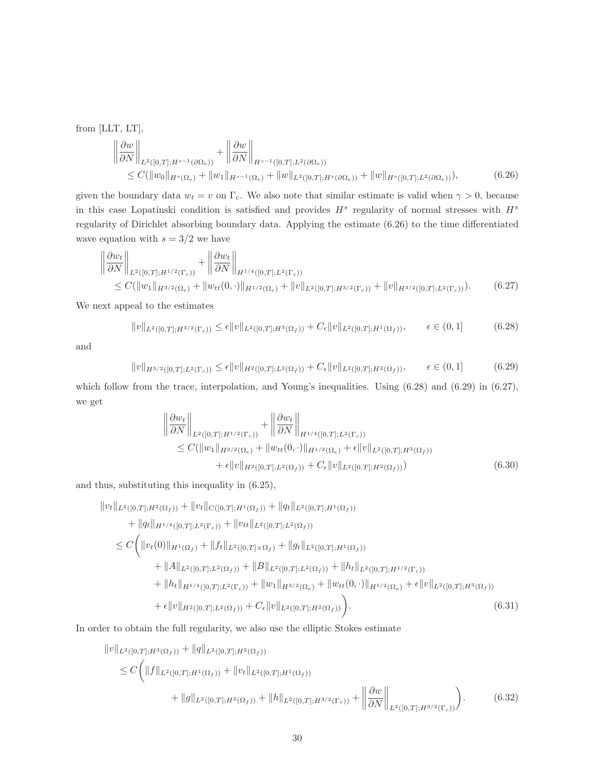from [LLT, LT],

$$
\begin{aligned}\n\left\|\frac{\partial w}{\partial N}\right\|_{L^{2}([0,T];H^{s-1}(\partial\Omega_{e}))} + \left\|\frac{\partial w}{\partial N}\right\|_{H^{s-1}([0,T];L^{2}(\partial\Omega_{e}))} \\
&\leq C(\|w_{0}\|_{H^{s}(\Omega_{e})} + \|w_{1}\|_{H^{s-1}(\Omega_{e})} + \|w\|_{L^{2}([0,T];H^{s}(\partial\Omega_{e}))} + \|w\|_{H^{s}([0,T];L^{2}(\partial\Omega_{e}))}),\n\end{aligned} \tag{6.26}
$$

given the boundary data  $w_t = v$  on  $\Gamma_c$ . We also note that similar estimate is valid when  $\gamma > 0$ , because in this case Lopatinski condition is satisfied and provides  $H^s$  regularity of normal stresses with  $H^s$ regularity of Dirichlet absorbing boundary data. Applying the estimate (6.26) to the time differentiated wave equation with  $s = 3/2$  we have

$$
\left\| \frac{\partial w_t}{\partial N} \right\|_{L^2([0,T];H^{1/2}(\Gamma_c))} + \left\| \frac{\partial w_t}{\partial N} \right\|_{H^{1/4}([0,T];L^2(\Gamma_c))} \leq C(\|w_1\|_{H^{3/2}(\Omega_c)} + \|w_{tt}(0,\cdot)\|_{H^{1/2}(\Omega_c)} + \|v\|_{L^2([0,T];H^{3/2}(\Gamma_c))} + \|v\|_{H^{3/2}([0,T];L^2(\Gamma_c))}). \tag{6.27}
$$

We next appeal to the estimates

$$
||v||_{L^{2}([0,T];H^{3/2}(\Gamma_c))} \leq \epsilon ||v||_{L^{2}([0,T];H^3(\Omega_f))} + C_{\epsilon} ||v||_{L^{2}([0,T];H^1(\Omega_f))}, \qquad \epsilon \in (0,1]
$$
 (6.28)

and

$$
||v||_{H^{3/2}([0,T];L^2(\Gamma_c))} \le \epsilon ||v||_{H^2([0,T];L^2(\Omega_f))} + C_{\epsilon} ||v||_{L^2([0,T];H^2(\Omega_f))}, \qquad \epsilon \in (0,1]
$$
 (6.29)

which follow from the trace, interpolation, and Young's inequalities. Using  $(6.28)$  and  $(6.29)$  in  $(6.27)$ , we get

$$
\left\| \frac{\partial w_t}{\partial N} \right\|_{L^2([0,T];H^{1/2}(\Gamma_c))} + \left\| \frac{\partial w_t}{\partial N} \right\|_{H^{1/4}([0,T];L^2(\Gamma_c))} \n\leq C(\|w_1\|_{H^{3/2}(\Omega_c)} + \|w_{tt}(0,\cdot)\|_{H^{1/2}(\Omega_c)} + \epsilon \|v\|_{L^2([0,T];H^3(\Omega_f))} \n+ \epsilon \|v\|_{H^2([0,T];L^2(\Omega_f))} + C_{\epsilon} \|v\|_{L^2([0,T];H^2(\Omega_f))})
$$
\n(6.30)

and thus, substituting this inequality in (6.25),

$$
||v_t||_{L^2([0,T];H^2(\Omega_f))} + ||v_t||_{C([0,T];H^1(\Omega_f))} + ||q_t||_{L^2([0,T];H^1(\Omega_f))}
$$
  
+ 
$$
||q_t||_{H^{1/4}([0,T];L^2(\Gamma_c))} + ||v_{tt}||_{L^2([0,T];L^2(\Omega_f))}
$$
  

$$
\leq C \Biggl( ||v_t(0)||_{H^1(\Omega_f)} + ||f_t||_{L^2([0,T]\times\Omega_f)} + ||g_t||_{L^2([0,T];H^1(\Omega_f))}
$$
  
+ 
$$
||A||_{L^2([0,T];L^2(\Omega_f))} + ||B||_{L^2([0,T];L^2(\Omega_f))} + ||h_t||_{L^2([0,T];H^{1/2}(\Gamma_c))}
$$
  
+ 
$$
||h_t||_{H^{1/4}([0,T];L^2(\Gamma_c))} + ||w_1||_{H^{3/2}(\Omega_c)} + ||w_{tt}(0,\cdot)||_{H^{1/2}(\Omega_c)} + \epsilon ||v||_{L^2([0,T];H^3(\Omega_f))}
$$
  
+ 
$$
\epsilon ||v||_{H^2([0,T];L^2(\Omega_f))} + C_{\epsilon} ||v||_{L^2([0,T];H^2(\Omega_f))} \Biggr).
$$
 (6.31)

In order to obtain the full regularity, we also use the elliptic Stokes estimate

$$
\|v\|_{L^{2}([0,T];H^{3}(\Omega_{f}))} + \|q\|_{L^{2}([0,T];H^{2}(\Omega_{f}))}
$$
\n
$$
\leq C \Big( \|f\|_{L^{2}([0,T];H^{1}(\Omega_{f}))} + \|v_{t}\|_{L^{2}([0,T];H^{1}(\Omega_{f}))}
$$
\n
$$
+ \|g\|_{L^{2}([0,T];H^{2}(\Omega_{f}))} + \|h\|_{L^{2}([0,T];H^{3/2}(\Gamma_{c}))} + \left\|\frac{\partial w}{\partial N}\right\|_{L^{2}([0,T];H^{3/2}(\Gamma_{c}))}\Big). \tag{6.32}
$$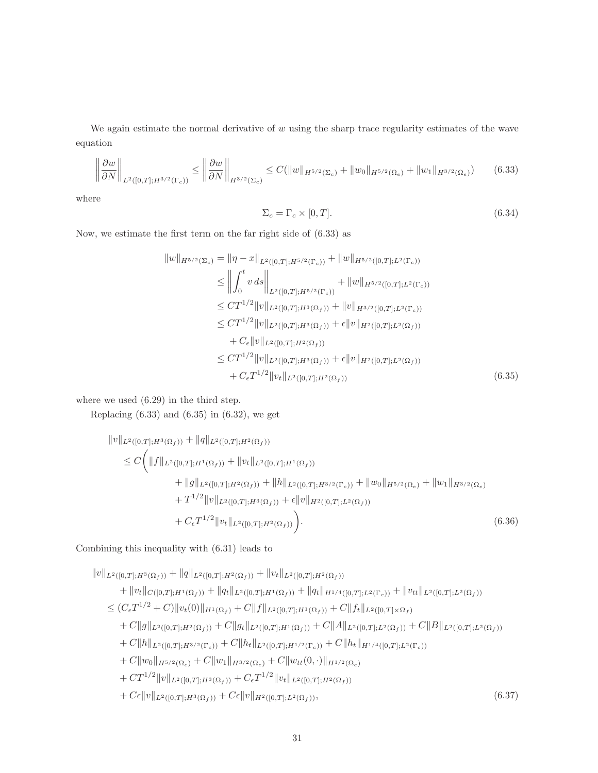We again estimate the normal derivative of  $w$  using the sharp trace regularity estimates of the wave equation

$$
\left\|\frac{\partial w}{\partial N}\right\|_{L^2([0,T];H^{3/2}(\Gamma_c))} \le \left\|\frac{\partial w}{\partial N}\right\|_{H^{3/2}(\Sigma_c)} \le C(\|w\|_{H^{5/2}(\Sigma_c)} + \|w_0\|_{H^{5/2}(\Omega_c)} + \|w_1\|_{H^{3/2}(\Omega_c)})\tag{6.33}
$$

where

$$
\Sigma_c = \Gamma_c \times [0, T]. \tag{6.34}
$$

Now, we estimate the first term on the far right side of (6.33) as

$$
||w||_{H^{5/2}(\Sigma_c)} = ||\eta - x||_{L^2([0,T];H^{5/2}(\Gamma_c))} + ||w||_{H^{5/2}([0,T];L^2(\Gamma_c))}
$$
  
\n
$$
\leq ||\int_0^t v ds||_{L^2([0,T];H^{5/2}(\Gamma_c))} + ||w||_{H^{5/2}([0,T];L^2(\Gamma_c))}
$$
  
\n
$$
\leq CT^{1/2}||v||_{L^2([0,T];H^3(\Omega_f))} + ||v||_{H^{3/2}([0,T];L^2(\Gamma_c))}
$$
  
\n
$$
\leq CT^{1/2}||v||_{L^2([0,T];H^3(\Omega_f))} + \epsilon ||v||_{H^2([0,T];L^2(\Omega_f))}
$$
  
\n
$$
+ C_{\epsilon} ||v||_{L^2([0,T];H^2(\Omega_f))}
$$
  
\n
$$
\leq CT^{1/2}||v||_{L^2([0,T];H^3(\Omega_f))} + \epsilon ||v||_{H^2([0,T];L^2(\Omega_f))}
$$
  
\n
$$
+ C_{\epsilon}T^{1/2}||v_t||_{L^2([0,T];H^2(\Omega_f))}
$$
\n(6.35)

where we used (6.29) in the third step.

Replacing (6.33) and (6.35) in (6.32), we get

$$
||v||_{L^{2}([0,T];H^{3}(\Omega_{f}))} + ||q||_{L^{2}([0,T];H^{2}(\Omega_{f}))}
$$
  
\n
$$
\leq C \Biggl(||f||_{L^{2}([0,T];H^{1}(\Omega_{f}))} + ||v_{t}||_{L^{2}([0,T];H^{1}(\Omega_{f}))}
$$
  
\n
$$
+ ||g||_{L^{2}([0,T];H^{2}(\Omega_{f}))} + ||h||_{L^{2}([0,T];H^{3/2}(\Gamma_{c}))} + ||w_{0}||_{H^{5/2}(\Omega_{e})} + ||w_{1}||_{H^{3/2}(\Omega_{e})}
$$
  
\n
$$
+ T^{1/2} ||v||_{L^{2}([0,T];H^{3}(\Omega_{f}))} + \epsilon ||v||_{H^{2}([0,T];L^{2}(\Omega_{f}))}
$$
  
\n
$$
+ C_{\epsilon} T^{1/2} ||v_{t}||_{L^{2}([0,T];H^{2}(\Omega_{f}))} \Biggr).
$$
\n(6.36)

#### Combining this inequality with (6.31) leads to

$$
||v||_{L^{2}([0,T];H^{3}(\Omega_{f}))} + ||q||_{L^{2}([0,T];H^{2}(\Omega_{f}))} + ||v_{t}||_{L^{2}([0,T];H^{2}(\Omega_{f}))}
$$
  
+  $||v_{t}||_{C([0,T];H^{1}(\Omega_{f}))} + ||q_{t}||_{L^{2}([0,T];H^{1}(\Omega_{f}))} + ||q_{t}||_{H^{1/4}([0,T];L^{2}(\Gamma_{c}))} + ||v_{tt}||_{L^{2}([0,T];L^{2}(\Omega_{f}))}$   

$$
\leq (C_{\epsilon}T^{1/2} + C)||v_{t}(0)||_{H^{1}(\Omega_{f})} + C||f||_{L^{2}([0,T];H^{1}(\Omega_{f}))} + C||f_{t}||_{L^{2}([0,T]\times\Omega_{f})}
$$
  
+  $C||g||_{L^{2}([0,T];H^{2}(\Omega_{f}))} + C||g_{t}||_{L^{2}([0,T];H^{1}(\Omega_{f}))} + C||A||_{L^{2}([0,T];L^{2}(\Omega_{f}))} + C||B||_{L^{2}([0,T];L^{2}(\Omega_{f}))}$   
+  $C||h||_{L^{2}([0,T];H^{3/2}(\Gamma_{c}))} + C||h_{t}||_{L^{2}([0,T];H^{1/2}(\Gamma_{c}))} + C||h_{t}||_{H^{1/4}([0,T];L^{2}(\Gamma_{c}))}$   
+  $C||w_{0}||_{H^{5/2}(\Omega_{e})} + C||w_{1}||_{H^{3/2}(\Omega_{e})} + C||w_{tt}(0, \cdot)||_{H^{1/2}(\Omega_{e})}$   
+  $CT^{1/2}||v||_{L^{2}([0,T];H^{3}(\Omega_{f}))} + C_{\epsilon}T^{1/2}||v_{t}||_{L^{2}([0,T];H^{2}(\Omega_{f}))},$   
+  $C\epsilon||v||_{L^{2}([0,T];H^{3}(\Omega_{f}))} + C\epsilon||v||_{H^{2}([0,T];L^{2}(\Omega_{f}))},$  (6.37)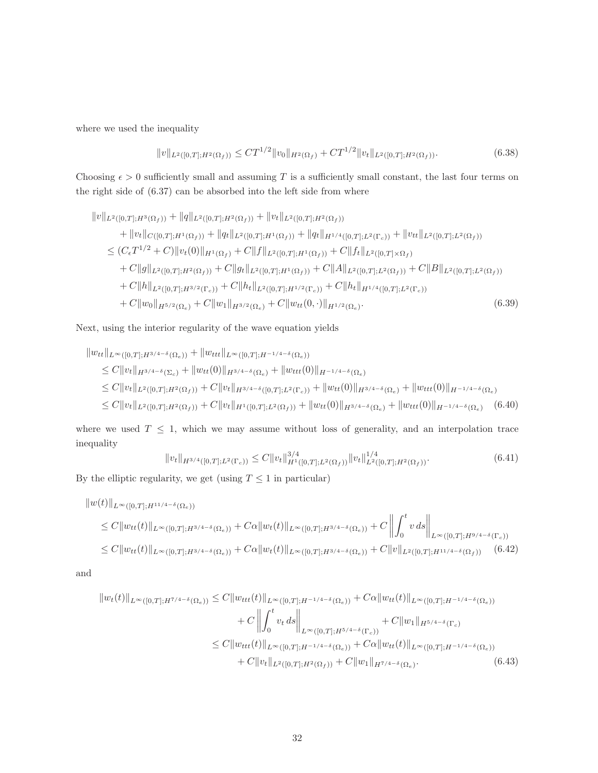where we used the inequality

$$
||v||_{L^{2}([0,T];H^{2}(\Omega_{f}))} \leq CT^{1/2}||v_{0}||_{H^{2}(\Omega_{f})} + CT^{1/2}||v_{t}||_{L^{2}([0,T];H^{2}(\Omega_{f}))}.
$$
\n(6.38)

Choosing  $\epsilon > 0$  sufficiently small and assuming T is a sufficiently small constant, the last four terms on the right side of (6.37) can be absorbed into the left side from where

$$
\|v\|_{L^{2}([0,T];H^{3}(\Omega_{f}))} + \|q\|_{L^{2}([0,T];H^{2}(\Omega_{f}))} + \|v_{t}\|_{L^{2}([0,T];H^{2}(\Omega_{f}))}
$$
  
+ 
$$
\|v_{t}\|_{C([0,T];H^{1}(\Omega_{f}))} + \|q_{t}\|_{L^{2}([0,T];H^{1}(\Omega_{f}))} + \|q_{t}\|_{H^{1/4}([0,T];L^{2}(\Gamma_{c}))} + \|v_{tt}\|_{L^{2}([0,T];L^{2}(\Omega_{f}))}
$$
  

$$
\leq (C_{\epsilon}T^{1/2} + C) \|v_{t}(0)\|_{H^{1}(\Omega_{f})} + C \|f\|_{L^{2}([0,T];H^{1}(\Omega_{f}))} + C \|f_{t}\|_{L^{2}([0,T]\times\Omega_{f})}
$$
  
+ 
$$
C \|g\|_{L^{2}([0,T];H^{2}(\Omega_{f}))} + C \|g_{t}\|_{L^{2}([0,T];H^{1}(\Omega_{f}))} + C \|A\|_{L^{2}([0,T];L^{2}(\Omega_{f}))} + C \|B\|_{L^{2}([0,T];L^{2}(\Omega_{f}))}
$$
  
+ 
$$
C \|h\|_{L^{2}([0,T];H^{3/2}(\Gamma_{c}))} + C \|h_{t}\|_{L^{2}([0,T];H^{1/2}(\Gamma_{c}))} + C \|h_{t}\|_{H^{1/4}([0,T];L^{2}(\Gamma_{c}))}
$$
  
+ 
$$
C \|w_{0}\|_{H^{5/2}(\Omega_{c})} + C \|w_{1}\|_{H^{3/2}(\Omega_{c})} + C \|w_{tt}(0, \cdot)\|_{H^{1/2}(\Omega_{c})}.
$$
  
(6.39)

Next, using the interior regularity of the wave equation yields

$$
\|w_{tt}\|_{L^{\infty}([0,T];H^{3/4-\delta}(\Omega_{e}))} + \|w_{ttt}\|_{L^{\infty}([0,T];H^{-1/4-\delta}(\Omega_{e}))}
$$
\n
$$
\leq C \|v_{t}\|_{H^{3/4-\delta}(\Sigma_{c})} + \|w_{tt}(0)\|_{H^{3/4-\delta}(\Omega_{e})} + \|w_{ttt}(0)\|_{H^{-1/4-\delta}(\Omega_{e})}
$$
\n
$$
\leq C \|v_{t}\|_{L^{2}([0,T];H^{2}(\Omega_{f}))} + C \|v_{t}\|_{H^{3/4-\delta}([0,T];L^{2}(\Gamma_{e}))} + \|w_{tt}(0)\|_{H^{3/4-\delta}(\Omega_{e})} + \|w_{ttt}(0)\|_{H^{-1/4-\delta}(\Omega_{e})}
$$
\n
$$
\leq C \|v_{t}\|_{L^{2}([0,T];H^{2}(\Omega_{f}))} + C \|v_{t}\|_{H^{1}([0,T];L^{2}(\Omega_{f}))} + \|w_{tt}(0)\|_{H^{3/4-\delta}(\Omega_{e})} + \|w_{ttt}(0)\|_{H^{-1/4-\delta}(\Omega_{e})} \quad (6.40)
$$

where we used  $T \leq 1$ , which we may assume without loss of generality, and an interpolation trace inequality

$$
||v_t||_{H^{3/4}([0,T];L^2(\Gamma_c))} \leq C||v_t||_{H^1([0,T];L^2(\Omega_f))}^{3/4}||v_t||_{L^2([0,T];H^2(\Omega_f))}^{1/4}.
$$
\n(6.41)

By the elliptic regularity, we get (using  $T \leq 1$  in particular)

$$
\|w(t)\|_{L^{\infty}([0,T];H^{11/4-\delta}(\Omega_{e}))}
$$
  
\n
$$
\leq C \|w_{tt}(t)\|_{L^{\infty}([0,T];H^{3/4-\delta}(\Omega_{e}))} + C\alpha \|w_{t}(t)\|_{L^{\infty}([0,T];H^{3/4-\delta}(\Omega_{e}))} + C \left\| \int_{0}^{t} v \, ds \right\|_{L^{\infty}([0,T];H^{9/4-\delta}(\Gamma_{e}))}
$$
  
\n
$$
\leq C \|w_{tt}(t)\|_{L^{\infty}([0,T];H^{3/4-\delta}(\Omega_{e}))} + C\alpha \|w_{t}(t)\|_{L^{\infty}([0,T];H^{3/4-\delta}(\Omega_{e}))} + C \|v\|_{L^{2}([0,T];H^{11/4-\delta}(\Omega_{f}))}
$$
(6.42)

and

$$
||w_t(t)||_{L^{\infty}([0,T];H^{7/4-\delta}(\Omega_e))} \leq C||w_{ttt}(t)||_{L^{\infty}([0,T];H^{-1/4-\delta}(\Omega_e))} + C\alpha||w_{tt}(t)||_{L^{\infty}([0,T];H^{-1/4-\delta}(\Omega_e))}
$$
  
+  $C||\int_0^t v_t ds||_{L^{\infty}([0,T];H^{5/4-\delta}(\Gamma_c))} + C||w_1||_{H^{5/4-\delta}(\Gamma_c)}$   
 $\leq C||w_{ttt}(t)||_{L^{\infty}([0,T];H^{-1/4-\delta}(\Omega_e))} + C\alpha||w_{tt}(t)||_{L^{\infty}([0,T];H^{-1/4-\delta}(\Omega_e))}$   
+  $C||v_t||_{L^2([0,T];H^2(\Omega_f))} + C||w_1||_{H^{7/4-\delta}(\Omega_e)}.$  (6.43)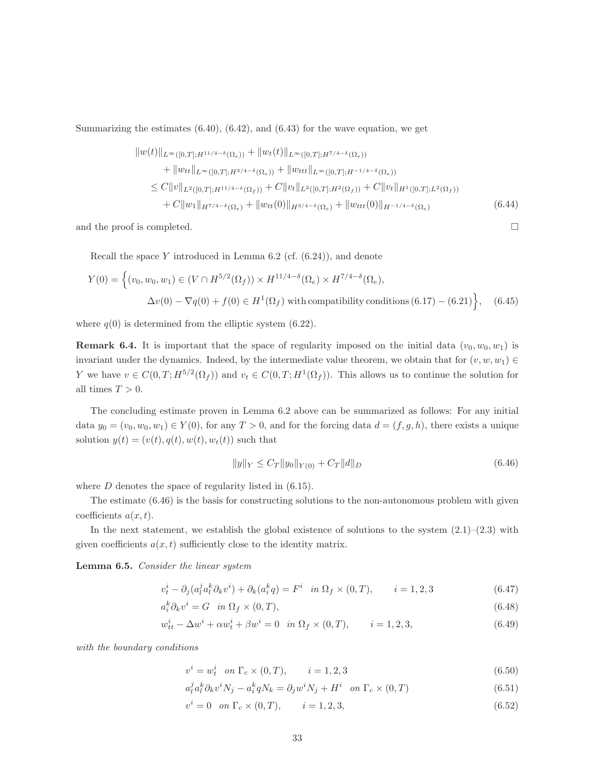Summarizing the estimates  $(6.40), (6.42),$  and  $(6.43)$  for the wave equation, we get

$$
||w(t)||_{L^{\infty}([0,T];H^{11/4-\delta}(\Omega_e))} + ||w_t(t)||_{L^{\infty}([0,T];H^{7/4-\delta}(\Omega_e))}
$$
  
+ 
$$
||w_{tt}||_{L^{\infty}([0,T];H^{3/4-\delta}(\Omega_e))} + ||w_{ttt}||_{L^{\infty}([0,T];H^{-1/4-\delta}(\Omega_e))}
$$
  

$$
\leq C||v||_{L^2([0,T];H^{11/4-\delta}(\Omega_f))} + C||v_t||_{L^2([0,T];H^{2}(\Omega_f))} + C||v_t||_{H^1([0,T];L^2(\Omega_f))}
$$
  
+ 
$$
C||w_1||_{H^{7/4-\delta}(\Omega_e)} + ||w_{tt}(0)||_{H^{3/4-\delta}(\Omega_e)} + ||w_{tt}(0)||_{H^{-1/4-\delta}(\Omega_e)}
$$
(6.44)

and the proof is completed.  $\Box$ 

Recall the space Y introduced in Lemma 6.2 (cf.  $(6.24)$ ), and denote

$$
Y(0) = \left\{ (v_0, w_0, w_1) \in (V \cap H^{5/2}(\Omega_f)) \times H^{11/4-\delta}(\Omega_e) \times H^{7/4-\delta}(\Omega_e), \Delta v(0) - \nabla q(0) + f(0) \in H^1(\Omega_f) \text{ with compatibility conditions } (6.17) - (6.21) \right\}, \quad (6.45)
$$

where  $q(0)$  is determined from the elliptic system (6.22).

**Remark 6.4.** It is important that the space of regularity imposed on the initial data  $(v_0, w_0, w_1)$  is invariant under the dynamics. Indeed, by the intermediate value theorem, we obtain that for  $(v, w, w_1) \in$ Y we have  $v \in C(0,T; H^{5/2}(\Omega_f))$  and  $v_t \in C(0,T; H^1(\Omega_f))$ . This allows us to continue the solution for all times  $T > 0$ .

The concluding estimate proven in Lemma 6.2 above can be summarized as follows: For any initial data  $y_0 = (v_0, w_0, w_1) \in Y(0)$ , for any  $T > 0$ , and for the forcing data  $d = (f, g, h)$ , there exists a unique solution  $y(t) = (v(t), q(t), w(t), w_t(t))$  such that

$$
||y||_Y \le C_T ||y_0||_{Y(0)} + C_T ||d||_D \tag{6.46}
$$

where  $D$  denotes the space of regularity listed in  $(6.15)$ .

The estimate (6.46) is the basis for constructing solutions to the non-autonomous problem with given coefficients  $a(x, t)$ .

In the next statement, we establish the global existence of solutions to the system  $(2.1)$ – $(2.3)$  with given coefficients  $a(x, t)$  sufficiently close to the identity matrix.

Lemma 6.5. Consider the linear system

$$
v_t^i - \partial_j (a_l^j a_l^k \partial_k v^i) + \partial_k (a_i^k q) = F^i \quad \text{in } \Omega_f \times (0, T), \qquad i = 1, 2, 3 \tag{6.47}
$$

$$
a_i^k \partial_k v^i = G \quad in \ \Omega_f \times (0, T), \tag{6.48}
$$

$$
w_{tt}^{i} - \Delta w^{i} + \alpha w_{t}^{i} + \beta w^{i} = 0 \quad in \ \Omega_{f} \times (0, T), \qquad i = 1, 2, 3,
$$
\n(6.49)

with the boundary conditions

$$
v^{i} = w_{t}^{i} \quad on \ \Gamma_{c} \times (0, T), \qquad i = 1, 2, 3 \tag{6.50}
$$

$$
a_l^j a_l^k \partial_k v^i N_j - a_i^k q N_k = \partial_j w^i N_j + H^i \quad \text{on } \Gamma_c \times (0, T) \tag{6.51}
$$

$$
v^{i} = 0 \quad on \ \Gamma_{c} \times (0, T), \qquad i = 1, 2, 3,
$$
\n(6.52)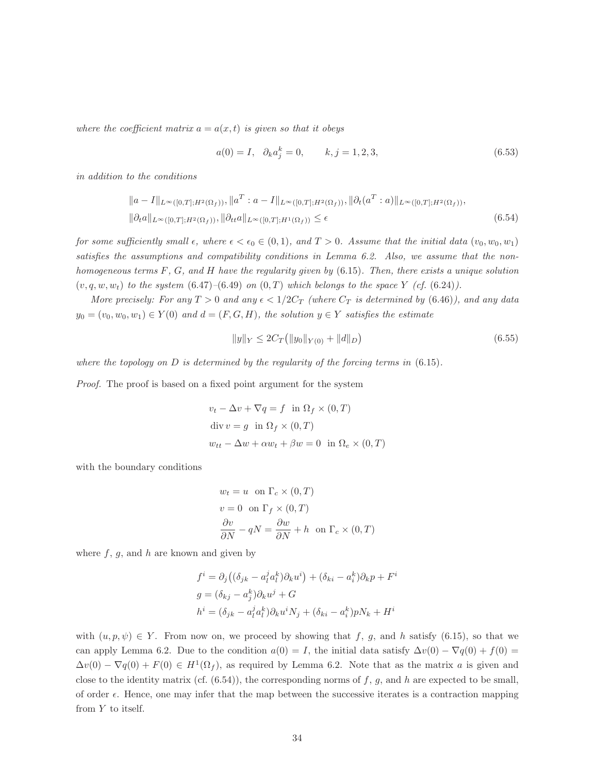where the coefficient matrix  $a = a(x, t)$  is given so that it obeys

$$
a(0) = I, \quad \partial_k a_j^k = 0, \qquad k, j = 1, 2, 3,
$$
\n
$$
(6.53)
$$

in addition to the conditions

$$
||a - I||_{L^{\infty}([0,T];H^2(\Omega_f))}, ||a^T : a - I||_{L^{\infty}([0,T];H^2(\Omega_f))}, ||\partial_t(a^T : a)||_{L^{\infty}([0,T];H^2(\Omega_f))},
$$
  

$$
||\partial_t a||_{L^{\infty}([0,T];H^2(\Omega_f))}, ||\partial_{tt} a||_{L^{\infty}([0,T];H^1(\Omega_f))} \le \epsilon
$$
 (6.54)

for some sufficiently small  $\epsilon$ , where  $\epsilon < \epsilon_0 \in (0,1)$ , and  $T > 0$ . Assume that the initial data  $(v_0, w_0, w_1)$ satisfies the assumptions and compatibility conditions in Lemma 6.2. Also, we assume that the nonhomogeneous terms  $F, G$ , and  $H$  have the regularity given by  $(6.15)$ . Then, there exists a unique solution  $(v, q, w, w_t)$  to the system  $(6.47)$ – $(6.49)$  on  $(0, T)$  which belongs to the space Y (cf.  $(6.24)$ ).

More precisely: For any  $T > 0$  and any  $\epsilon < 1/2C_T$  (where  $C_T$  is determined by (6.46)), and any data  $y_0 = (v_0, w_0, w_1) \in Y(0)$  and  $d = (F, G, H)$ , the solution  $y \in Y$  satisfies the estimate

$$
||y||_Y \le 2C_T (||y_0||_{Y(0)} + ||d||_D)
$$
\n(6.55)

where the topology on  $D$  is determined by the regularity of the forcing terms in  $(6.15)$ .

Proof. The proof is based on a fixed point argument for the system

$$
v_t - \Delta v + \nabla q = f \text{ in } \Omega_f \times (0, T)
$$
  
div  $v = g \text{ in } \Omega_f \times (0, T)$   

$$
w_{tt} - \Delta w + \alpha w_t + \beta w = 0 \text{ in } \Omega_e \times (0, T)
$$

with the boundary conditions

$$
w_t = u \text{ on } \Gamma_c \times (0, T)
$$
  

$$
v = 0 \text{ on } \Gamma_f \times (0, T)
$$
  

$$
\frac{\partial v}{\partial N} - qN = \frac{\partial w}{\partial N} + h \text{ on } \Gamma_c \times (0, T)
$$

where  $f, g$ , and h are known and given by

$$
f^i = \partial_j ((\delta_{jk} - a_l^j a_l^k) \partial_k u^i) + (\delta_{ki} - a_i^k) \partial_k p + F^i
$$
  
\n
$$
g = (\delta_{kj} - a_j^k) \partial_k u^j + G
$$
  
\n
$$
h^i = (\delta_{jk} - a_l^j a_l^k) \partial_k u^i N_j + (\delta_{ki} - a_i^k) p N_k + H^i
$$

with  $(u, p, \psi) \in Y$ . From now on, we proceed by showing that f, g, and h satisfy (6.15), so that we can apply Lemma 6.2. Due to the condition  $a(0) = I$ , the initial data satisfy  $\Delta v(0) - \nabla q(0) + f(0) =$  $\Delta v(0) - \nabla q(0) + F(0) \in H^1(\Omega_f)$ , as required by Lemma 6.2. Note that as the matrix a is given and close to the identity matrix (cf.  $(6.54)$ ), the corresponding norms of f, g, and h are expected to be small, of order  $\epsilon$ . Hence, one may infer that the map between the successive iterates is a contraction mapping from Y to itself.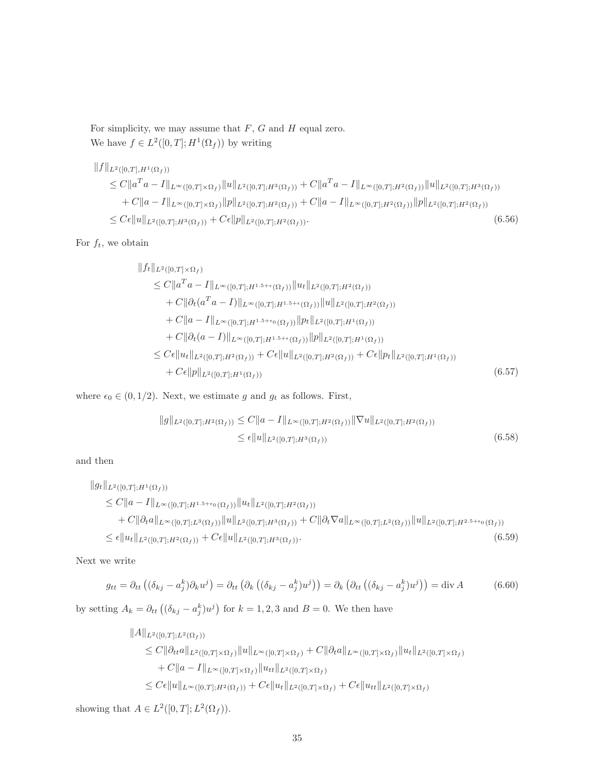For simplicity, we may assume that  $F$ ,  $G$  and  $H$  equal zero. We have  $f \in L^2([0,T]; H^1(\Omega_f))$  by writing

$$
||f||_{L^{2}([0,T],H^{1}(\Omega_{f}))}
$$
  
\n
$$
\leq C||a^{T}a - I||_{L^{\infty}([0,T]\times\Omega_{f})}||u||_{L^{2}([0,T];H^{3}(\Omega_{f}))} + C||a^{T}a - I||_{L^{\infty}([0,T];H^{2}(\Omega_{f}))}||u||_{L^{2}([0,T];H^{3}(\Omega_{f}))}
$$
  
\n
$$
+ C||a - I||_{L^{\infty}([0,T]\times\Omega_{f})}||p||_{L^{2}([0,T];H^{2}(\Omega_{f}))} + C||a - I||_{L^{\infty}([0,T];H^{2}(\Omega_{f}))}||p||_{L^{2}([0,T];H^{2}(\Omega_{f}))}
$$
  
\n
$$
\leq C\epsilon ||u||_{L^{2}([0,T];H^{3}(\Omega_{f}))} + C\epsilon ||p||_{L^{2}([0,T];H^{2}(\Omega_{f}))}.
$$
\n(6.56)

For  $f_t$ , we obtain

$$
||f_t||_{L^2([0,T]\times\Omega_f)}
$$
  
\n
$$
\leq C||a^Ta - I||_{L^{\infty}([0,T];H^{1.5+\epsilon}(\Omega_f))}||u_t||_{L^2([0,T];H^2(\Omega_f))}
$$
  
\n
$$
+ C||\partial_t(a^Ta - I)||_{L^{\infty}([0,T];H^{1.5+\epsilon}(\Omega_f))}||u||_{L^2([0,T];H^2(\Omega_f))}
$$
  
\n
$$
+ C||a - I||_{L^{\infty}([0,T];H^{1.5+\epsilon_0}(\Omega_f))}||p_t||_{L^2([0,T];H^1(\Omega_f))}
$$
  
\n
$$
+ C||\partial_t(a - I)||_{L^{\infty}([0,T];H^{1.5+\epsilon}(\Omega_f))}||p||_{L^2([0,T];H^1(\Omega_f))}
$$
  
\n
$$
\leq C\epsilon||u_t||_{L^2([0,T];H^2(\Omega_f))} + C\epsilon||u||_{L^2([0,T];H^2(\Omega_f))} + C\epsilon||p_t||_{L^2([0,T];H^1(\Omega_f))}
$$
  
\n
$$
+ C\epsilon||p||_{L^2([0,T];H^1(\Omega_f))}
$$
\n(6.57)

where  $\epsilon_0 \in (0, 1/2)$ . Next, we estimate g and  $g_t$  as follows. First,

$$
||g||_{L^{2}([0,T];H^{2}(\Omega_{f}))} \leq C||a - I||_{L^{\infty}([0,T];H^{2}(\Omega_{f}))} ||\nabla u||_{L^{2}([0,T];H^{2}(\Omega_{f}))}
$$
  
\n
$$
\leq \epsilon ||u||_{L^{2}([0,T];H^{3}(\Omega_{f}))}
$$
\n(6.58)

and then

$$
||g_t||_{L^2([0,T];H^1(\Omega_f))}
$$
  
\n
$$
\leq C||a - I||_{L^{\infty}([0,T];H^{1.5+\epsilon_0}(\Omega_f))}||u_t||_{L^2([0,T];H^2(\Omega_f))}
$$
  
\n
$$
+ C||\partial_t a||_{L^{\infty}([0,T];L^3(\Omega_f))}||u||_{L^2([0,T];H^3(\Omega_f))} + C||\partial_t \nabla a||_{L^{\infty}([0,T];L^2(\Omega_f))}||u||_{L^2([0,T];H^{2.5+\epsilon_0}(\Omega_f))}
$$
  
\n
$$
\leq \epsilon ||u_t||_{L^2([0,T];H^2(\Omega_f))} + C\epsilon ||u||_{L^2([0,T];H^3(\Omega_f))}.
$$
\n(6.59)

Next we write

$$
g_{tt} = \partial_{tt} \left( (\delta_{kj} - a_j^k) \partial_k u^j \right) = \partial_{tt} \left( \partial_k \left( (\delta_{kj} - a_j^k) u^j \right) \right) = \partial_k \left( \partial_{tt} \left( (\delta_{kj} - a_j^k) u^j \right) \right) = \text{div} \, A \tag{6.60}
$$

by setting  $A_k = \partial_{tt} ((\delta_{kj} - a_j^k) u^j)$  for  $k = 1, 2, 3$  and  $B = 0$ . We then have

$$
||A||_{L^{2}([0,T];L^{2}(\Omega_{f}))}
$$
  
\n
$$
\leq C||\partial_{tt}a||_{L^{2}([0,T]\times\Omega_{f})}||u||_{L^{\infty}([0,T]\times\Omega_{f})} + C||\partial_{t}a||_{L^{\infty}([0,T]\times\Omega_{f})}||u_{t}||_{L^{2}([0,T]\times\Omega_{f})}
$$
  
\n
$$
+ C||a - I||_{L^{\infty}([0,T]\times\Omega_{f})}||u_{tt}||_{L^{2}([0,T]\times\Omega_{f})}
$$
  
\n
$$
\leq C\epsilon||u||_{L^{\infty}([0,T];H^{2}(\Omega_{f}))} + C\epsilon||u_{t}||_{L^{2}([0,T]\times\Omega_{f})} + C\epsilon||u_{tt}||_{L^{2}([0,T]\times\Omega_{f})}
$$

showing that  $A \in L^2([0,T]; L^2(\Omega_f)).$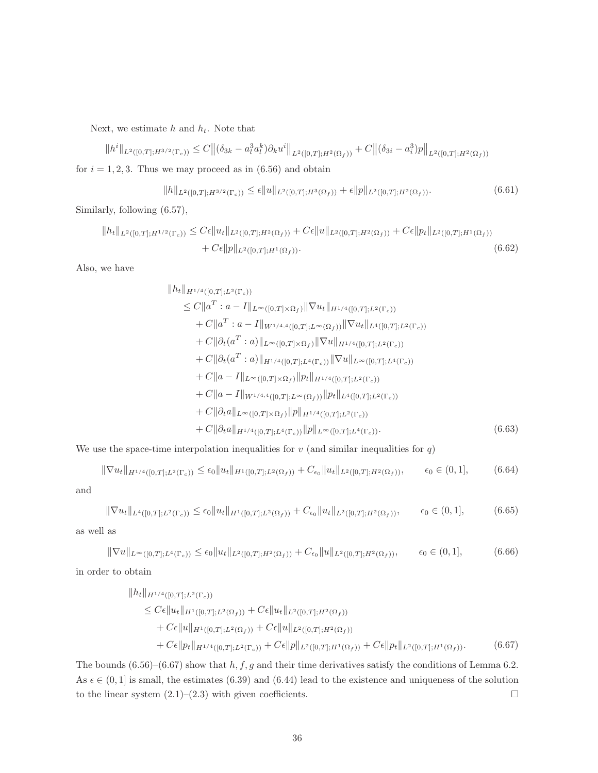Next, we estimate  $h$  and  $h_t$ . Note that

 $||h^i||_{L^2([0,T];H^{3/2}(\Gamma_c))} \leq C ||(\delta_{3k} - a_l^3 a_l^k) \partial_k u^i||_{L^2([0,T];H^2(\Omega_f))} + C ||(\delta_{3i} - a_i^3)p||_{L^2([0,T];H^2(\Omega_f))}$ for  $i = 1, 2, 3$ . Thus we may proceed as in  $(6.56)$  and obtain

$$
||h||_{L^{2}([0,T];H^{3/2}(\Gamma_c))} \leq \epsilon ||u||_{L^{2}([0,T];H^3(\Omega_f))} + \epsilon ||p||_{L^{2}([0,T];H^2(\Omega_f))}.
$$
\n(6.61)

Similarly, following (6.57),

$$
||h_t||_{L^2([0,T];H^{1/2}(\Gamma_c))} \leq C\epsilon ||u_t||_{L^2([0,T];H^2(\Omega_f))} + C\epsilon ||u||_{L^2([0,T];H^2(\Omega_f))} + C\epsilon ||p_t||_{L^2([0,T];H^1(\Omega_f))} + C\epsilon ||p_t||_{L^2([0,T];H^1(\Omega_f))}.
$$
\n(6.62)

Also, we have

$$
||h_t||_{H^{1/4}([0,T];L^2(\Gamma_c))}
$$
  
\n
$$
\leq C||a^T : a - I||_{L^{\infty}([0,T]\times\Omega_f)} ||\nabla u_t||_{H^{1/4}([0,T];L^2(\Gamma_c))}
$$
  
\n
$$
+ C||a^T : a - I||_{W^{1/4,4}([0,T];L^{\infty}(\Omega_f))} ||\nabla u_t||_{L^4([0,T];L^2(\Gamma_c))}
$$
  
\n
$$
+ C||\partial_t(a^T : a)||_{L^{\infty}([0,T]\times\Omega_f)} ||\nabla u||_{H^{1/4}([0,T];L^2(\Gamma_c))}
$$
  
\n
$$
+ C||\partial_t(a^T : a)||_{H^{1/4}([0,T];L^4(\Gamma_c))} ||\nabla u||_{L^{\infty}([0,T];L^4(\Gamma_c))}
$$
  
\n
$$
+ C||a - I||_{L^{\infty}([0,T]\times\Omega_f)} ||p_t||_{H^{1/4}([0,T];L^2(\Gamma_c))}
$$
  
\n
$$
+ C||a - I||_{W^{1/4,4}([0,T];L^{\infty}(\Omega_f))} ||p_t||_{L^4([0,T];L^2(\Gamma_c))}
$$
  
\n
$$
+ C||\partial_t a||_{L^{\infty}([0,T]\times\Omega_f)} ||p||_{H^{1/4}([0,T];L^2(\Gamma_c))}
$$
  
\n
$$
+ C||\partial_t a||_{H^{1/4}([0,T];L^4(\Gamma_c))} ||p||_{L^{\infty}([0,T];L^4(\Gamma_c))}.
$$
  
\n(6.63)

We use the space-time interpolation inequalities for  $v$  (and similar inequalities for  $q$ )

$$
\|\nabla u_t\|_{H^{1/4}([0,T];L^2(\Gamma_c))} \leq \epsilon_0 \|u_t\|_{H^1([0,T];L^2(\Omega_f))} + C_{\epsilon_0} \|u_t\|_{L^2([0,T];H^2(\Omega_f))}, \qquad \epsilon_0 \in (0,1], \tag{6.64}
$$

and

$$
\|\nabla u_t\|_{L^4([0,T];L^2(\Gamma_c))} \le \epsilon_0 \|u_t\|_{H^1([0,T];L^2(\Omega_f))} + C_{\epsilon_0} \|u_t\|_{L^2([0,T];H^2(\Omega_f))}, \qquad \epsilon_0 \in (0,1],
$$
 (6.65)

as well as

$$
\|\nabla u\|_{L^{\infty}([0,T];L^{4}(\Gamma_{c}))} \leq \epsilon_{0} \|u_{t}\|_{L^{2}([0,T];H^{2}(\Omega_{f}))} + C_{\epsilon_{0}} \|u\|_{L^{2}([0,T];H^{2}(\Omega_{f}))}, \qquad \epsilon_{0} \in (0,1], \tag{6.66}
$$

in order to obtain

$$
||h_t||_{H^{1/4}([0,T];L^2(\Gamma_c))}
$$
  
\n
$$
\leq C\epsilon ||u_t||_{H^1([0,T];L^2(\Omega_f))} + C\epsilon ||u_t||_{L^2([0,T];H^2(\Omega_f))}
$$
  
\n
$$
+ C\epsilon ||u||_{H^1([0,T];L^2(\Omega_f))} + C\epsilon ||u||_{L^2([0,T];H^2(\Omega_f))}
$$
  
\n
$$
+ C\epsilon ||p_t||_{H^{1/4}([0,T];L^2(\Gamma_c))} + C\epsilon ||p||_{L^2([0,T];H^1(\Omega_f))} + C\epsilon ||p_t||_{L^2([0,T];H^1(\Omega_f))}.
$$
 (6.67)

The bounds  $(6.56)$ – $(6.67)$  show that h, f, g and their time derivatives satisfy the conditions of Lemma 6.2. As  $\epsilon \in (0, 1]$  is small, the estimates (6.39) and (6.44) lead to the existence and uniqueness of the solution to the linear system  $(2.1)$ – $(2.3)$  with given coefficients.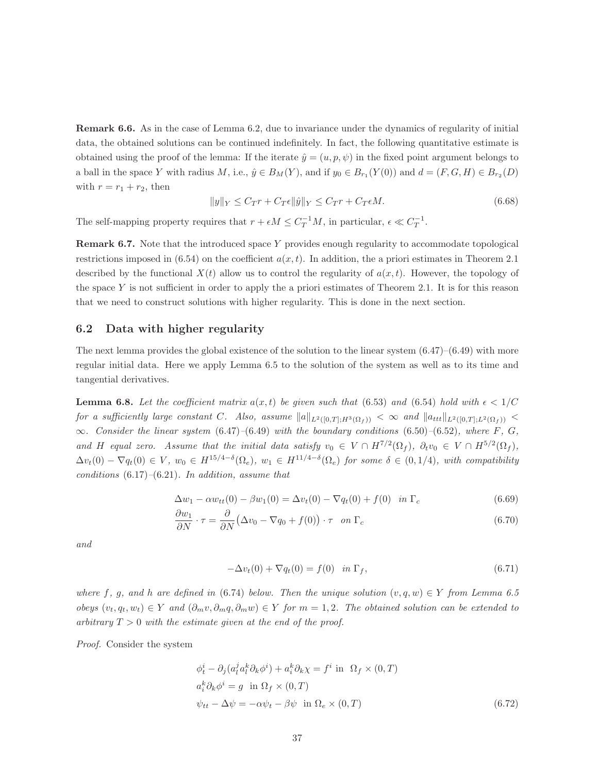Remark 6.6. As in the case of Lemma 6.2, due to invariance under the dynamics of regularity of initial data, the obtained solutions can be continued indefinitely. In fact, the following quantitative estimate is obtained using the proof of the lemma: If the iterate  $\hat{y} = (u, p, \psi)$  in the fixed point argument belongs to a ball in the space Y with radius M, i.e.,  $\hat{y} \in B_M(Y)$ , and if  $y_0 \in B_{r_1}(Y(0))$  and  $d = (F, G, H) \in B_{r_2}(D)$ with  $r = r_1 + r_2$ , then

$$
||y||_Y \le C_T r + C_T \epsilon ||\hat{y}||_Y \le C_T r + C_T \epsilon M. \tag{6.68}
$$

The self-mapping property requires that  $r + \epsilon M \leq C_T^{-1}M$ , in particular,  $\epsilon \ll C_T^{-1}$ .

Remark 6.7. Note that the introduced space Y provides enough regularity to accommodate topological restrictions imposed in  $(6.54)$  on the coefficient  $a(x, t)$ . In addition, the a priori estimates in Theorem 2.1 described by the functional  $X(t)$  allow us to control the regularity of  $a(x, t)$ . However, the topology of the space Y is not sufficient in order to apply the a priori estimates of Theorem 2.1. It is for this reason that we need to construct solutions with higher regularity. This is done in the next section.

#### 6.2 Data with higher regularity

The next lemma provides the global existence of the solution to the linear system  $(6.47)$ – $(6.49)$  with more regular initial data. Here we apply Lemma 6.5 to the solution of the system as well as to its time and tangential derivatives.

**Lemma 6.8.** Let the coefficient matrix  $a(x, t)$  be given such that (6.53) and (6.54) hold with  $\epsilon < 1/C$ for a sufficiently large constant C. Also, assume  $||a||_{L^2([0,T];H^3(\Omega_f))} < \infty$  and  $||a_{ttt}||_{L^2([0,T];L^2(\Omega_f))} <$  $\infty$ . Consider the linear system (6.47)–(6.49) with the boundary conditions (6.50)–(6.52), where F, G, and H equal zero. Assume that the initial data satisfy  $v_0 \in V \cap H^{7/2}(\Omega_f)$ ,  $\partial_t v_0 \in V \cap H^{5/2}(\Omega_f)$ ,  $\Delta v_t(0) - \nabla q_t(0) \in V$ ,  $w_0 \in H^{15/4-\delta}(\Omega_e)$ ,  $w_1 \in H^{11/4-\delta}(\Omega_e)$  for some  $\delta \in (0,1/4)$ , with compatibility conditions  $(6.17)$ – $(6.21)$ . In addition, assume that

$$
\Delta w_1 - \alpha w_{tt}(0) - \beta w_1(0) = \Delta v_t(0) - \nabla q_t(0) + f(0) \quad \text{in } \Gamma_c \tag{6.69}
$$

$$
\frac{\partial w_1}{\partial N} \cdot \tau = \frac{\partial}{\partial N} \left( \Delta v_0 - \nabla q_0 + f(0) \right) \cdot \tau \quad on \ \Gamma_c \tag{6.70}
$$

and

$$
-\Delta v_t(0) + \nabla q_t(0) = f(0) \quad \text{in } \Gamma_f,\tag{6.71}
$$

where f, g, and h are defined in (6.74) below. Then the unique solution  $(v, q, w) \in Y$  from Lemma 6.5 obeys  $(v_t, q_t, w_t) \in Y$  and  $(\partial_m v, \partial_m q, \partial_m w) \in Y$  for  $m = 1, 2$ . The obtained solution can be extended to arbitrary  $T > 0$  with the estimate given at the end of the proof.

Proof. Consider the system

$$
\phi_t^i - \partial_j (a_l^j a_l^k \partial_k \phi^i) + a_i^k \partial_k \chi = f^i \text{ in } \Omega_f \times (0, T)
$$
  
\n
$$
a_i^k \partial_k \phi^i = g \text{ in } \Omega_f \times (0, T)
$$
  
\n
$$
\psi_{tt} - \Delta \psi = -\alpha \psi_t - \beta \psi \text{ in } \Omega_e \times (0, T)
$$
\n(6.72)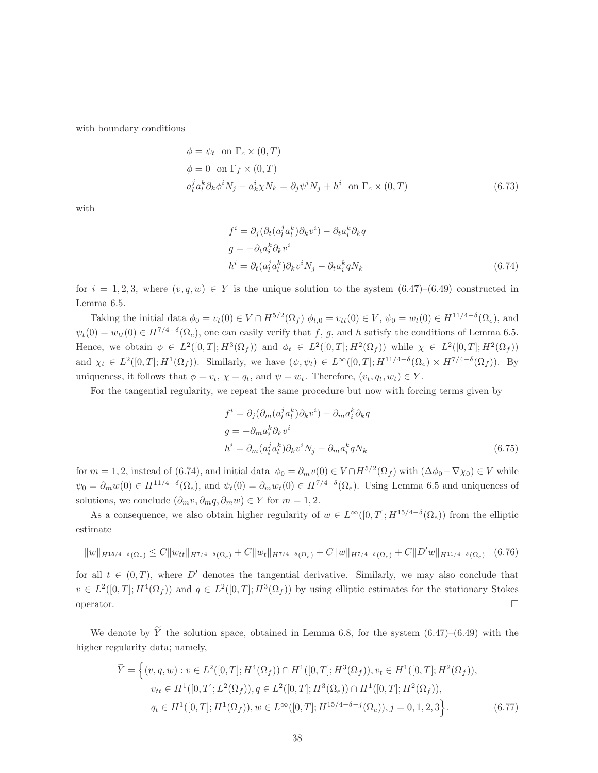with boundary conditions

$$
\phi = \psi_t \text{ on } \Gamma_c \times (0, T)
$$
  
\n
$$
\phi = 0 \text{ on } \Gamma_f \times (0, T)
$$
  
\n
$$
a_l^j a_l^k \partial_k \phi^i N_j - a_k^i \chi N_k = \partial_j \psi^i N_j + h^i \text{ on } \Gamma_c \times (0, T)
$$
\n(6.73)

with

$$
f^{i} = \partial_{j}(\partial_{t}(a_{l}^{j}a_{l}^{k})\partial_{k}v^{i}) - \partial_{t}a_{i}^{k}\partial_{k}q
$$
  
\n
$$
g = -\partial_{t}a_{i}^{k}\partial_{k}v^{i}
$$
  
\n
$$
h^{i} = \partial_{t}(a_{l}^{j}a_{l}^{k})\partial_{k}v^{i}N_{j} - \partial_{t}a_{i}^{k}qN_{k}
$$
\n(6.74)

for  $i = 1, 2, 3$ , where  $(v, q, w) \in Y$  is the unique solution to the system  $(6.47)$ – $(6.49)$  constructed in Lemma 6.5.

Taking the initial data  $\phi_0 = v_t(0) \in V \cap H^{5/2}(\Omega_f)$   $\phi_{t,0} = v_{tt}(0) \in V$ ,  $\psi_0 = w_t(0) \in H^{11/4-\delta}(\Omega_e)$ , and  $\psi_t(0) = w_{tt}(0) \in H^{7/4-\delta}(\Omega_e)$ , one can easily verify that f, g, and h satisfy the conditions of Lemma 6.5. Hence, we obtain  $\phi \in L^2([0,T];H^3(\Omega_f))$  and  $\phi_t \in L^2([0,T];H^2(\Omega_f))$  while  $\chi \in L^2([0,T];H^2(\Omega_f))$ and  $\chi_t \in L^2([0,T]; H^1(\Omega_f))$ . Similarly, we have  $(\psi, \psi_t) \in L^{\infty}([0,T]; H^{11/4-\delta}(\Omega_e) \times H^{7/4-\delta}(\Omega_f))$ . By uniqueness, it follows that  $\phi = v_t$ ,  $\chi = q_t$ , and  $\psi = w_t$ . Therefore,  $(v_t, q_t, w_t) \in Y$ .

For the tangential regularity, we repeat the same procedure but now with forcing terms given by

$$
f^{i} = \partial_{j}(\partial_{m}(a_{l}^{j}a_{l}^{k})\partial_{k}v^{i}) - \partial_{m}a_{i}^{k}\partial_{k}q
$$
  
\n
$$
g = -\partial_{m}a_{i}^{k}\partial_{k}v^{i}
$$
  
\n
$$
h^{i} = \partial_{m}(a_{l}^{j}a_{l}^{k})\partial_{k}v^{i}N_{j} - \partial_{m}a_{i}^{k}qN_{k}
$$
  
\n(6.75)

for  $m = 1, 2$ , instead of (6.74), and initial data  $\phi_0 = \partial_m v(0) \in V \cap H^{5/2}(\Omega_f)$  with  $(\Delta \phi_0 - \nabla \chi_0) \in V$  while  $\psi_0 = \partial_m w(0) \in H^{11/4-\delta}(\Omega_e)$ , and  $\psi_t(0) = \partial_m w_t(0) \in H^{7/4-\delta}(\Omega_e)$ . Using Lemma 6.5 and uniqueness of solutions, we conclude  $(\partial_m v, \partial_m q, \partial_m w) \in Y$  for  $m = 1, 2$ .

As a consequence, we also obtain higher regularity of  $w \in L^{\infty}([0,T]; H^{15/4-\delta}(\Omega_e))$  from the elliptic estimate

$$
||w||_{H^{15/4-\delta}(\Omega_e)} \le C||w_{tt}||_{H^{7/4-\delta}(\Omega_e)} + C||w_t||_{H^{7/4-\delta}(\Omega_e)} + C||w||_{H^{7/4-\delta}(\Omega_e)} + C||D'w||_{H^{11/4-\delta}(\Omega_e)} \quad (6.76)
$$

for all  $t \in (0,T)$ , where D' denotes the tangential derivative. Similarly, we may also conclude that  $v \in L^2([0,T]; H^4(\Omega_f))$  and  $q \in L^2([0,T]; H^3(\Omega_f))$  by using elliptic estimates for the stationary Stokes operator.  $\Box$ 

We denote by  $\tilde{Y}$  the solution space, obtained in Lemma 6.8, for the system  $(6.47)$ – $(6.49)$  with the higher regularity data; namely,

$$
\widetilde{Y} = \left\{ (v, q, w) : v \in L^2([0, T]; H^4(\Omega_f)) \cap H^1([0, T]; H^3(\Omega_f)), v_t \in H^1([0, T]; H^2(\Omega_f)), \n v_{tt} \in H^1([0, T]; L^2(\Omega_f)), q \in L^2([0, T]; H^3(\Omega_e)) \cap H^1([0, T]; H^2(\Omega_f)), \n q_t \in H^1([0, T]; H^1(\Omega_f)), w \in L^\infty([0, T]; H^{15/4 - \delta - j}(\Omega_e)), j = 0, 1, 2, 3 \right\}.
$$
\n(6.77)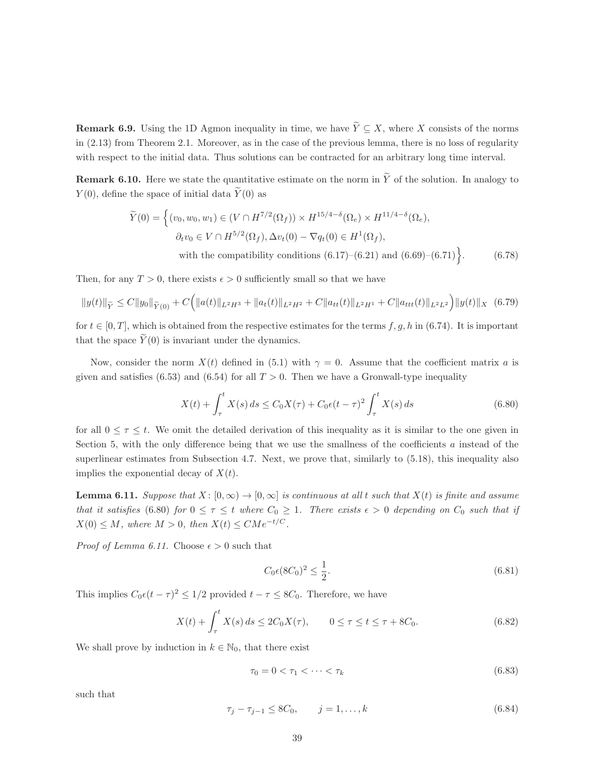**Remark 6.9.** Using the 1D Agmon inequality in time, we have  $\widetilde{Y} \subseteq X$ , where X consists of the norms in (2.13) from Theorem 2.1. Moreover, as in the case of the previous lemma, there is no loss of regularity with respect to the initial data. Thus solutions can be contracted for an arbitrary long time interval.

**Remark 6.10.** Here we state the quantitative estimate on the norm in  $\tilde{Y}$  of the solution. In analogy to  $Y(0)$ , define the space of initial data  $\widetilde{Y}(0)$  as

$$
\widetilde{Y}(0) = \left\{ (v_0, w_0, w_1) \in (V \cap H^{7/2}(\Omega_f)) \times H^{15/4 - \delta}(\Omega_e) \times H^{11/4 - \delta}(\Omega_e), \right\}
$$
\n
$$
\partial_t v_0 \in V \cap H^{5/2}(\Omega_f), \Delta v_t(0) - \nabla q_t(0) \in H^1(\Omega_f),
$$
\nwith the compatibility conditions (6.17)–(6.21) and (6.69)–(6.71). (6.78)

Then, for any  $T > 0$ , there exists  $\epsilon > 0$  sufficiently small so that we have

$$
||y(t)||_{\widetilde{Y}} \leq C||y_0||_{\widetilde{Y}(0)} + C\Big(||a(t)||_{L^2H^3} + ||a_t(t)||_{L^2H^2} + C||a_{tt}(t)||_{L^2H^1} + C||a_{tt}(t)||_{L^2L^2}\Big)||y(t)||_X \quad (6.79)
$$

for  $t \in [0, T]$ , which is obtained from the respective estimates for the terms  $f, g, h$  in (6.74). It is important that the space  $\widetilde{Y}(0)$  is invariant under the dynamics.

Now, consider the norm  $X(t)$  defined in (5.1) with  $\gamma = 0$ . Assume that the coefficient matrix a is given and satisfies (6.53) and (6.54) for all  $T > 0$ . Then we have a Gronwall-type inequality

$$
X(t) + \int_{\tau}^{t} X(s) ds \le C_0 X(\tau) + C_0 \epsilon (t - \tau)^2 \int_{\tau}^{t} X(s) ds
$$
\n(6.80)

for all  $0 \leq \tau \leq t$ . We omit the detailed derivation of this inequality as it is similar to the one given in Section 5, with the only difference being that we use the smallness of the coefficients  $a$  instead of the superlinear estimates from Subsection 4.7. Next, we prove that, similarly to  $(5.18)$ , this inequality also implies the exponential decay of  $X(t)$ .

**Lemma 6.11.** Suppose that  $X: [0, \infty) \to [0, \infty]$  is continuous at all t such that  $X(t)$  is finite and assume that it satisfies (6.80) for  $0 \leq \tau \leq t$  where  $C_0 \geq 1$ . There exists  $\epsilon > 0$  depending on  $C_0$  such that if  $X(0) \leq M$ , where  $M > 0$ , then  $X(t) \leq CMe^{-t/C}$ .

*Proof of Lemma 6.11.* Choose  $\epsilon > 0$  such that

$$
C_0 \epsilon (8C_0)^2 \le \frac{1}{2}.\tag{6.81}
$$

This implies  $C_0 \epsilon (t - \tau)^2 \leq 1/2$  provided  $t - \tau \leq 8C_0$ . Therefore, we have

$$
X(t) + \int_{\tau}^{t} X(s) ds \le 2C_0 X(\tau), \qquad 0 \le \tau \le t \le \tau + 8C_0.
$$
 (6.82)

We shall prove by induction in  $k \in \mathbb{N}_0$ , that there exist

$$
\tau_0 = 0 < \tau_1 < \dots < \tau_k \tag{6.83}
$$

such that

$$
\tau_j - \tau_{j-1} \le 8C_0, \qquad j = 1, \dots, k \tag{6.84}
$$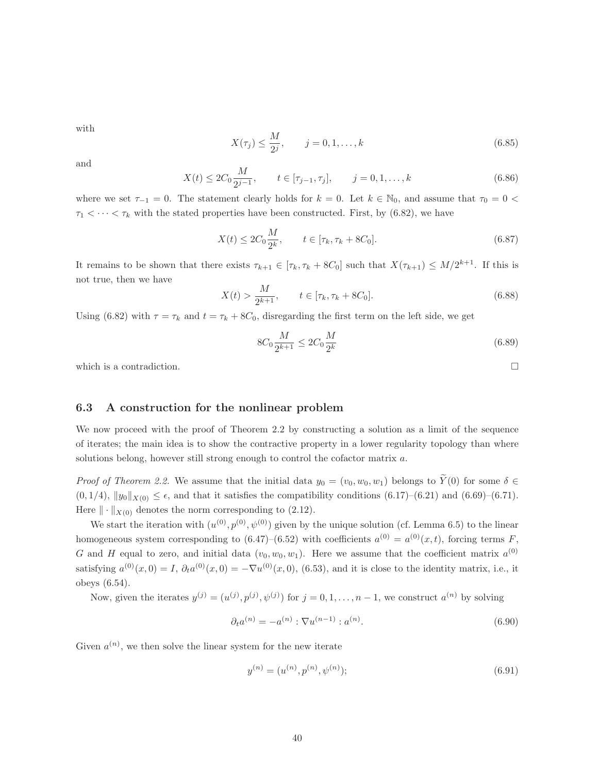with

$$
X(\tau_j) \le \frac{M}{2^j}, \qquad j = 0, 1, \dots, k
$$
\n(6.85)

and

$$
X(t) \le 2C_0 \frac{M}{2^{j-1}}, \qquad t \in [\tau_{j-1}, \tau_j], \qquad j = 0, 1, \dots, k
$$
\n(6.86)

where we set  $\tau_{-1} = 0$ . The statement clearly holds for  $k = 0$ . Let  $k \in \mathbb{N}_0$ , and assume that  $\tau_0 = 0$  $\tau_1 < \cdots < \tau_k$  with the stated properties have been constructed. First, by (6.82), we have

$$
X(t) \le 2C_0 \frac{M}{2^k}, \qquad t \in [\tau_k, \tau_k + 8C_0].
$$
\n(6.87)

It remains to be shown that there exists  $\tau_{k+1} \in [\tau_k, \tau_k + 8C_0]$  such that  $X(\tau_{k+1}) \leq M/2^{k+1}$ . If this is not true, then we have

$$
X(t) > \frac{M}{2^{k+1}}, \qquad t \in [\tau_k, \tau_k + 8C_0].
$$
\n(6.88)

Using (6.82) with  $\tau = \tau_k$  and  $t = \tau_k + 8C_0$ , disregarding the first term on the left side, we get

$$
8C_0 \frac{M}{2^{k+1}} \le 2C_0 \frac{M}{2^k} \tag{6.89}
$$

which is a contradiction.  $\Box$ 

#### 6.3 A construction for the nonlinear problem

We now proceed with the proof of Theorem 2.2 by constructing a solution as a limit of the sequence of iterates; the main idea is to show the contractive property in a lower regularity topology than where solutions belong, however still strong enough to control the cofactor matrix a.

*Proof of Theorem 2.2.* We assume that the initial data  $y_0 = (v_0, w_0, w_1)$  belongs to  $\widetilde{Y}(0)$  for some  $\delta \in$  $(0, 1/4)$ ,  $||y_0||_{X(0)} \leq \epsilon$ , and that it satisfies the compatibility conditions  $(6.17)$ – $(6.21)$  and  $(6.69)$ – $(6.71)$ . Here  $\|\cdot\|_{X(0)}$  denotes the norm corresponding to (2.12).

We start the iteration with  $(u^{(0)}, p^{(0)}, \psi^{(0)})$  given by the unique solution (cf. Lemma 6.5) to the linear homogeneous system corresponding to  $(6.47)$ – $(6.52)$  with coefficients  $a^{(0)} = a^{(0)}(x,t)$ , forcing terms F, G and H equal to zero, and initial data  $(v_0, w_0, w_1)$ . Here we assume that the coefficient matrix  $a^{(0)}$ satisfying  $a^{(0)}(x,0) = I$ ,  $\partial_t a^{(0)}(x,0) = -\nabla u^{(0)}(x,0)$ , (6.53), and it is close to the identity matrix, i.e., it obeys (6.54).

Now, given the iterates  $y^{(j)} = (u^{(j)}, p^{(j)}, \psi^{(j)})$  for  $j = 0, 1, ..., n-1$ , we construct  $a^{(n)}$  by solving

$$
\partial_t a^{(n)} = -a^{(n)} : \nabla u^{(n-1)} : a^{(n)}.
$$
\n(6.90)

Given  $a^{(n)}$ , we then solve the linear system for the new iterate

$$
y^{(n)} = (u^{(n)}, p^{(n)}, \psi^{(n)});
$$
\n(6.91)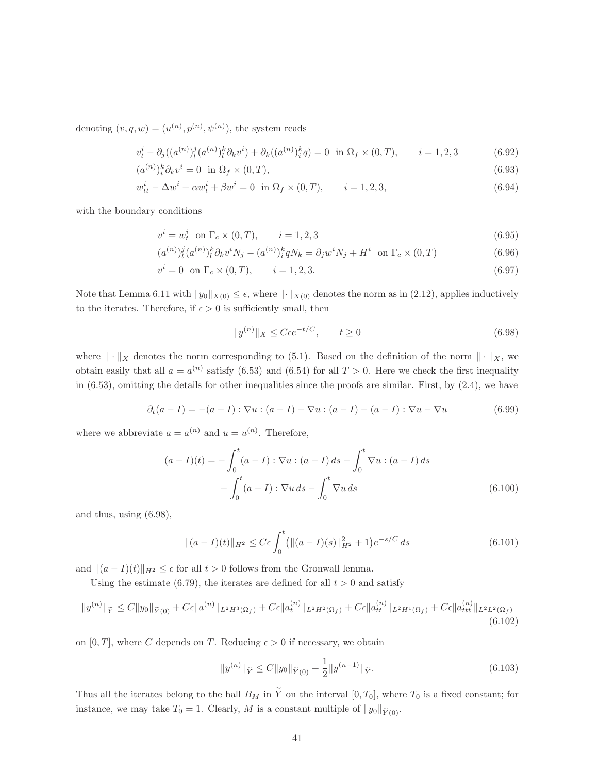denoting  $(v, q, w) = (u^{(n)}, p^{(n)}, \psi^{(n)})$ , the system reads

$$
v_t^i - \partial_j((a^{(n)})_l^j (a^{(n)})_l^k \partial_k v^i) + \partial_k((a^{(n)})_i^k q) = 0 \text{ in } \Omega_f \times (0, T), \qquad i = 1, 2, 3
$$
 (6.92)

$$
(a^{(n)})_i^k \partial_k v^i = 0 \quad \text{in } \Omega_f \times (0, T), \tag{6.93}
$$

$$
w_{tt}^{i} - \Delta w^{i} + \alpha w_{t}^{i} + \beta w^{i} = 0 \quad \text{in } \Omega_{f} \times (0, T), \qquad i = 1, 2, 3,
$$
\n(6.94)

with the boundary conditions

$$
v^{i} = w_{t}^{i} \text{ on } \Gamma_{c} \times (0, T), \qquad i = 1, 2, 3
$$
\n(6.95)

$$
(a^{(n)})_l^j (a^{(n)})_l^k \partial_k v^i N_j - (a^{(n)})_i^k q N_k = \partial_j w^i N_j + H^i \text{ on } \Gamma_c \times (0, T)
$$
 (6.96)

$$
v^{i} = 0 \text{ on } \Gamma_{c} \times (0, T), \qquad i = 1, 2, 3. \tag{6.97}
$$

Note that Lemma 6.11 with  $||y_0||_{X(0)} \leq \epsilon$ , where  $||\cdot||_{X(0)}$  denotes the norm as in (2.12), applies inductively to the iterates. Therefore, if  $\epsilon > 0$  is sufficiently small, then

$$
||y^{(n)}||_X \le C\epsilon e^{-t/C}, \qquad t \ge 0
$$
\n(6.98)

where  $\|\cdot\|_X$  denotes the norm corresponding to (5.1). Based on the definition of the norm  $\|\cdot\|_X$ , we obtain easily that all  $a = a^{(n)}$  satisfy (6.53) and (6.54) for all  $T > 0$ . Here we check the first inequality in (6.53), omitting the details for other inequalities since the proofs are similar. First, by (2.4), we have

$$
\partial_t(a-I) = -(a-I) : \nabla u : (a-I) - \nabla u : (a-I) - (a-I) : \nabla u - \nabla u \tag{6.99}
$$

where we abbreviate  $a = a^{(n)}$  and  $u = u^{(n)}$ . Therefore,

$$
(a - I)(t) = -\int_0^t (a - I) : \nabla u : (a - I) ds - \int_0^t \nabla u : (a - I) ds
$$

$$
-\int_0^t (a - I) : \nabla u ds - \int_0^t \nabla u ds
$$
(6.100)

and thus, using (6.98),

$$
\|(a-I)(t)\|_{H^2} \le C\epsilon \int_0^t \left(\|(a-I)(s)\|_{H^2}^2 + 1\right) e^{-s/C} ds\tag{6.101}
$$

and  $||(a - I)(t)||_{H^2} \leq \epsilon$  for all  $t > 0$  follows from the Gronwall lemma.

Using the estimate (6.79), the iterates are defined for all  $t > 0$  and satisfy

$$
||y^{(n)}||_{\tilde{Y}} \leq C||y_0||_{\tilde{Y}(0)} + C\epsilon ||a^{(n)}||_{L^2H^3(\Omega_f)} + C\epsilon ||a_t^{(n)}||_{L^2H^2(\Omega_f)} + C\epsilon ||a_{tt}^{(n)}||_{L^2H^1(\Omega_f)} + C\epsilon ||a_{ttt}^{(n)}||_{L^2L^2(\Omega_f)}
$$
(6.102)

on [0, T], where C depends on T. Reducing  $\epsilon > 0$  if necessary, we obtain

$$
||y^{(n)}||_{\widetilde{Y}} \le C||y_0||_{\widetilde{Y}(0)} + \frac{1}{2}||y^{(n-1)}||_{\widetilde{Y}}.
$$
\n(6.103)

Thus all the iterates belong to the ball  $B_M$  in  $\tilde{Y}$  on the interval  $[0, T_0]$ , where  $T_0$  is a fixed constant; for instance, we may take  $T_0 = 1$ . Clearly, M is a constant multiple of  $||y_0||_{\widetilde{Y}(0)}$ .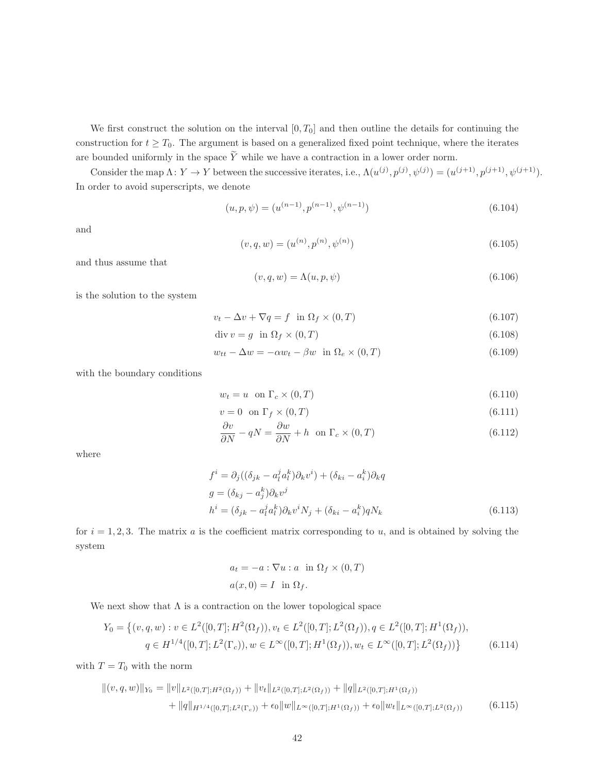We first construct the solution on the interval  $[0, T_0]$  and then outline the details for continuing the construction for  $t \geq T_0$ . The argument is based on a generalized fixed point technique, where the iterates are bounded uniformly in the space  $\widetilde{Y}$  while we have a contraction in a lower order norm.

Consider the map  $\Lambda: Y \to Y$  between the successive iterates, i.e.,  $\Lambda(u^{(j)}, p^{(j)}, \psi^{(j)}) = (u^{(j+1)}, p^{(j+1)}, \psi^{(j+1)})$ . In order to avoid superscripts, we denote

$$
(u, p, \psi) = (u^{(n-1)}, p^{(n-1)}, \psi^{(n-1)})
$$
\n(6.104)

and

$$
(v, q, w) = (u^{(n)}, p^{(n)}, \psi^{(n)})
$$
\n(6.105)

and thus assume that

$$
(v, q, w) = \Lambda(u, p, \psi) \tag{6.106}
$$

is the solution to the system

$$
v_t - \Delta v + \nabla q = f \quad \text{in } \Omega_f \times (0, T) \tag{6.107}
$$

$$
\operatorname{div} v = g \quad \text{in } \Omega_f \times (0, T) \tag{6.108}
$$

$$
w_{tt} - \Delta w = -\alpha w_t - \beta w \quad \text{in } \Omega_e \times (0, T) \tag{6.109}
$$

with the boundary conditions

$$
w_t = u \quad \text{on } \Gamma_c \times (0, T) \tag{6.110}
$$

$$
v = 0 \quad \text{on } \Gamma_f \times (0, T) \tag{6.111}
$$

$$
\frac{\partial v}{\partial N} - qN = \frac{\partial w}{\partial N} + h \quad \text{on } \Gamma_c \times (0, T) \tag{6.112}
$$

where

$$
f^i = \partial_j ((\delta_{jk} - a_i^j a_i^k) \partial_k v^i) + (\delta_{ki} - a_i^k) \partial_k q
$$
  
\n
$$
g = (\delta_{kj} - a_j^k) \partial_k v^j
$$
  
\n
$$
h^i = (\delta_{jk} - a_i^j a_i^k) \partial_k v^i N_j + (\delta_{ki} - a_i^k) q N_k
$$
  
\n(6.113)

for  $i = 1, 2, 3$ . The matrix a is the coefficient matrix corresponding to u, and is obtained by solving the system

$$
a_t = -a : \nabla u : a \text{ in } \Omega_f \times (0, T)
$$

$$
a(x, 0) = I \text{ in } \Omega_f.
$$

We next show that  $\Lambda$  is a contraction on the lower topological space

$$
Y_0 = \left\{ (v, q, w) : v \in L^2([0, T]; H^2(\Omega_f)), v_t \in L^2([0, T]; L^2(\Omega_f)), q \in L^2([0, T]; H^1(\Omega_f)), \right\}
$$
  

$$
q \in H^{1/4}([0, T]; L^2(\Gamma_c)), w \in L^\infty([0, T]; H^1(\Omega_f)), w_t \in L^\infty([0, T]; L^2(\Omega_f)) \right\}
$$
(6.114)

with  $T = T_0$  with the norm

$$
\| (v, q, w) \|_{Y_0} = \| v \|_{L^2([0,T]; H^2(\Omega_f))} + \| v_t \|_{L^2([0,T]; L^2(\Omega_f))} + \| q \|_{L^2([0,T]; H^1(\Omega_f))}
$$
  
+ 
$$
\| q \|_{H^{1/4}([0,T]; L^2(\Gamma_c))} + \epsilon_0 \| w \|_{L^\infty([0,T]; H^1(\Omega_f))} + \epsilon_0 \| w_t \|_{L^\infty([0,T]; L^2(\Omega_f))}
$$
(6.115)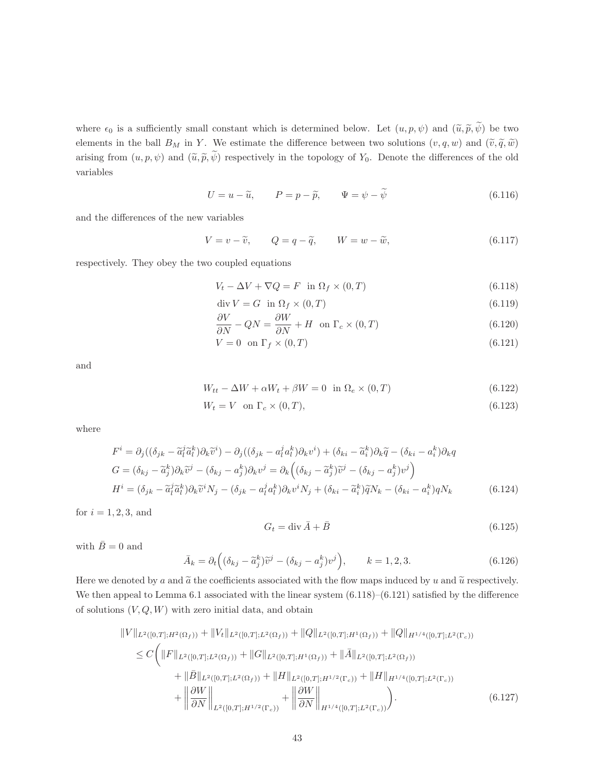where  $\epsilon_0$  is a sufficiently small constant which is determined below. Let  $(u, p, \psi)$  and  $(\tilde{u}, \tilde{p}, \tilde{\psi})$  be two elements in the ball  $B_M$  in Y. We estimate the difference between two solutions  $(v, q, w)$  and  $(\tilde{v}, \tilde{q}, \tilde{w})$ arising from  $(u, p, \psi)$  and  $(\tilde{u}, \tilde{p}, \tilde{\psi})$  respectively in the topology of  $Y_0$ . Denote the differences of the old variables

$$
U = u - \widetilde{u}, \qquad P = p - \widetilde{p}, \qquad \Psi = \psi - \widetilde{\psi}
$$
\n(6.116)

and the differences of the new variables

 $V = v - \widetilde{v}, \qquad Q = q - \widetilde{q}, \qquad W = w - \widetilde{w},$ (6.117)

respectively. They obey the two coupled equations

$$
V_t - \Delta V + \nabla Q = F \quad \text{in } \Omega_f \times (0, T) \tag{6.118}
$$

$$
\operatorname{div} V = G \quad \text{in} \ \Omega_f \times (0, T) \tag{6.119}
$$

$$
\frac{\partial V}{\partial N} - QN = \frac{\partial W}{\partial N} + H \quad \text{on } \Gamma_c \times (0, T) \tag{6.120}
$$

$$
V = 0 \quad \text{on } \Gamma_f \times (0, T) \tag{6.121}
$$

and

$$
W_{tt} - \Delta W + \alpha W_t + \beta W = 0 \quad \text{in } \Omega_e \times (0, T) \tag{6.122}
$$

$$
W_t = V \quad \text{on } \Gamma_c \times (0, T), \tag{6.123}
$$

where

$$
F^{i} = \partial_{j}((\delta_{jk} - \tilde{a}_{l}^{j}\tilde{a}_{l}^{k})\partial_{k}\tilde{v}^{i}) - \partial_{j}((\delta_{jk} - a_{l}^{j}a_{l}^{k})\partial_{k}v^{i}) + (\delta_{ki} - \tilde{a}_{i}^{k})\partial_{k}\tilde{q} - (\delta_{ki} - a_{i}^{k})\partial_{k}q
$$
  
\n
$$
G = (\delta_{kj} - \tilde{a}_{j}^{k})\partial_{k}\tilde{v}^{j} - (\delta_{kj} - a_{j}^{k})\partial_{k}v^{j} = \partial_{k}\left((\delta_{kj} - \tilde{a}_{j}^{k})\tilde{v}^{j} - (\delta_{kj} - a_{j}^{k})v^{j}\right)
$$
  
\n
$$
H^{i} = (\delta_{jk} - \tilde{a}_{l}^{j}\tilde{a}_{l}^{k})\partial_{k}\tilde{v}^{i}N_{j} - (\delta_{jk} - a_{l}^{j}a_{l}^{k})\partial_{k}v^{i}N_{j} + (\delta_{ki} - \tilde{a}_{i}^{k})\tilde{q}N_{k} - (\delta_{ki} - a_{i}^{k})qN_{k}
$$
(6.124)

for  $i = 1, 2, 3$ , and

$$
G_t = \text{div}\,\bar{A} + \bar{B} \tag{6.125}
$$

with  $\bar{B}=0$  and

$$
\bar{A}_k = \partial_t \left( (\delta_{kj} - \tilde{a}_j^k) \tilde{v}^j - (\delta_{kj} - a_j^k) v^j \right), \qquad k = 1, 2, 3.
$$
\n(6.126)

Here we denoted by a and  $\tilde{a}$  the coefficients associated with the flow maps induced by u and  $\tilde{u}$  respectively. We then appeal to Lemma 6.1 associated with the linear system  $(6.118)$ – $(6.121)$  satisfied by the difference of solutions  $(V, Q, W)$  with zero initial data, and obtain

$$
||V||_{L^{2}([0,T];H^{2}(\Omega_{f}))} + ||V_{t}||_{L^{2}([0,T];L^{2}(\Omega_{f}))} + ||Q||_{L^{2}([0,T];H^{1}(\Omega_{f}))} + ||Q||_{H^{1/4}([0,T];L^{2}(\Gamma_{c}))}
$$
  
\n
$$
\leq C \Biggl( ||F||_{L^{2}([0,T];L^{2}(\Omega_{f}))} + ||G||_{L^{2}([0,T];H^{1}(\Omega_{f}))} + ||\bar{A}||_{L^{2}([0,T];L^{2}(\Omega_{f}))}
$$
  
\n
$$
+ ||\bar{B}||_{L^{2}([0,T];L^{2}(\Omega_{f}))} + ||H||_{L^{2}([0,T];H^{1/2}(\Gamma_{c}))} + ||H||_{H^{1/4}([0,T];L^{2}(\Gamma_{c}))}
$$
  
\n
$$
+ ||\frac{\partial W}{\partial N}||_{L^{2}([0,T];H^{1/2}(\Gamma_{c}))} + ||\frac{\partial W}{\partial N}||_{H^{1/4}([0,T];L^{2}(\Gamma_{c}))} \Biggr).
$$
 (6.127)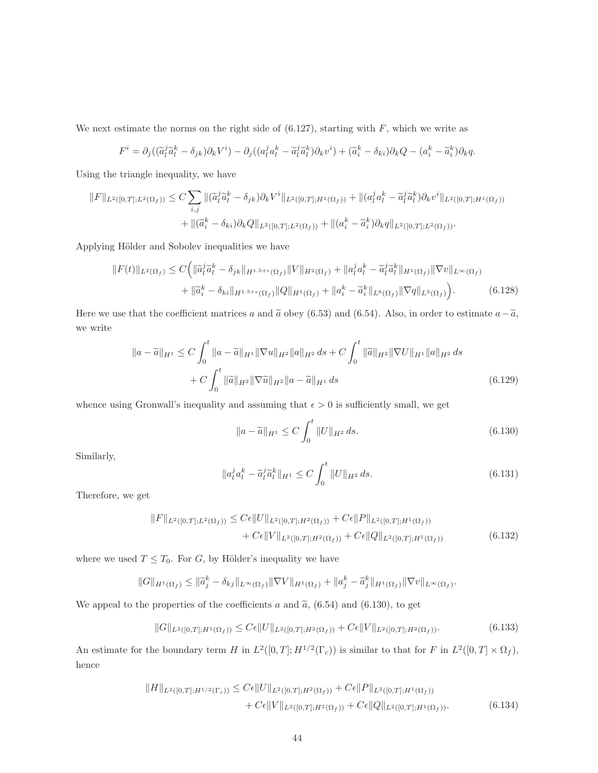We next estimate the norms on the right side of  $(6.127)$ , starting with  $F$ , which we write as

$$
F^i = \partial_j((\widetilde{a}_l^j \widetilde{a}_l^k - \delta_{jk})\partial_k V^i) - \partial_j((a_l^j a_l^k - \widetilde{a}_l^j \widetilde{a}_l^k)\partial_k v^i) + (\widetilde{a}_i^k - \delta_{ki})\partial_k Q - (a_i^k - \widetilde{a}_i^k)\partial_k q.
$$

Using the triangle inequality, we have

$$
||F||_{L^{2}([0,T];L^{2}(\Omega_{f}))} \leq C \sum_{i,j} ||(\tilde{a}_{l}^{j}\tilde{a}_{l}^{k} - \delta_{jk})\partial_{k}V^{i}||_{L^{2}([0,T];H^{1}(\Omega_{f}))} + ||(a_{l}^{j}a_{l}^{k} - \tilde{a}_{l}^{j}\tilde{a}_{l}^{k})\partial_{k}v^{i}||_{L^{2}([0,T];H^{1}(\Omega_{f}))}
$$
  
+ 
$$
||(\tilde{a}_{i}^{k} - \delta_{ki})\partial_{k}Q||_{L^{2}([0,T];L^{2}(\Omega_{f}))} + ||(a_{i}^{k} - \tilde{a}_{i}^{k})\partial_{k}q||_{L^{2}([0,T];L^{2}(\Omega_{f}))}.
$$

Applying Hölder and Sobolev inequalities we have

$$
||F(t)||_{L^{2}(\Omega_{f})} \leq C \Big( ||\tilde{a}_{l}^{j} \tilde{a}_{l}^{k} - \delta_{jk}||_{H^{1.5+\epsilon}(\Omega_{f})} ||V||_{H^{2}(\Omega_{f})} + ||a_{l}^{j} a_{l}^{k} - \tilde{a}_{l}^{j} \tilde{a}_{l}^{k}||_{H^{1}(\Omega_{f})} ||\nabla v||_{L^{\infty}(\Omega_{f})} + ||\tilde{a}_{i}^{k} - \delta_{ki}||_{H^{1.5+\epsilon}(\Omega_{f})} ||Q||_{H^{1}(\Omega_{f})} + ||a_{i}^{k} - \tilde{a}_{i}^{k}||_{L^{6}(\Omega_{f})} ||\nabla q||_{L^{3}(\Omega_{f})} \Big).
$$
\n(6.128)

Here we use that the coefficient matrices a and  $\tilde{a}$  obey (6.53) and (6.54). Also, in order to estimate  $a-\tilde{a}$ , we write

$$
\|a - \tilde{a}\|_{H^1} \le C \int_0^t \|a - \tilde{a}\|_{H^1} \|\nabla u\|_{H^2} \|a\|_{H^2} ds + C \int_0^t \|\tilde{a}\|_{H^2} \|\nabla U\|_{H^1} \|a\|_{H^2} ds
$$
  
+  $C \int_0^t \|\tilde{a}\|_{H^2} \|\nabla \tilde{u}\|_{H^2} \|a - \tilde{a}\|_{H^1} ds$  (6.129)

whence using Gronwall's inequality and assuming that  $\epsilon > 0$  is sufficiently small, we get

$$
\|a - \tilde{a}\|_{H^1} \le C \int_0^t \|U\|_{H^2} ds. \tag{6.130}
$$

Similarly,

$$
\|a_l^j a_l^k - \tilde{a}_l^j \tilde{a}_l^k\|_{H^1} \le C \int_0^t \|U\|_{H^2} ds.
$$
\n(6.131)

Therefore, we get

$$
||F||_{L^{2}([0,T];L^{2}(\Omega_{f}))} \leq C\epsilon ||U||_{L^{2}([0,T];H^{2}(\Omega_{f}))} + C\epsilon ||P||_{L^{2}([0,T];H^{1}(\Omega_{f}))} + C\epsilon ||V||_{L^{2}([0,T];H^{2}(\Omega_{f}))} + C\epsilon ||Q||_{L^{2}([0,T];H^{1}(\Omega_{f}))}
$$
(6.132)

where we used  $T \leq T_0$ . For G, by Hölder's inequality we have

$$
||G||_{H^1(\Omega_f)} \le ||\widetilde{a}_j^k - \delta_{kj}||_{L^{\infty}(\Omega_f)} ||\nabla V||_{H^1(\Omega_f)} + ||a_j^k - \widetilde{a}_j^k||_{H^1(\Omega_f)} ||\nabla v||_{L^{\infty}(\Omega_f)}.
$$

We appeal to the properties of the coefficients a and  $\tilde{a}$ , (6.54) and (6.130), to get

$$
||G||_{L^{2}([0,T];H^{1}(\Omega_{f}))} \leq C\epsilon ||U||_{L^{2}([0,T];H^{2}(\Omega_{f}))} + C\epsilon ||V||_{L^{2}([0,T];H^{2}(\Omega_{f}))}. \tag{6.133}
$$

An estimate for the boundary term H in  $L^2([0,T];H^{1/2}(\Gamma_c))$  is similar to that for F in  $L^2([0,T] \times \Omega_f)$ , hence

$$
||H||_{L^{2}([0,T];H^{1/2}(\Gamma_c))} \leq C\epsilon ||U||_{L^{2}([0,T];H^2(\Omega_f))} + C\epsilon ||P||_{L^{2}([0,T];H^1(\Omega_f))} + C\epsilon ||V||_{L^{2}([0,T];H^2(\Omega_f))} + C\epsilon ||Q||_{L^{2}([0,T];H^1(\Omega_f))}.
$$
\n(6.134)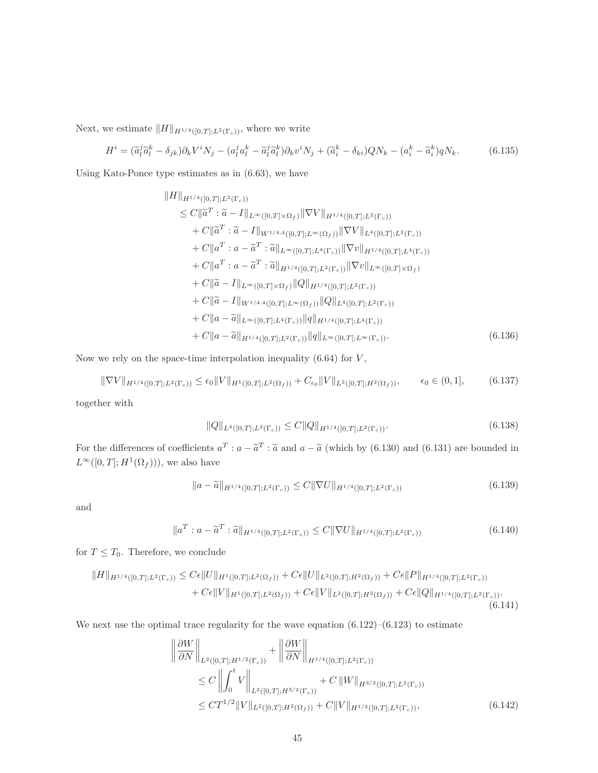Next, we estimate  $||H||_{H^{1/4}([0,T];L^2(\Gamma_c))}$ , where we write

$$
H^i = (\tilde{a}_l^j \tilde{a}_l^k - \delta_{jk})\partial_k V^i N_j - (a_l^j a_l^k - \tilde{a}_l^j \tilde{a}_l^k)\partial_k v^i N_j + (\tilde{a}_i^k - \delta_{ki})QN_k - (a_i^k - \tilde{a}_i^k)qN_k.
$$
 (6.135)

Using Kato-Ponce type estimates as in (6.63), we have

$$
||H||_{H^{1/4}([0,T];L^{2}(\Gamma_{c}))}
$$
  
\n
$$
\leq C||\tilde{a}^{T} : \tilde{a} - I||_{L^{\infty}([0,T]\times\Omega_{f})}||\nabla V||_{H^{1/4}([0,T];L^{2}(\Gamma_{c}))}
$$
  
\n
$$
+ C||\tilde{a}^{T} : \tilde{a} - I||_{W^{1/4,4}([0,T];L^{\infty}(\Omega_{f}))}||\nabla V||_{L^{4}([0,T];L^{2}(\Gamma_{c}))}
$$
  
\n
$$
+ C||a^{T} : a - \tilde{a}^{T} : \tilde{a}||_{L^{\infty}([0,T];L^{4}(\Gamma_{c}))}||\nabla v||_{H^{1/4}([0,T];L^{4}(\Gamma_{c}))}
$$
  
\n
$$
+ C||a^{T} : a - \tilde{a}^{T} : \tilde{a}||_{H^{1/4}([0,T];L^{2}(\Gamma_{c}))}||\nabla v||_{L^{\infty}([0,T]\times\Omega_{f})}
$$
  
\n
$$
+ C||\tilde{a} - I||_{L^{\infty}([0,T]\times\Omega_{f})}||Q||_{H^{1/4}([0,T];L^{2}(\Gamma_{c}))}
$$
  
\n
$$
+ C||\tilde{a} - I||_{W^{1/4,4}([0,T];L^{\infty}(\Omega_{f}))}||Q||_{L^{4}([0,T];L^{2}(\Gamma_{c}))}
$$
  
\n
$$
+ C||a - \tilde{a}||_{L^{\infty}([0,T];L^{4}(\Gamma_{c}))}||q||_{H^{1/4}([0,T];L^{4}(\Gamma_{c}))}
$$
  
\n
$$
+ C||a - \tilde{a}||_{H^{1/4}([0,T];L^{2}(\Gamma_{c}))}||q||_{L^{\infty}([0,T];L^{\infty}(\Gamma_{c}))}.
$$
  
\n(6.136)

Now we rely on the space-time interpolation inequality  $(6.64)$  for  $V$ ,

$$
\|\nabla V\|_{H^{1/4}([0,T];L^2(\Gamma_c))} \le \epsilon_0 \|V\|_{H^1([0,T];L^2(\Omega_f))} + C_{\epsilon_0} \|V\|_{L^2([0,T];H^2(\Omega_f))}, \qquad \epsilon_0 \in (0,1], \tag{6.137}
$$

together with

$$
||Q||_{L^{4}([0,T];L^{2}(\Gamma_{c}))} \leq C||Q||_{H^{1/4}([0,T];L^{2}(\Gamma_{c}))}. \tag{6.138}
$$

For the differences of coefficients  $a^T$ :  $a - \tilde{a}^T$ :  $\tilde{a}$  and  $a - \tilde{a}$  (which by (6.130) and (6.131) are bounded in  $L^{\infty}([0,T];H^1(\Omega_f)))$ , we also have

$$
||a - \tilde{a}||_{H^{1/4}([0,T];L^2(\Gamma_c))} \leq C||\nabla U||_{H^{1/4}([0,T];L^2(\Gamma_c))}
$$
\n(6.139)

and

$$
\|a^T : a - \tilde{a}^T : \tilde{a}\|_{H^{1/4}([0,T];L^2(\Gamma_c))} \le C \|\nabla U\|_{H^{1/4}([0,T];L^2(\Gamma_c))}
$$
\n(6.140)

for  $T \leq T_0$ . Therefore, we conclude

$$
||H||_{H^{1/4}([0,T];L^2(\Gamma_c))} \leq C\epsilon ||U||_{H^1([0,T];L^2(\Omega_f))} + C\epsilon ||U||_{L^2([0,T];H^2(\Omega_f))} + C\epsilon ||P||_{H^{1/4}([0,T];L^2(\Gamma_c))}
$$
  
+  $C\epsilon ||V||_{H^1([0,T];L^2(\Omega_f))} + C\epsilon ||V||_{L^2([0,T];H^2(\Omega_f))} + C\epsilon ||Q||_{H^{1/4}([0,T];L^2(\Gamma_c))}.$  (6.141)

We next use the optimal trace regularity for the wave equation  $(6.122)$ – $(6.123)$  to estimate

$$
\left\| \frac{\partial W}{\partial N} \right\|_{L^{2}([0,T];H^{1/2}(\Gamma_c))} + \left\| \frac{\partial W}{\partial N} \right\|_{H^{1/4}([0,T];L^2(\Gamma_c))}
$$
\n
$$
\leq C \left\| \int_0^t V \right\|_{L^2([0,T];H^{3/2}(\Gamma_c))} + C \left\| W \right\|_{H^{3/2}([0,T];L^2(\Gamma_c))}
$$
\n
$$
\leq C T^{1/2} \|V\|_{L^2([0,T];H^2(\Omega_f))} + C \|V\|_{H^{1/2}([0,T];L^2(\Gamma_c))}, \tag{6.142}
$$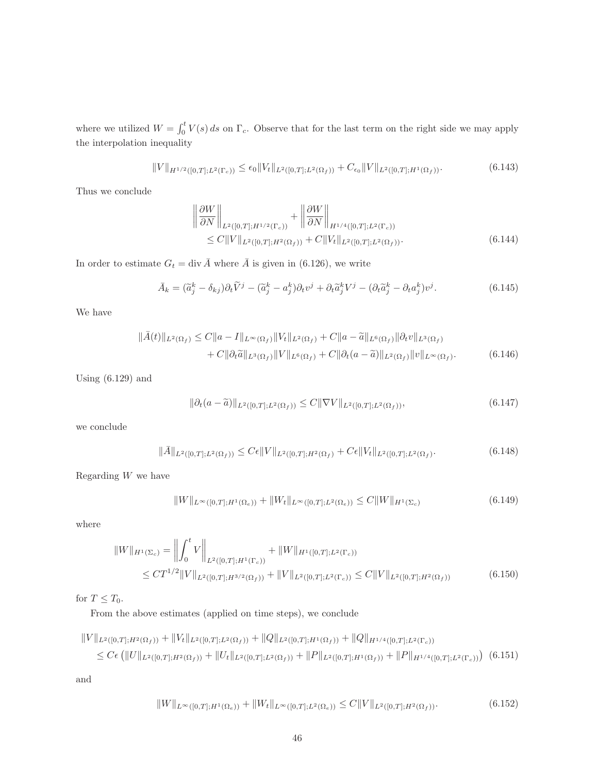where we utilized  $W = \int_0^t V(s) ds$  on  $\Gamma_c$ . Observe that for the last term on the right side we may apply the interpolation inequality

$$
||V||_{H^{1/2}([0,T];L^2(\Gamma_c))} \le \epsilon_0 ||V_t||_{L^2([0,T];L^2(\Omega_f))} + C_{\epsilon_0} ||V||_{L^2([0,T];H^1(\Omega_f))}.
$$
\n(6.143)

Thus we conclude

$$
\left\| \frac{\partial W}{\partial N} \right\|_{L^2([0,T];H^{1/2}(\Gamma_c))} + \left\| \frac{\partial W}{\partial N} \right\|_{H^{1/4}([0,T];L^2(\Gamma_c))} \leq C \| V \|_{L^2([0,T];H^2(\Omega_f))} + C \| V_t \|_{L^2([0,T];L^2(\Omega_f))}.
$$
\n(6.144)

In order to estimate  $G_t = \text{div } \overline{A}$  where  $\overline{A}$  is given in (6.126), we write

$$
\bar{A}_k = (\tilde{a}_j^k - \delta_{kj})\partial_t \tilde{V}^j - (\tilde{a}_j^k - a_j^k)\partial_t v^j + \partial_t \tilde{a}_j^k V^j - (\partial_t \tilde{a}_j^k - \partial_t a_j^k)v^j.
$$
\n(6.145)

We have

$$
\|\bar{A}(t)\|_{L^{2}(\Omega_{f})} \leq C\|a - I\|_{L^{\infty}(\Omega_{f})}\|V_{t}\|_{L^{2}(\Omega_{f})} + C\|a - \tilde{a}\|_{L^{6}(\Omega_{f})}\|\partial_{t}v\|_{L^{3}(\Omega_{f})} + C\|\partial_{t}\tilde{a}\|_{L^{3}(\Omega_{f})}\|V\|_{L^{6}(\Omega_{f})} + C\|\partial_{t}(a - \tilde{a})\|_{L^{2}(\Omega_{f})}\|v\|_{L^{\infty}(\Omega_{f})}.
$$
\n(6.146)

Using  $(6.129)$  and

$$
\|\partial_t(a-\widetilde{a})\|_{L^2([0,T];L^2(\Omega_f))} \le C \|\nabla V\|_{L^2([0,T];L^2(\Omega_f))},\tag{6.147}
$$

we conclude

$$
\|\bar{A}\|_{L^2([0,T];L^2(\Omega_f))} \le C\epsilon \|V\|_{L^2([0,T];H^2(\Omega_f))} + C\epsilon \|V_t\|_{L^2([0,T];L^2(\Omega_f))}.
$$
\n(6.148)

Regarding W we have

$$
||W||_{L^{\infty}([0,T];H^1(\Omega_e))} + ||W_t||_{L^{\infty}([0,T];L^2(\Omega_e))} \leq C||W||_{H^1(\Sigma_c)}
$$
\n(6.149)

where

$$
||W||_{H^1(\Sigma_c)} = \left\| \int_0^t V \right\|_{L^2([0,T];H^1(\Gamma_c))} + ||W||_{H^1([0,T];L^2(\Gamma_c))}
$$
  
\n
$$
\leq C T^{1/2} ||V||_{L^2([0,T];H^{3/2}(\Omega_f))} + ||V||_{L^2([0,T];L^2(\Gamma_c))} \leq C ||V||_{L^2([0,T];H^2(\Omega_f))}
$$
(6.150)

for  $T \leq T_0$ .

From the above estimates (applied on time steps), we conclude

$$
||V||_{L^{2}([0,T];H^{2}(\Omega_{f}))} + ||V_{t}||_{L^{2}([0,T];L^{2}(\Omega_{f}))} + ||Q||_{L^{2}([0,T];H^{1}(\Omega_{f}))} + ||Q||_{H^{1/4}([0,T];L^{2}(\Gamma_{c}))}
$$
  
\n
$$
\leq C\epsilon \left( ||U||_{L^{2}([0,T];H^{2}(\Omega_{f}))} + ||U_{t}||_{L^{2}([0,T];L^{2}(\Omega_{f}))} + ||P||_{L^{2}([0,T];H^{1}(\Omega_{f}))} + ||P||_{H^{1/4}([0,T];L^{2}(\Gamma_{c}))} \right)
$$
(6.151)

and

$$
||W||_{L^{\infty}([0,T];H^1(\Omega_e))} + ||W_t||_{L^{\infty}([0,T];L^2(\Omega_e))} \leq C||V||_{L^2([0,T];H^2(\Omega_f))}.
$$
\n(6.152)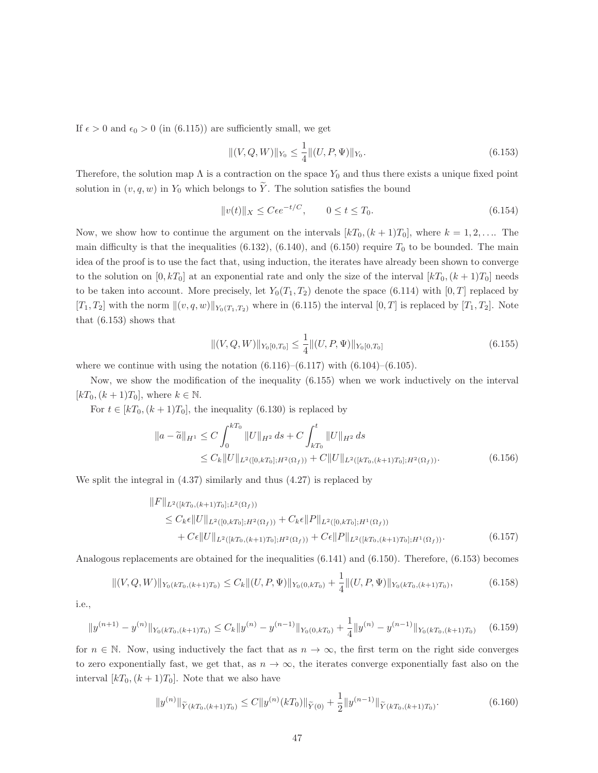If  $\epsilon > 0$  and  $\epsilon_0 > 0$  (in (6.115)) are sufficiently small, we get

$$
||(V, Q, W)||_{Y_0} \le \frac{1}{4}||(U, P, \Psi)||_{Y_0}.
$$
\n(6.153)

Therefore, the solution map  $\Lambda$  is a contraction on the space  $Y_0$  and thus there exists a unique fixed point solution in  $(v, q, w)$  in  $Y_0$  which belongs to  $\widetilde{Y}$ . The solution satisfies the bound

$$
||v(t)||_X \le C\epsilon e^{-t/C}, \qquad 0 \le t \le T_0. \tag{6.154}
$$

Now, we show how to continue the argument on the intervals  $[kT_0,(k+1)T_0]$ , where  $k=1,2,\ldots$ . The main difficulty is that the inequalities  $(6.132)$ ,  $(6.140)$ , and  $(6.150)$  require  $T_0$  to be bounded. The main idea of the proof is to use the fact that, using induction, the iterates have already been shown to converge to the solution on  $[0, kT_0]$  at an exponential rate and only the size of the interval  $[kT_0,(k+1)T_0]$  needs to be taken into account. More precisely, let  $Y_0(T_1, T_2)$  denote the space (6.114) with [0, T] replaced by  $[T_1, T_2]$  with the norm  $\|(v, q, w)\|_{Y_0(T_1,T_2)}$  where in (6.115) the interval  $[0, T]$  is replaced by  $[T_1, T_2]$ . Note that (6.153) shows that

$$
\|(V, Q, W)\|_{Y_0[0, T_0]} \le \frac{1}{4} \|(U, P, \Psi)\|_{Y_0[0, T_0]} \tag{6.155}
$$

where we continue with using the notation  $(6.116)$ – $(6.117)$  with  $(6.104)$ – $(6.105)$ .

Now, we show the modification of the inequality (6.155) when we work inductively on the interval  $[kT_0,(k+1)T_0]$ , where  $k \in \mathbb{N}$ .

For  $t \in [kT_0, (k+1)T_0]$ , the inequality (6.130) is replaced by

$$
\|a - \widetilde{a}\|_{H^1} \le C \int_0^{kT_0} \|U\|_{H^2} ds + C \int_{kT_0}^t \|U\|_{H^2} ds
$$
  
\n
$$
\le C_k \|U\|_{L^2([0,kT_0];H^2(\Omega_f))} + C \|U\|_{L^2([kT_0,(k+1)T_0];H^2(\Omega_f))}.
$$
\n(6.156)

We split the integral in (4.37) similarly and thus (4.27) is replaced by

$$
||F||_{L^{2}([kT_{0},(k+1)T_{0}];L^{2}(\Omega_{f}))}
$$
  
\n
$$
\leq C_{k}\epsilon ||U||_{L^{2}([0,kT_{0}];H^{2}(\Omega_{f}))} + C_{k}\epsilon ||P||_{L^{2}([0,kT_{0}];H^{1}(\Omega_{f}))}
$$
  
\n
$$
+ C\epsilon ||U||_{L^{2}([kT_{0},(k+1)T_{0}];H^{2}(\Omega_{f}))} + C\epsilon ||P||_{L^{2}([kT_{0},(k+1)T_{0}];H^{1}(\Omega_{f}))}.
$$
\n(6.157)

Analogous replacements are obtained for the inequalities (6.141) and (6.150). Therefore, (6.153) becomes

$$
||(V,Q,W)||_{Y_0(kT_0,(k+1)T_0)} \leq C_k ||(U,P,\Psi)||_{Y_0(0,kT_0)} + \frac{1}{4} ||(U,P,\Psi)||_{Y_0(kT_0,(k+1)T_0)},
$$
\n(6.158)

i.e.,

$$
||y^{(n+1)} - y^{(n)}||_{Y_0(kT_0,(k+1)T_0)} \le C_k ||y^{(n)} - y^{(n-1)}||_{Y_0(0,kT_0)} + \frac{1}{4} ||y^{(n)} - y^{(n-1)}||_{Y_0(kT_0,(k+1)T_0)} \tag{6.159}
$$

for  $n \in \mathbb{N}$ . Now, using inductively the fact that as  $n \to \infty$ , the first term on the right side converges to zero exponentially fast, we get that, as  $n \to \infty$ , the iterates converge exponentially fast also on the interval  $[kT_0,(k+1)T_0]$ . Note that we also have

$$
||y^{(n)}||_{\widetilde{Y}(kT_0,(k+1)T_0)} \le C||y^{(n)}(kT_0)||_{\widetilde{Y}(0)} + \frac{1}{2}||y^{(n-1)}||_{\widetilde{Y}(kT_0,(k+1)T_0)}.
$$
\n(6.160)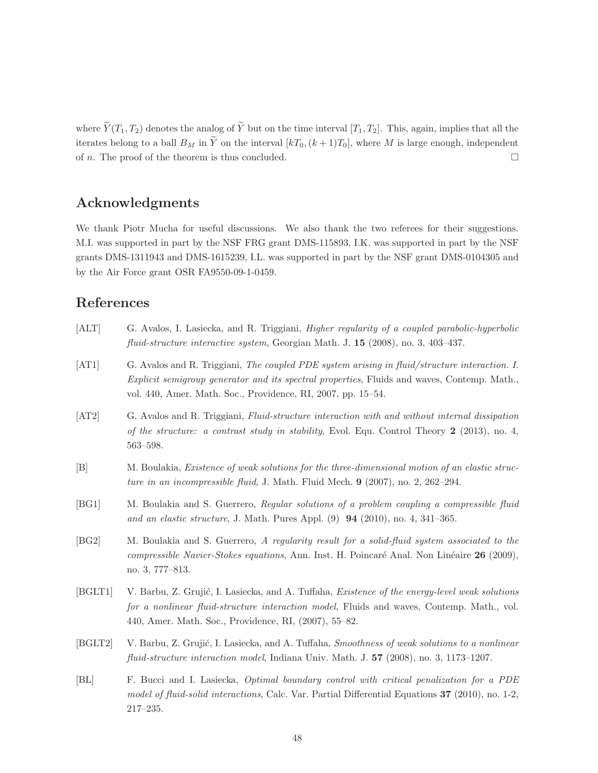where  $\widetilde{Y}(T_1, T_2)$  denotes the analog of  $\widetilde{Y}$  but on the time interval  $[T_1, T_2]$ . This, again, implies that all the iterates belong to a ball  $B_M$  in  $\tilde{Y}$  on the interval  $[kT_0,(k+1)T_0]$ , where M is large enough, independent of *n*. The proof of the theorem is thus concluded.

### Acknowledgments

We thank Piotr Mucha for useful discussions. We also thank the two referees for their suggestions. M.I. was supported in part by the NSF FRG grant DMS-115893, I.K. was supported in part by the NSF grants DMS-1311943 and DMS-1615239, I.L. was supported in part by the NSF grant DMS-0104305 and by the Air Force grant OSR FA9550-09-1-0459.

### References

- [ALT] G. Avalos, I. Lasiecka, and R. Triggiani, Higher regularity of a coupled parabolic-hyperbolic fluid-structure interactive system, Georgian Math. J. 15 (2008), no. 3, 403–437.
- [AT1] G. Avalos and R. Triggiani, The coupled PDE system arising in fluid/structure interaction. I. Explicit semigroup generator and its spectral properties, Fluids and waves, Contemp. Math., vol. 440, Amer. Math. Soc., Providence, RI, 2007, pp. 15–54.
- [AT2] G. Avalos and R. Triggiani, Fluid-structure interaction with and without internal dissipation of the structure: a contrast study in stability, Evol. Equ. Control Theory 2 (2013), no. 4, 563–598.
- [B] M. Boulakia, Existence of weak solutions for the three-dimensional motion of an elastic structure in an incompressible fluid, J. Math. Fluid Mech. 9 (2007), no. 2, 262-294.
- [BG1] M. Boulakia and S. Guerrero, Regular solutions of a problem coupling a compressible fluid and an elastic structure, J. Math. Pures Appl. (9) 94 (2010), no. 4, 341–365.
- [BG2] M. Boulakia and S. Guerrero, A regularity result for a solid-fluid system associated to the compressible Navier-Stokes equations, Ann. Inst. H. Poincaré Anal. Non Linéaire  $26$  (2009), no. 3, 777–813.
- [BGLT1] V. Barbu, Z. Grujić, I. Lasiecka, and A. Tuffaha, *Existence of the energy-level weak solutions* for a nonlinear fluid-structure interaction model, Fluids and waves, Contemp. Math., vol. 440, Amer. Math. Soc., Providence, RI, (2007), 55–82.
- [BGLT2] V. Barbu, Z. Grujić, I. Lasiecka, and A. Tuffaha, Smoothness of weak solutions to a nonlinear fluid-structure interaction model, Indiana Univ. Math. J. 57 (2008), no. 3, 1173–1207.
- [BL] F. Bucci and I. Lasiecka, Optimal boundary control with critical penalization for a PDE model of fluid-solid interactions, Calc. Var. Partial Differential Equations 37 (2010), no. 1-2, 217–235.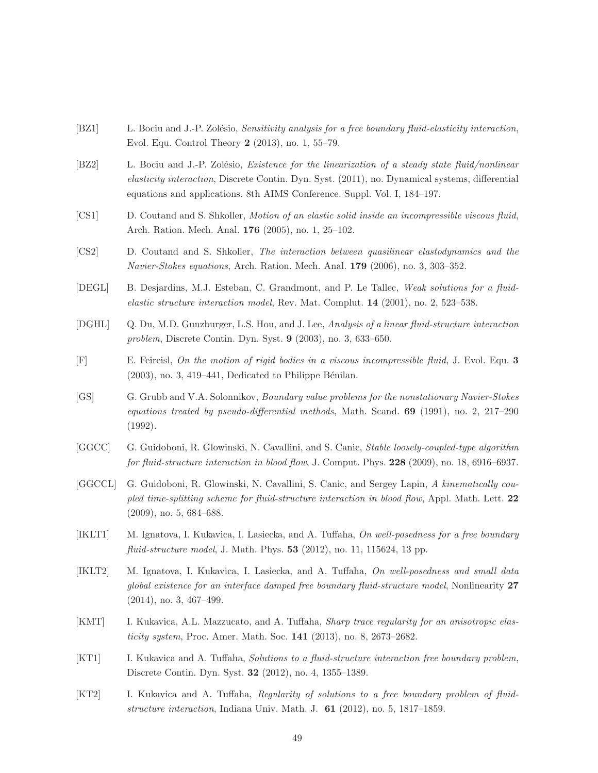- [BZ1] L. Bociu and J.-P. Zolésio, Sensitivity analysis for a free boundary fluid-elasticity interaction, Evol. Equ. Control Theory 2 (2013), no. 1, 55–79.
- [BZ2] L. Bociu and J.-P. Zolésio, *Existence for the linearization of a steady state fluid/nonlinear* elasticity interaction, Discrete Contin. Dyn. Syst. (2011), no. Dynamical systems, differential equations and applications. 8th AIMS Conference. Suppl. Vol. I, 184–197.
- [CS1] D. Coutand and S. Shkoller, Motion of an elastic solid inside an incompressible viscous fluid, Arch. Ration. Mech. Anal. 176 (2005), no. 1, 25–102.
- [CS2] D. Coutand and S. Shkoller, The interaction between quasilinear elastodynamics and the Navier-Stokes equations, Arch. Ration. Mech. Anal. 179 (2006), no. 3, 303–352.
- [DEGL] B. Desjardins, M.J. Esteban, C. Grandmont, and P. Le Tallec, Weak solutions for a fluidelastic structure interaction model, Rev. Mat. Complut. 14 (2001), no. 2, 523–538.
- [DGHL] Q. Du, M.D. Gunzburger, L.S. Hou, and J. Lee, Analysis of a linear fluid-structure interaction problem, Discrete Contin. Dyn. Syst. 9 (2003), no. 3, 633–650.
- [F] E. Feireisl, On the motion of rigid bodies in a viscous incompressible fluid, J. Evol. Equ. 3  $(2003)$ , no. 3, 419–441, Dedicated to Philippe Bénilan.
- [GS] G. Grubb and V.A. Solonnikov, *Boundary value problems for the nonstationary Navier-Stokes* equations treated by pseudo-differential methods, Math. Scand.  $69$  (1991), no. 2, 217–290 (1992).
- [GGCC] G. Guidoboni, R. Glowinski, N. Cavallini, and S. Canic, Stable loosely-coupled-type algorithm for fluid-structure interaction in blood flow, J. Comput. Phys. 228 (2009), no. 18, 6916–6937.
- [GGCCL] G. Guidoboni, R. Glowinski, N. Cavallini, S. Canic, and Sergey Lapin, A kinematically coupled time-splitting scheme for fluid-structure interaction in blood flow, Appl. Math. Lett. 22 (2009), no. 5, 684–688.
- [IKLT1] M. Ignatova, I. Kukavica, I. Lasiecka, and A. Tuffaha, On well-posedness for a free boundary fluid-structure model, J. Math. Phys. 53 (2012), no. 11, 115624, 13 pp.
- [IKLT2] M. Ignatova, I. Kukavica, I. Lasiecka, and A. Tuffaha, On well-posedness and small data global existence for an interface damped free boundary fluid-structure model, Nonlinearity 27 (2014), no. 3, 467–499.
- [KMT] I. Kukavica, A.L. Mazzucato, and A. Tuffaha, *Sharp trace regularity for an anisotropic elas*ticity system, Proc. Amer. Math. Soc. 141 (2013), no. 8, 2673–2682.
- [KT1] I. Kukavica and A. Tuffaha, Solutions to a fluid-structure interaction free boundary problem, Discrete Contin. Dyn. Syst. 32 (2012), no. 4, 1355–1389.
- [KT2] I. Kukavica and A. Tuffaha, Regularity of solutions to a free boundary problem of fluidstructure interaction, Indiana Univ. Math. J.  $61$  (2012), no. 5, 1817–1859.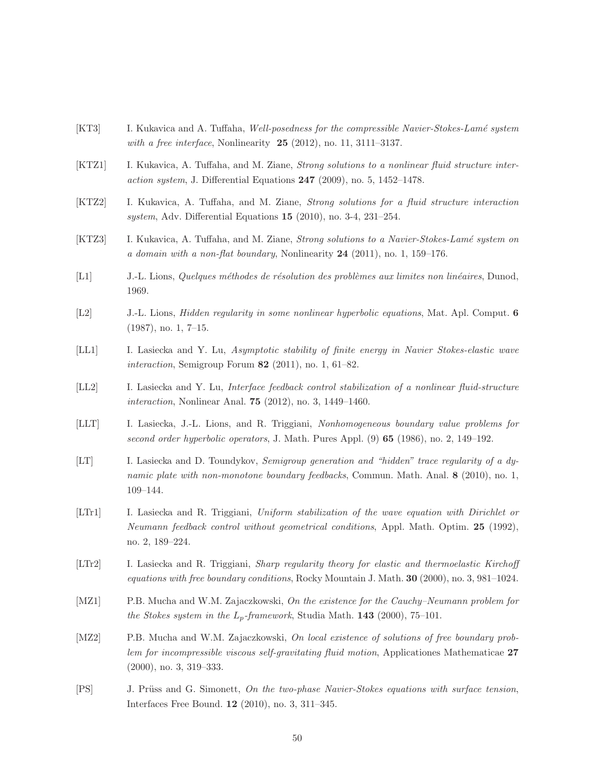- [KT3] I. Kukavica and A. Tuffaha, Well-posedness for the compressible Navier-Stokes-Lamé system with a free interface, Nonlinearity  $25$  (2012), no. 11, 3111-3137.
- [KTZ1] I. Kukavica, A. Tuffaha, and M. Ziane, *Strong solutions to a nonlinear fluid structure inter*action system, J. Differential Equations  $247$  (2009), no. 5, 1452–1478.
- [KTZ2] I. Kukavica, A. Tuffaha, and M. Ziane, Strong solutions for a fluid structure interaction system, Adv. Differential Equations 15 (2010), no. 3-4, 231–254.
- [KTZ3] I. Kukavica, A. Tuffaha, and M. Ziane, *Strong solutions to a Navier-Stokes-Lamé system on* a domain with a non-flat boundary, Nonlinearity  $24$  (2011), no. 1, 159–176.
- [L1] J.-L. Lions, Quelques méthodes de résolution des problèmes aux limites non linéaires, Dunod, 1969.
- [L2] J.-L. Lions, Hidden regularity in some nonlinear hyperbolic equations, Mat. Apl. Comput. 6 (1987), no. 1, 7–15.
- [LL1] I. Lasiecka and Y. Lu, Asymptotic stability of finite energy in Navier Stokes-elastic wave interaction, Semigroup Forum  $82$  (2011), no. 1, 61–82.
- [LL2] I. Lasiecka and Y. Lu, Interface feedback control stabilization of a nonlinear fluid-structure interaction, Nonlinear Anal. 75 (2012), no. 3, 1449–1460.
- [LLT] I. Lasiecka, J.-L. Lions, and R. Triggiani, Nonhomogeneous boundary value problems for second order hyperbolic operators, J. Math. Pures Appl. (9) 65 (1986), no. 2, 149–192.
- [LT] I. Lasiecka and D. Toundykov, Semigroup generation and "hidden" trace regularity of a dynamic plate with non-monotone boundary feedbacks, Commun. Math. Anal. 8 (2010), no. 1, 109–144.
- [LTr1] I. Lasiecka and R. Triggiani, Uniform stabilization of the wave equation with Dirichlet or Neumann feedback control without geometrical conditions, Appl. Math. Optim. 25 (1992), no. 2, 189–224.
- [LTr2] I. Lasiecka and R. Triggiani, Sharp regularity theory for elastic and thermoelastic Kirchoff equations with free boundary conditions, Rocky Mountain J. Math.  $30$  (2000), no. 3, 981–1024.
- [MZ1] P.B. Mucha and W.M. Zajaczkowski, On the existence for the Cauchy–Neumann problem for the Stokes system in the  $L_p$ -framework, Studia Math. 143 (2000), 75–101.
- [MZ2] P.B. Mucha and W.M. Zajaczkowski, On local existence of solutions of free boundary problem for incompressible viscous self-gravitating fluid motion, Applicationes Mathematicae 27 (2000), no. 3, 319–333.
- [PS] J. Prüss and G. Simonett, On the two-phase Navier-Stokes equations with surface tension, Interfaces Free Bound. 12 (2010), no. 3, 311–345.